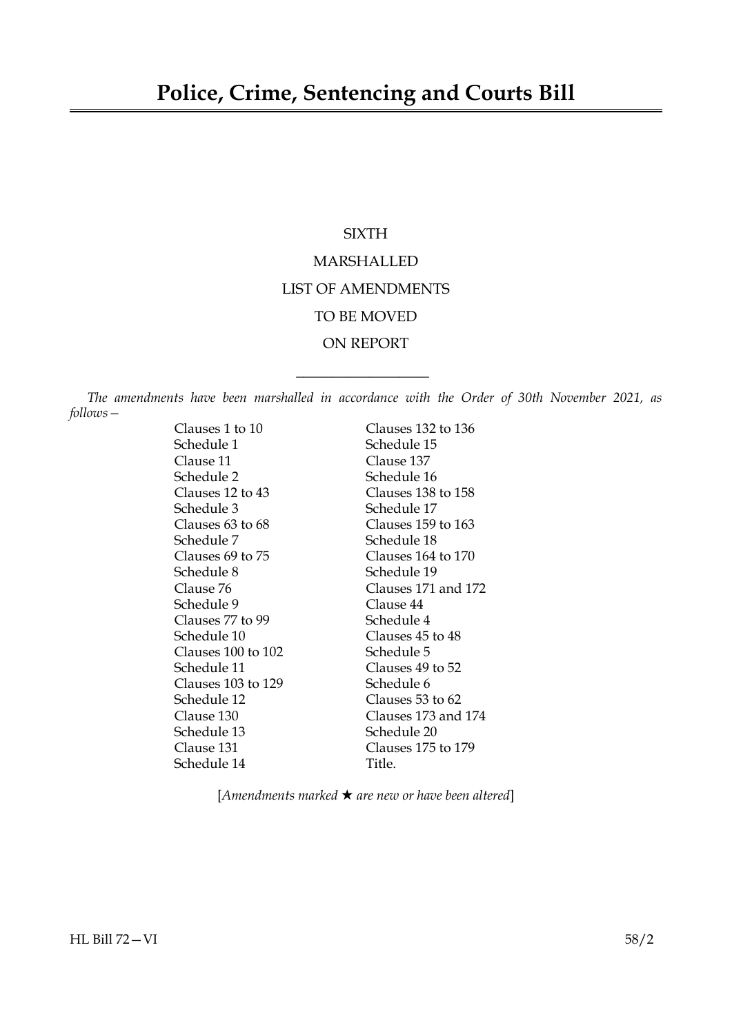# **SIXTH** MARSHALLED LIST OF AMENDMENTS TO BE MOVED ON REPORT

*The amendments have been marshalled in accordance with the Order of 30th November 2021, as follows—*

 $\overline{\phantom{a}}$  , where  $\overline{\phantom{a}}$ 

Clauses 1 to 10 Clauses 132 to 136 Schedule 1 Schedule 15 Clause 11 Clause 137 Schedule 2 Schedule 16 Clauses 12 to 43 Clauses 138 to 158 Schedule 3 Schedule 17 Clauses 63 to 68 Clauses 159 to 163 Schedule 7 Schedule 18 Clauses 69 to 75 Clauses 164 to 170 Schedule 8 Schedule 19 Clause 76 Clauses 171 and 172 Schedule 9 Clause 44 Clauses 77 to 99 Schedule 4 Schedule 10 Clauses 45 to 48 Clauses 100 to 102 Schedule 5 Schedule 11 Clauses 49 to 52 Clauses 103 to 129 Schedule 6 Schedule 12 Clauses 53 to 62 Clause 130 Clauses 173 and 174 Schedule 13 Schedule 20 Clause 131 Clauses 175 to 179 Schedule 14 Title.

[*Amendments marked* \* *are new or have been altered*]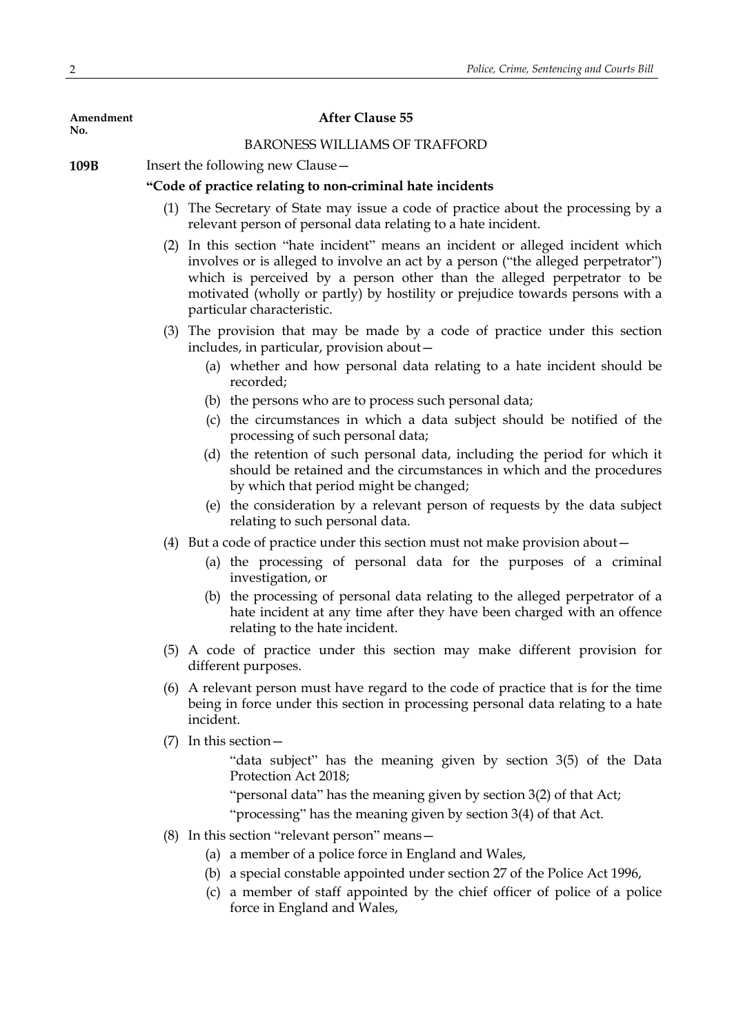| Amendment<br>No. | <b>After Clause 55</b>               |                                                                                                                                                                                                                                                                                                                                                               |  |  |
|------------------|--------------------------------------|---------------------------------------------------------------------------------------------------------------------------------------------------------------------------------------------------------------------------------------------------------------------------------------------------------------------------------------------------------------|--|--|
|                  | <b>BARONESS WILLIAMS OF TRAFFORD</b> |                                                                                                                                                                                                                                                                                                                                                               |  |  |
| 109B             | Insert the following new Clause -    |                                                                                                                                                                                                                                                                                                                                                               |  |  |
|                  |                                      | "Code of practice relating to non-criminal hate incidents                                                                                                                                                                                                                                                                                                     |  |  |
|                  |                                      | (1) The Secretary of State may issue a code of practice about the processing by a<br>relevant person of personal data relating to a hate incident.                                                                                                                                                                                                            |  |  |
|                  |                                      | (2) In this section "hate incident" means an incident or alleged incident which<br>involves or is alleged to involve an act by a person ("the alleged perpetrator")<br>which is perceived by a person other than the alleged perpetrator to be<br>motivated (wholly or partly) by hostility or prejudice towards persons with a<br>particular characteristic. |  |  |
|                  |                                      | (3) The provision that may be made by a code of practice under this section<br>includes, in particular, provision about -                                                                                                                                                                                                                                     |  |  |
|                  |                                      | (a) whether and how personal data relating to a hate incident should be<br>recorded;                                                                                                                                                                                                                                                                          |  |  |
|                  |                                      | (b) the persons who are to process such personal data;                                                                                                                                                                                                                                                                                                        |  |  |
|                  |                                      | (c) the circumstances in which a data subject should be notified of the<br>processing of such personal data;                                                                                                                                                                                                                                                  |  |  |
|                  |                                      | (d) the retention of such personal data, including the period for which it<br>should be retained and the circumstances in which and the procedures<br>by which that period might be changed;                                                                                                                                                                  |  |  |
|                  |                                      | (e) the consideration by a relevant person of requests by the data subject<br>relating to such personal data.                                                                                                                                                                                                                                                 |  |  |
|                  |                                      | (4) But a code of practice under this section must not make provision about –                                                                                                                                                                                                                                                                                 |  |  |
|                  |                                      | (a) the processing of personal data for the purposes of a criminal<br>investigation, or                                                                                                                                                                                                                                                                       |  |  |
|                  |                                      | (b) the processing of personal data relating to the alleged perpetrator of a<br>hate incident at any time after they have been charged with an offence<br>relating to the hate incident.                                                                                                                                                                      |  |  |
|                  |                                      | (5) A code of practice under this section may make different provision for<br>different purposes.                                                                                                                                                                                                                                                             |  |  |
|                  | (6)                                  | A relevant person must have regard to the code of practice that is for the time<br>being in force under this section in processing personal data relating to a hate<br>incident.                                                                                                                                                                              |  |  |
|                  | (7)                                  | In this section -                                                                                                                                                                                                                                                                                                                                             |  |  |
|                  |                                      | "data subject" has the meaning given by section 3(5) of the Data<br>Protection Act 2018;                                                                                                                                                                                                                                                                      |  |  |
|                  |                                      | "personal data" has the meaning given by section 3(2) of that Act;                                                                                                                                                                                                                                                                                            |  |  |
|                  |                                      | "processing" has the meaning given by section 3(4) of that Act.                                                                                                                                                                                                                                                                                               |  |  |
|                  |                                      | $(8)$ In this section "relevant person" means $-$                                                                                                                                                                                                                                                                                                             |  |  |
|                  |                                      | (a) a member of a police force in England and Wales,                                                                                                                                                                                                                                                                                                          |  |  |
|                  |                                      | (b) a special constable appointed under section 27 of the Police Act 1996,                                                                                                                                                                                                                                                                                    |  |  |
|                  |                                      | a member of staff appointed by the chief officer of police of a police<br>(c)<br>force in England and Wales,                                                                                                                                                                                                                                                  |  |  |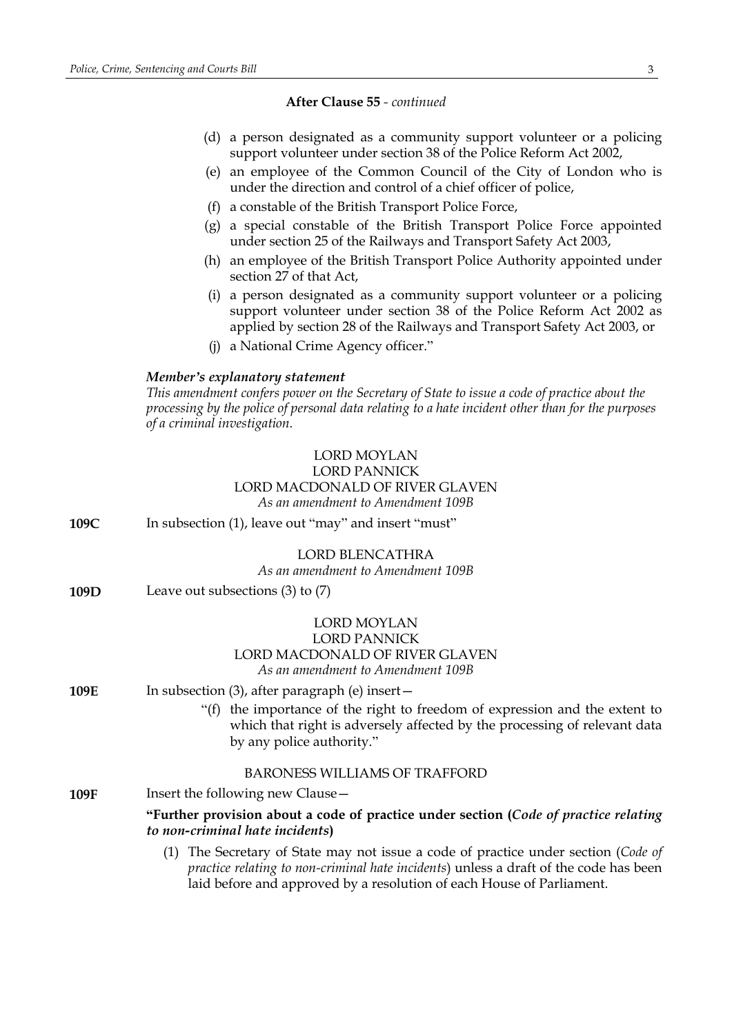- (d) a person designated as a community support volunteer or a policing support volunteer under section 38 of the Police Reform Act 2002,
- (e) an employee of the Common Council of the City of London who is under the direction and control of a chief officer of police,
- (f) a constable of the British Transport Police Force,
- (g) a special constable of the British Transport Police Force appointed under section 25 of the Railways and Transport Safety Act 2003,
- (h) an employee of the British Transport Police Authority appointed under section 27 of that Act,
- (i) a person designated as a community support volunteer or a policing support volunteer under section 38 of the Police Reform Act 2002 as applied by section 28 of the Railways and Transport Safety Act 2003, or
- (j) a National Crime Agency officer."

### *Member's explanatory statement*

*This amendment confers power on the Secretary of State to issue a code of practice about the processing by the police of personal data relating to a hate incident other than for the purposes of a criminal investigation.*

## LORD MOYLAN LORD PANNICK LORD MACDONALD OF RIVER GLAVEN *As an amendment to Amendment 109B*

**109C** In subsection (1), leave out "may" and insert "must"

## LORD BLENCATHRA

*As an amendment to Amendment 109B*

**109D** Leave out subsections (3) to (7)

## LORD MOYLAN LORD PANNICK LORD MACDONALD OF RIVER GLAVEN *As an amendment to Amendment 109B*

- **109E** In subsection (3), after paragraph (e) insert -
	- "(f) the importance of the right to freedom of expression and the extent to which that right is adversely affected by the processing of relevant data by any police authority."

## BARONESS WILLIAMS OF TRAFFORD

**109F** Insert the following new Clause –

**"Further provision about a code of practice under section (***Code of practice relating to non-criminal hate incidents***)**

(1) The Secretary of State may not issue a code of practice under section (*Code of practice relating to non-criminal hate incidents*) unless a draft of the code has been laid before and approved by a resolution of each House of Parliament.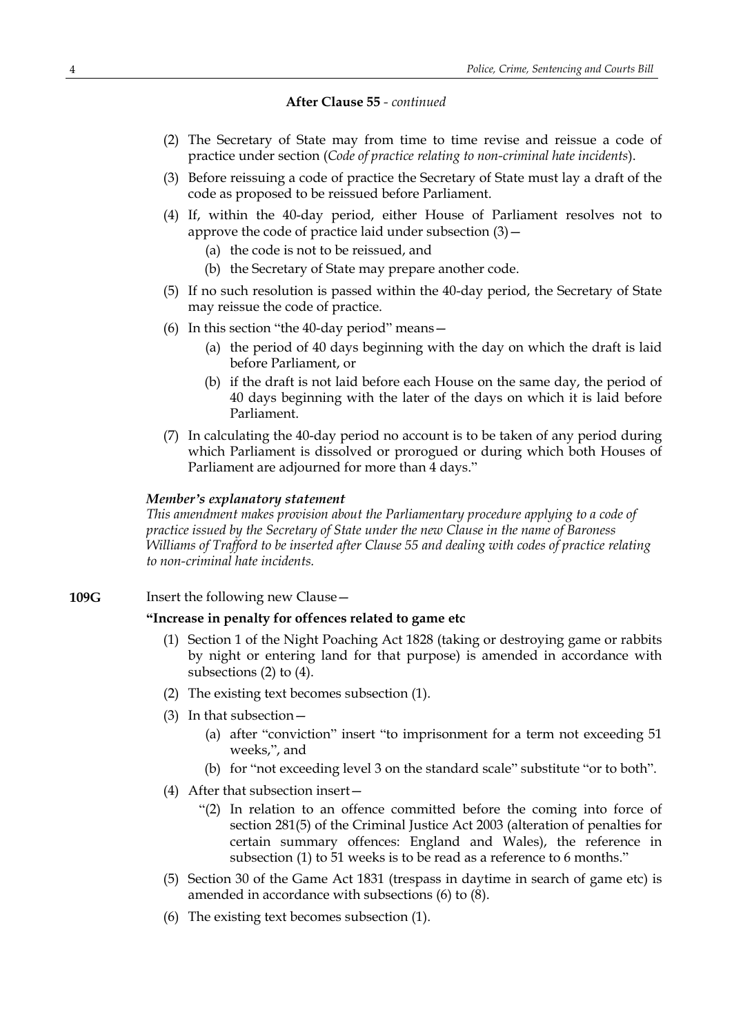- (2) The Secretary of State may from time to time revise and reissue a code of practice under section (*Code of practice relating to non-criminal hate incidents*).
- (3) Before reissuing a code of practice the Secretary of State must lay a draft of the code as proposed to be reissued before Parliament.
- (4) If, within the 40-day period, either House of Parliament resolves not to approve the code of practice laid under subsection  $(3)$  -
	- (a) the code is not to be reissued, and
	- (b) the Secretary of State may prepare another code.
- (5) If no such resolution is passed within the 40-day period, the Secretary of State may reissue the code of practice.
- (6) In this section "the 40-day period" means—
	- (a) the period of 40 days beginning with the day on which the draft is laid before Parliament, or
	- (b) if the draft is not laid before each House on the same day, the period of 40 days beginning with the later of the days on which it is laid before Parliament.
- (7) In calculating the 40-day period no account is to be taken of any period during which Parliament is dissolved or prorogued or during which both Houses of Parliament are adjourned for more than 4 days."

### *Member's explanatory statement*

*This amendment makes provision about the Parliamentary procedure applying to a code of practice issued by the Secretary of State under the new Clause in the name of Baroness Williams of Trafford to be inserted after Clause 55 and dealing with codes of practice relating to non-criminal hate incidents.*

**109G** Insert the following new Clause –

## **"Increase in penalty for offences related to game etc**

- (1) Section 1 of the Night Poaching Act 1828 (taking or destroying game or rabbits by night or entering land for that purpose) is amended in accordance with subsections (2) to (4).
- (2) The existing text becomes subsection (1).
- (3) In that subsection—
	- (a) after "conviction" insert "to imprisonment for a term not exceeding 51 weeks,", and
	- (b) for "not exceeding level 3 on the standard scale" substitute "or to both".
- (4) After that subsection insert—
	- "(2) In relation to an offence committed before the coming into force of section 281(5) of the Criminal Justice Act 2003 (alteration of penalties for certain summary offences: England and Wales), the reference in subsection (1) to 51 weeks is to be read as a reference to 6 months."
- (5) Section 30 of the Game Act 1831 (trespass in daytime in search of game etc) is amended in accordance with subsections (6) to (8).
- (6) The existing text becomes subsection (1).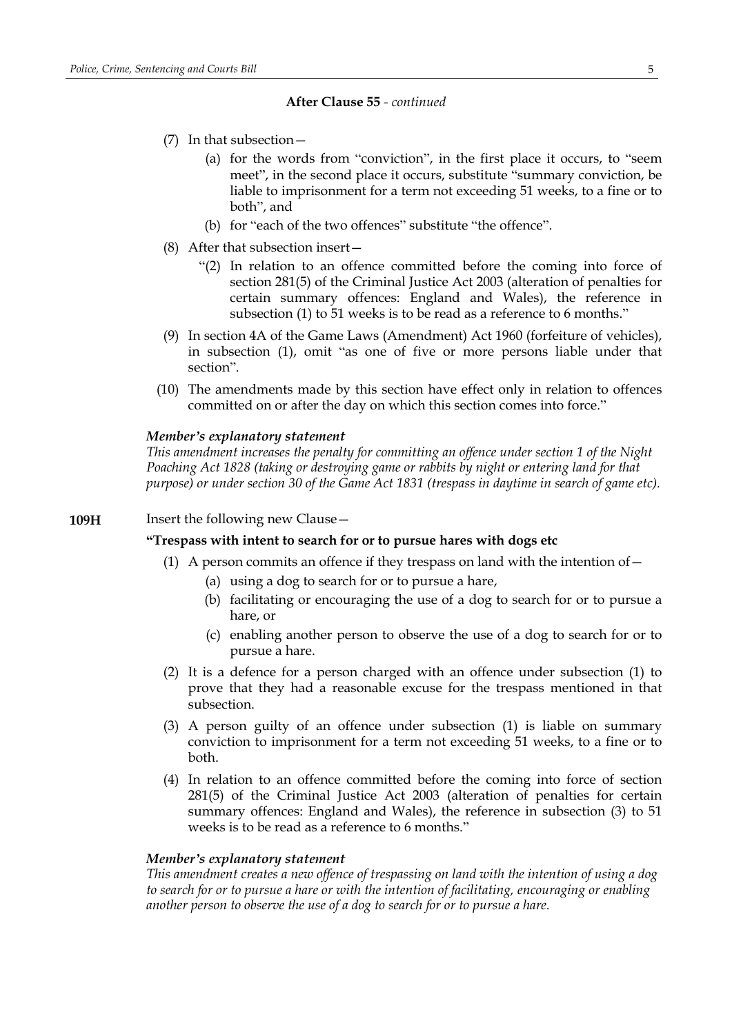- (7) In that subsection—
	- (a) for the words from "conviction", in the first place it occurs, to "seem meet", in the second place it occurs, substitute "summary conviction, be liable to imprisonment for a term not exceeding 51 weeks, to a fine or to both", and
	- (b) for "each of the two offences" substitute "the offence".
- (8) After that subsection insert—
	- "(2) In relation to an offence committed before the coming into force of section 281(5) of the Criminal Justice Act 2003 (alteration of penalties for certain summary offences: England and Wales), the reference in subsection (1) to 51 weeks is to be read as a reference to 6 months."
- (9) In section 4A of the Game Laws (Amendment) Act 1960 (forfeiture of vehicles), in subsection (1), omit "as one of five or more persons liable under that section".
- (10) The amendments made by this section have effect only in relation to offences committed on or after the day on which this section comes into force."

### *Member's explanatory statement*

*This amendment increases the penalty for committing an offence under section 1 of the Night Poaching Act 1828 (taking or destroying game or rabbits by night or entering land for that purpose) or under section 30 of the Game Act 1831 (trespass in daytime in search of game etc).*

## **109H** Insert the following new Clause -

### **"Trespass with intent to search for or to pursue hares with dogs etc**

- (1) A person commits an offence if they trespass on land with the intention of  $-$ 
	- (a) using a dog to search for or to pursue a hare,
	- (b) facilitating or encouraging the use of a dog to search for or to pursue a hare, or
	- (c) enabling another person to observe the use of a dog to search for or to pursue a hare.
- (2) It is a defence for a person charged with an offence under subsection (1) to prove that they had a reasonable excuse for the trespass mentioned in that subsection.
- (3) A person guilty of an offence under subsection (1) is liable on summary conviction to imprisonment for a term not exceeding 51 weeks, to a fine or to both.
- (4) In relation to an offence committed before the coming into force of section 281(5) of the Criminal Justice Act 2003 (alteration of penalties for certain summary offences: England and Wales), the reference in subsection (3) to 51 weeks is to be read as a reference to 6 months."

### *Member's explanatory statement*

*This amendment creates a new offence of trespassing on land with the intention of using a dog to search for or to pursue a hare or with the intention of facilitating, encouraging or enabling another person to observe the use of a dog to search for or to pursue a hare.*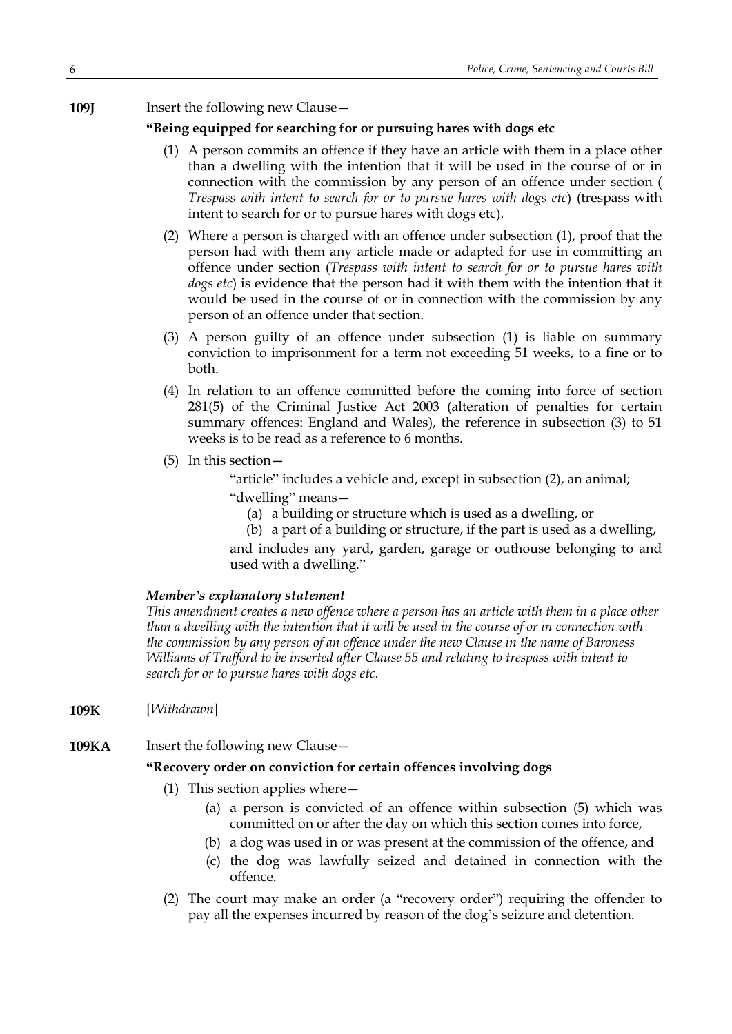**109J** Insert the following new Clause -

## **"Being equipped for searching for or pursuing hares with dogs etc**

- (1) A person commits an offence if they have an article with them in a place other than a dwelling with the intention that it will be used in the course of or in connection with the commission by any person of an offence under section ( *Trespass with intent to search for or to pursue hares with dogs etc*) (trespass with intent to search for or to pursue hares with dogs etc).
- (2) Where a person is charged with an offence under subsection (1), proof that the person had with them any article made or adapted for use in committing an offence under section (*Trespass with intent to search for or to pursue hares with dogs etc*) is evidence that the person had it with them with the intention that it would be used in the course of or in connection with the commission by any person of an offence under that section.
- (3) A person guilty of an offence under subsection (1) is liable on summary conviction to imprisonment for a term not exceeding 51 weeks, to a fine or to both.
- (4) In relation to an offence committed before the coming into force of section 281(5) of the Criminal Justice Act 2003 (alteration of penalties for certain summary offences: England and Wales), the reference in subsection (3) to 51 weeks is to be read as a reference to 6 months.
- (5) In this section—

"article" includes a vehicle and, except in subsection (2), an animal;

"dwelling" means—

(a) a building or structure which is used as a dwelling, or

(b) a part of a building or structure, if the part is used as a dwelling, and includes any yard, garden, garage or outhouse belonging to and used with a dwelling."

## *Member's explanatory statement*

*This amendment creates a new offence where a person has an article with them in a place other* than a dwelling with the intention that it will be used in the course of or in connection with *the commission by any person of an offence under the new Clause in the name of Baroness Williams of Trafford to be inserted after Clause 55 and relating to trespass with intent to search for or to pursue hares with dogs etc.*

- **109K** [*Withdrawn*]
- **109KA** Insert the following new Clause -

## **"Recovery order on conviction for certain offences involving dogs**

- (1) This section applies where—
	- (a) a person is convicted of an offence within subsection (5) which was committed on or after the day on which this section comes into force,
	- (b) a dog was used in or was present at the commission of the offence, and
	- (c) the dog was lawfully seized and detained in connection with the offence.
- (2) The court may make an order (a "recovery order") requiring the offender to pay all the expenses incurred by reason of the dog's seizure and detention.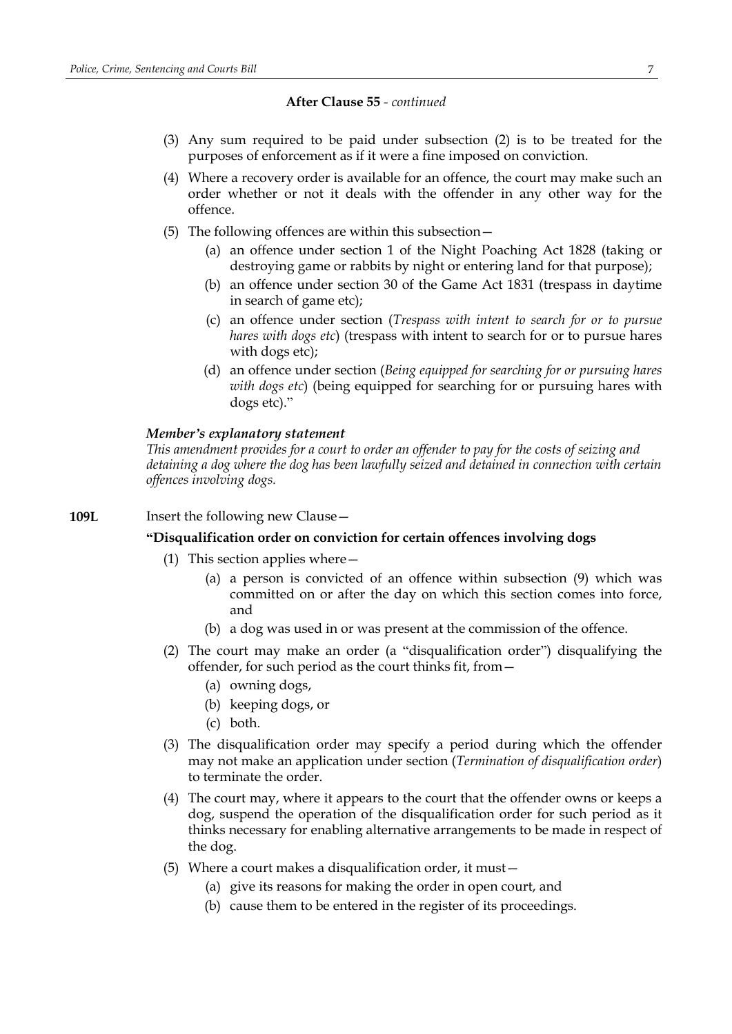- (3) Any sum required to be paid under subsection (2) is to be treated for the purposes of enforcement as if it were a fine imposed on conviction.
- (4) Where a recovery order is available for an offence, the court may make such an order whether or not it deals with the offender in any other way for the offence.
- (5) The following offences are within this subsection—
	- (a) an offence under section 1 of the Night Poaching Act 1828 (taking or destroying game or rabbits by night or entering land for that purpose);
	- (b) an offence under section 30 of the Game Act 1831 (trespass in daytime in search of game etc);
	- (c) an offence under section (*Trespass with intent to search for or to pursue hares with dogs etc*) (trespass with intent to search for or to pursue hares with dogs etc);
	- (d) an offence under section (*Being equipped for searching for or pursuing hares with dogs etc*) (being equipped for searching for or pursuing hares with dogs etc)."

### *Member's explanatory statement*

*This amendment provides for a court to order an offender to pay for the costs of seizing and detaining a dog where the dog has been lawfully seized and detained in connection with certain offences involving dogs.*

## **109L** Insert the following new Clause -

## **"Disqualification order on conviction for certain offences involving dogs**

- (1) This section applies where—
	- (a) a person is convicted of an offence within subsection (9) which was committed on or after the day on which this section comes into force, and
	- (b) a dog was used in or was present at the commission of the offence.
- (2) The court may make an order (a "disqualification order") disqualifying the offender, for such period as the court thinks fit, from—
	- (a) owning dogs,
	- (b) keeping dogs, or
	- (c) both.
- (3) The disqualification order may specify a period during which the offender may not make an application under section (*Termination of disqualification order*) to terminate the order.
- (4) The court may, where it appears to the court that the offender owns or keeps a dog, suspend the operation of the disqualification order for such period as it thinks necessary for enabling alternative arrangements to be made in respect of the dog.
- (5) Where a court makes a disqualification order, it must—
	- (a) give its reasons for making the order in open court, and
	- (b) cause them to be entered in the register of its proceedings.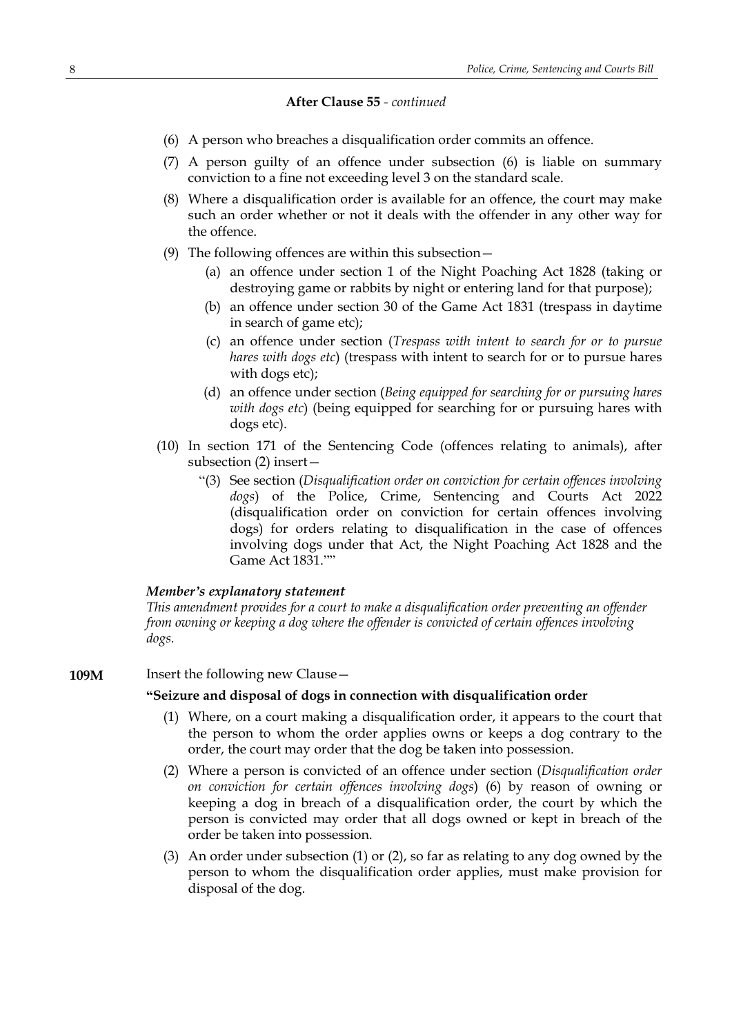- (6) A person who breaches a disqualification order commits an offence.
- (7) A person guilty of an offence under subsection (6) is liable on summary conviction to a fine not exceeding level 3 on the standard scale.
- (8) Where a disqualification order is available for an offence, the court may make such an order whether or not it deals with the offender in any other way for the offence.
- (9) The following offences are within this subsection—
	- (a) an offence under section 1 of the Night Poaching Act 1828 (taking or destroying game or rabbits by night or entering land for that purpose);
	- (b) an offence under section 30 of the Game Act 1831 (trespass in daytime in search of game etc);
	- (c) an offence under section (*Trespass with intent to search for or to pursue hares with dogs etc*) (trespass with intent to search for or to pursue hares with dogs etc);
	- (d) an offence under section (*Being equipped for searching for or pursuing hares with dogs etc*) (being equipped for searching for or pursuing hares with dogs etc).
- (10) In section 171 of the Sentencing Code (offences relating to animals), after subsection (2) insert—
	- "(3) See section (*Disqualification order on conviction for certain offences involving dogs*) of the Police, Crime, Sentencing and Courts Act 2022 (disqualification order on conviction for certain offences involving dogs) for orders relating to disqualification in the case of offences involving dogs under that Act, the Night Poaching Act 1828 and the Game Act 1831.""

### *Member's explanatory statement*

*This amendment provides for a court to make a disqualification order preventing an offender from owning or keeping a dog where the offender is convicted of certain offences involving dogs.*

**109M** Insert the following new Clause –

### **"Seizure and disposal of dogs in connection with disqualification order**

- (1) Where, on a court making a disqualification order, it appears to the court that the person to whom the order applies owns or keeps a dog contrary to the order, the court may order that the dog be taken into possession.
- (2) Where a person is convicted of an offence under section (*Disqualification order on conviction for certain offences involving dogs*) (6) by reason of owning or keeping a dog in breach of a disqualification order, the court by which the person is convicted may order that all dogs owned or kept in breach of the order be taken into possession.
- (3) An order under subsection (1) or (2), so far as relating to any dog owned by the person to whom the disqualification order applies, must make provision for disposal of the dog.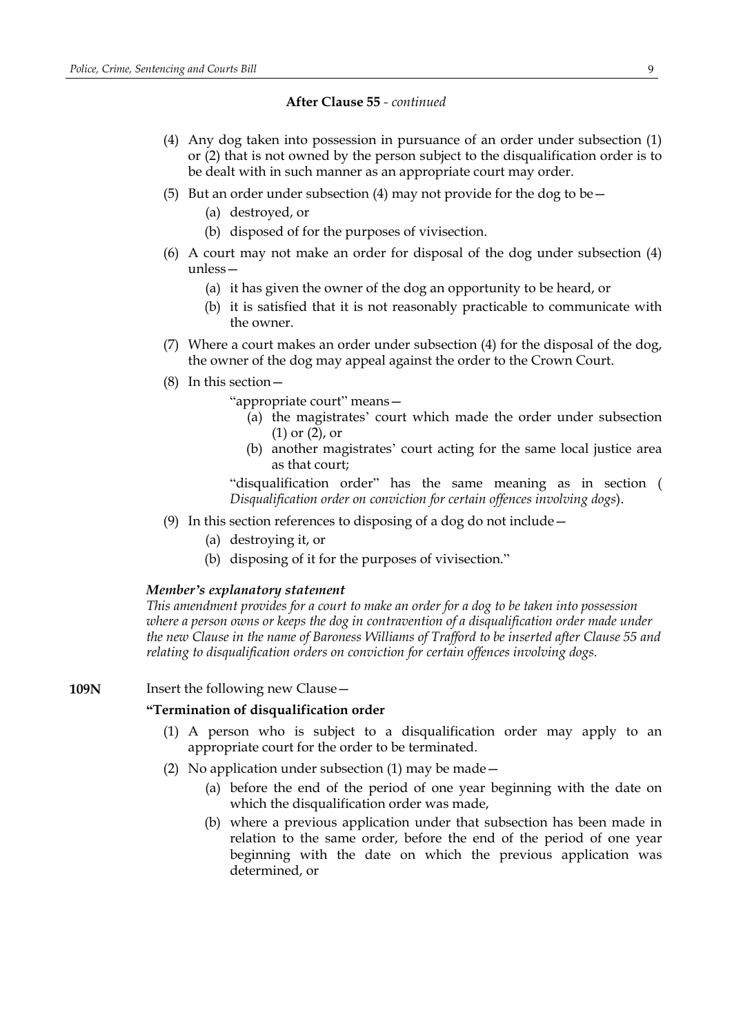- (4) Any dog taken into possession in pursuance of an order under subsection (1) or (2) that is not owned by the person subject to the disqualification order is to be dealt with in such manner as an appropriate court may order.
- (5) But an order under subsection (4) may not provide for the dog to be  $-$ 
	- (a) destroyed, or
	- (b) disposed of for the purposes of vivisection.
- (6) A court may not make an order for disposal of the dog under subsection (4) unless—
	- (a) it has given the owner of the dog an opportunity to be heard, or
	- (b) it is satisfied that it is not reasonably practicable to communicate with the owner.
- (7) Where a court makes an order under subsection (4) for the disposal of the dog, the owner of the dog may appeal against the order to the Crown Court.
- (8) In this section—

"appropriate court" means—

- (a) the magistrates' court which made the order under subsection (1) or (2), or
- (b) another magistrates' court acting for the same local justice area as that court;

"disqualification order" has the same meaning as in section ( *Disqualification order on conviction for certain offences involving dogs*).

- (9) In this section references to disposing of a dog do not include—
	- (a) destroying it, or
	- (b) disposing of it for the purposes of vivisection."

### *Member's explanatory statement*

*This amendment provides for a court to make an order for a dog to be taken into possession where a person owns or keeps the dog in contravention of a disqualification order made under the new Clause in the name of Baroness Williams of Trafford to be inserted after Clause 55 and relating to disqualification orders on conviction for certain offences involving dogs.*

### **109N** Insert the following new Clause –

### **"Termination of disqualification order**

- (1) A person who is subject to a disqualification order may apply to an appropriate court for the order to be terminated.
- (2) No application under subsection (1) may be made—
	- (a) before the end of the period of one year beginning with the date on which the disqualification order was made,
	- (b) where a previous application under that subsection has been made in relation to the same order, before the end of the period of one year beginning with the date on which the previous application was determined, or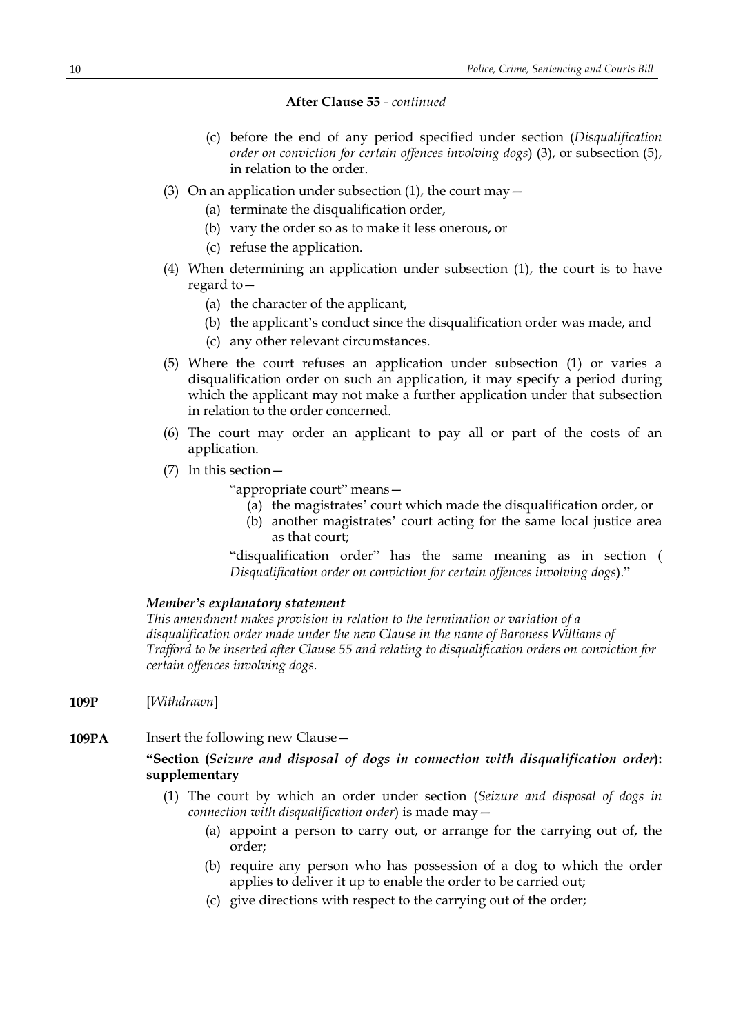- (c) before the end of any period specified under section (*Disqualification order on conviction for certain offences involving dogs*) (3), or subsection (5), in relation to the order.
- (3) On an application under subsection (1), the court may  $-$ 
	- (a) terminate the disqualification order.
	- (b) vary the order so as to make it less onerous, or
	- (c) refuse the application.
- (4) When determining an application under subsection (1), the court is to have regard to—
	- (a) the character of the applicant,
	- (b) the applicant's conduct since the disqualification order was made, and
	- (c) any other relevant circumstances.
- (5) Where the court refuses an application under subsection (1) or varies a disqualification order on such an application, it may specify a period during which the applicant may not make a further application under that subsection in relation to the order concerned.
- (6) The court may order an applicant to pay all or part of the costs of an application.
- (7) In this section—

"appropriate court" means—

- (a) the magistrates' court which made the disqualification order, or
- (b) another magistrates' court acting for the same local justice area as that court;

"disqualification order" has the same meaning as in section ( *Disqualification order on conviction for certain offences involving dogs*)."

### *Member's explanatory statement*

*This amendment makes provision in relation to the termination or variation of a disqualification order made under the new Clause in the name of Baroness Williams of Trafford to be inserted after Clause 55 and relating to disqualification orders on conviction for certain offences involving dogs.*

- **109P** [*Withdrawn*]
- **109PA** Insert the following new Clause -

## **"Section (***Seizure and disposal of dogs in connection with disqualification order***): supplementary**

- (1) The court by which an order under section (*Seizure and disposal of dogs in connection with disqualification order*) is made may—
	- (a) appoint a person to carry out, or arrange for the carrying out of, the order;
	- (b) require any person who has possession of a dog to which the order applies to deliver it up to enable the order to be carried out;
	- (c) give directions with respect to the carrying out of the order;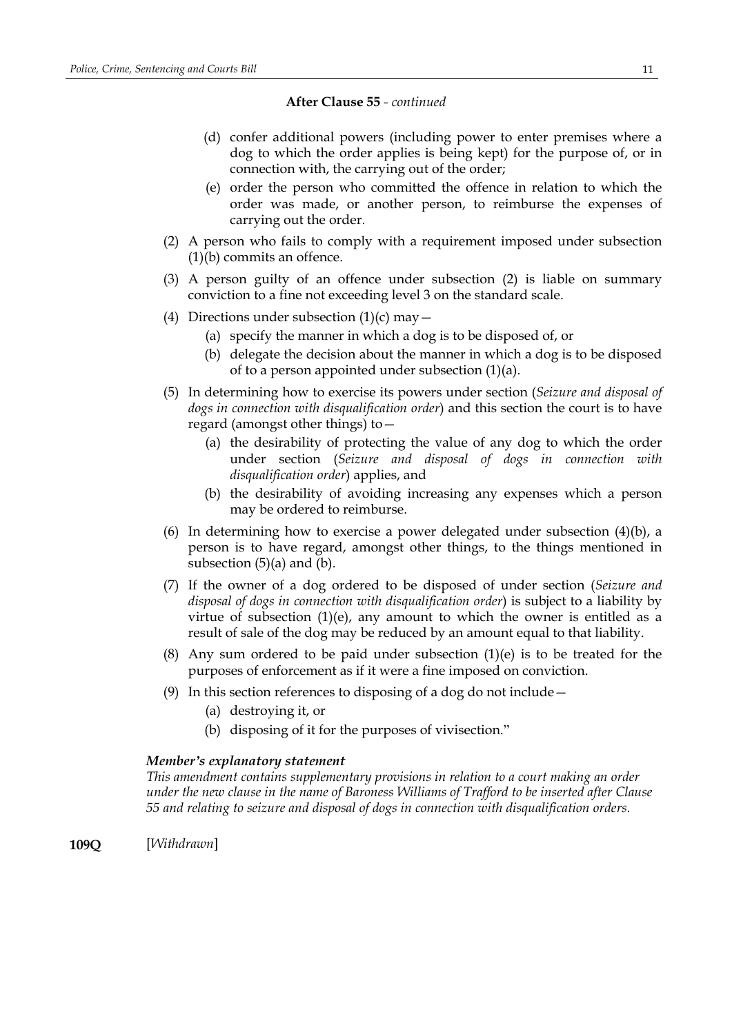- (d) confer additional powers (including power to enter premises where a dog to which the order applies is being kept) for the purpose of, or in connection with, the carrying out of the order;
- (e) order the person who committed the offence in relation to which the order was made, or another person, to reimburse the expenses of carrying out the order.
- (2) A person who fails to comply with a requirement imposed under subsection (1)(b) commits an offence.
- (3) A person guilty of an offence under subsection (2) is liable on summary conviction to a fine not exceeding level 3 on the standard scale.
- (4) Directions under subsection  $(1)(c)$  may  $-$ 
	- (a) specify the manner in which a dog is to be disposed of, or
	- (b) delegate the decision about the manner in which a dog is to be disposed of to a person appointed under subsection (1)(a).
- (5) In determining how to exercise its powers under section (*Seizure and disposal of dogs in connection with disqualification order*) and this section the court is to have regard (amongst other things) to—
	- (a) the desirability of protecting the value of any dog to which the order under section (*Seizure and disposal of dogs in connection with disqualification order*) applies, and
	- (b) the desirability of avoiding increasing any expenses which a person may be ordered to reimburse.
- (6) In determining how to exercise a power delegated under subsection (4)(b), a person is to have regard, amongst other things, to the things mentioned in subsection  $(5)(a)$  and  $(b)$ .
- (7) If the owner of a dog ordered to be disposed of under section (*Seizure and disposal of dogs in connection with disqualification order*) is subject to a liability by virtue of subsection  $(1)(e)$ , any amount to which the owner is entitled as a result of sale of the dog may be reduced by an amount equal to that liability.
- (8) Any sum ordered to be paid under subsection (1)(e) is to be treated for the purposes of enforcement as if it were a fine imposed on conviction.
- (9) In this section references to disposing of a dog do not include—
	- (a) destroying it, or
	- (b) disposing of it for the purposes of vivisection."

### *Member's explanatory statement*

*This amendment contains supplementary provisions in relation to a court making an order under the new clause in the name of Baroness Williams of Trafford to be inserted after Clause 55 and relating to seizure and disposal of dogs in connection with disqualification orders.*

**109Q** [*Withdrawn*]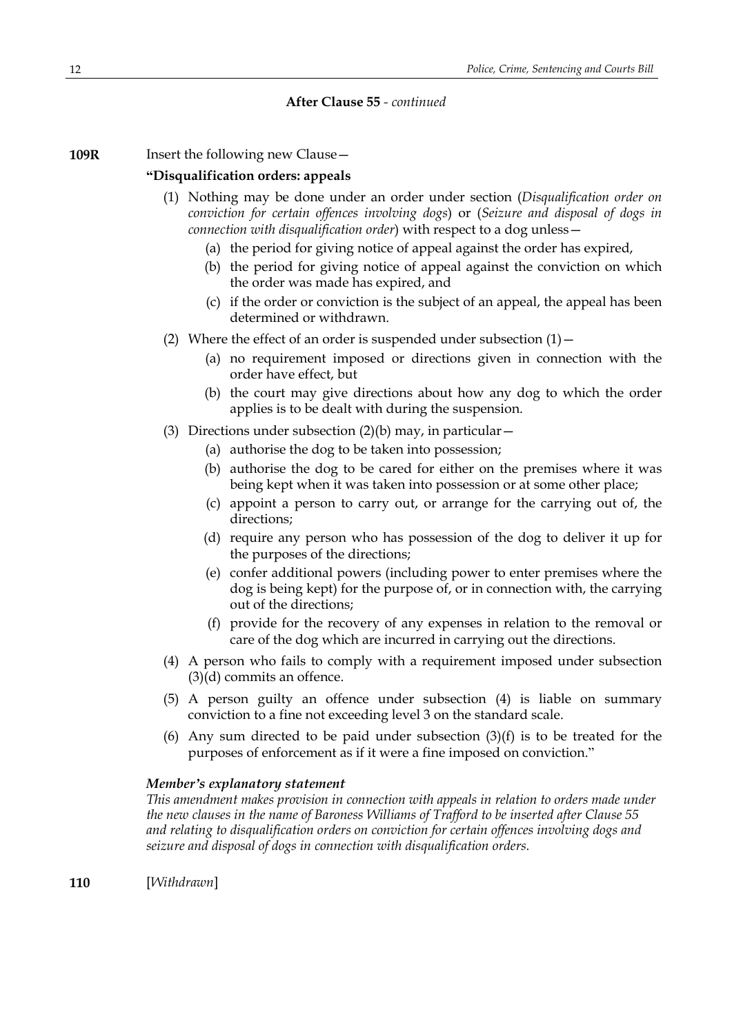**109R** Insert the following new Clause -

## **"Disqualification orders: appeals**

- (1) Nothing may be done under an order under section (*Disqualification order on conviction for certain offences involving dogs*) or (*Seizure and disposal of dogs in connection with disqualification order*) with respect to a dog unless—
	- (a) the period for giving notice of appeal against the order has expired,
	- (b) the period for giving notice of appeal against the conviction on which the order was made has expired, and
	- (c) if the order or conviction is the subject of an appeal, the appeal has been determined or withdrawn.
- (2) Where the effect of an order is suspended under subsection  $(1)$  -
	- (a) no requirement imposed or directions given in connection with the order have effect, but
	- (b) the court may give directions about how any dog to which the order applies is to be dealt with during the suspension.
- (3) Directions under subsection  $(2)(b)$  may, in particular  $-$ 
	- (a) authorise the dog to be taken into possession;
	- (b) authorise the dog to be cared for either on the premises where it was being kept when it was taken into possession or at some other place;
	- (c) appoint a person to carry out, or arrange for the carrying out of, the directions;
	- (d) require any person who has possession of the dog to deliver it up for the purposes of the directions;
	- (e) confer additional powers (including power to enter premises where the dog is being kept) for the purpose of, or in connection with, the carrying out of the directions;
	- (f) provide for the recovery of any expenses in relation to the removal or care of the dog which are incurred in carrying out the directions.
- (4) A person who fails to comply with a requirement imposed under subsection (3)(d) commits an offence.
- (5) A person guilty an offence under subsection (4) is liable on summary conviction to a fine not exceeding level 3 on the standard scale.
- (6) Any sum directed to be paid under subsection  $(3)(f)$  is to be treated for the purposes of enforcement as if it were a fine imposed on conviction."

## *Member's explanatory statement*

*This amendment makes provision in connection with appeals in relation to orders made under the new clauses in the name of Baroness Williams of Trafford to be inserted after Clause 55 and relating to disqualification orders on conviction for certain offences involving dogs and seizure and disposal of dogs in connection with disqualification orders.*

**110** [*Withdrawn*]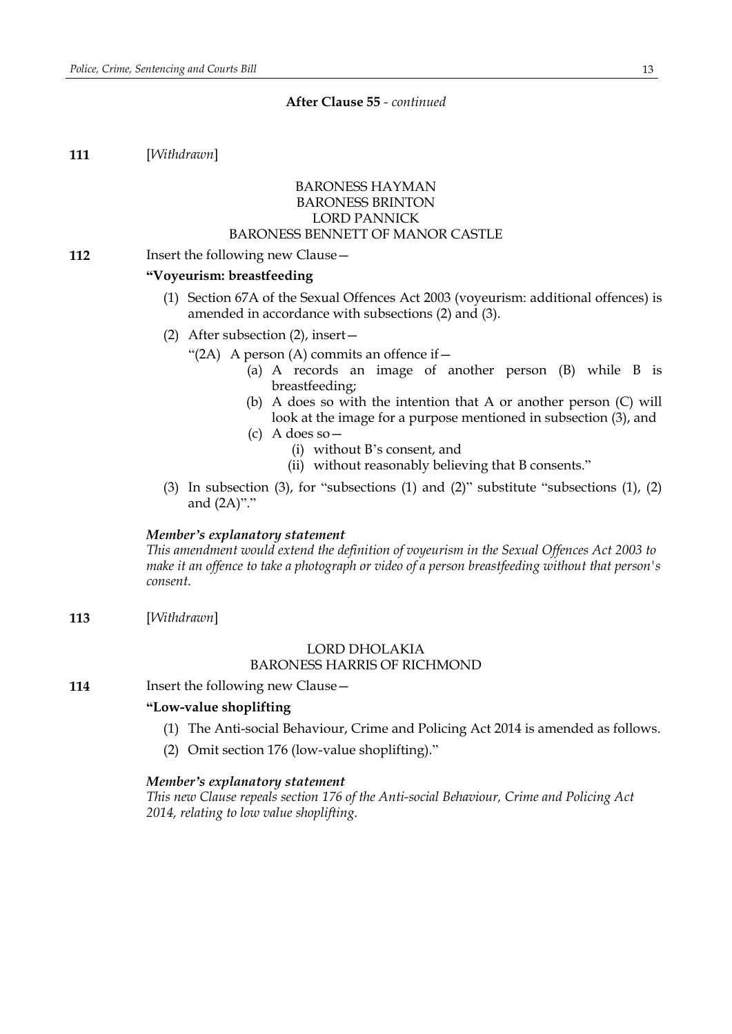**111** [*Withdrawn*]

## BARONESS HAYMAN BARONESS BRINTON LORD PANNICK BARONESS BENNETT OF MANOR CASTLE

### **112** Insert the following new Clause -

## **"Voyeurism: breastfeeding**

- (1) Section 67A of the Sexual Offences Act 2003 (voyeurism: additional offences) is amended in accordance with subsections (2) and (3).
- (2) After subsection (2), insert—
	- "(2A) A person (A) commits an offence if  $-$ 
		- (a) A records an image of another person (B) while B is breastfeeding;
		- (b) A does so with the intention that A or another person (C) will look at the image for a purpose mentioned in subsection (3), and
		- (c) A does so—
			- (i) without B's consent, and
			- (ii) without reasonably believing that B consents."
- (3) In subsection (3), for "subsections (1) and (2)" substitute "subsections (1), (2) and (2A)"."

### *Member's explanatory statement*

*This amendment would extend the definition of voyeurism in the Sexual Offences Act 2003 to make it an offence to take a photograph or video of a person breastfeeding without that person's consent.*

**113** [*Withdrawn*]

## LORD DHOLAKIA

## BARONESS HARRIS OF RICHMOND

**114** Insert the following new Clause –

## **"Low-value shoplifting**

- (1) The Anti-social Behaviour, Crime and Policing Act 2014 is amended as follows.
- (2) Omit section 176 (low-value shoplifting)."

#### *Member's explanatory statement*

*This new Clause repeals section 176 of the Anti-social Behaviour, Crime and Policing Act 2014, relating to low value shoplifting.*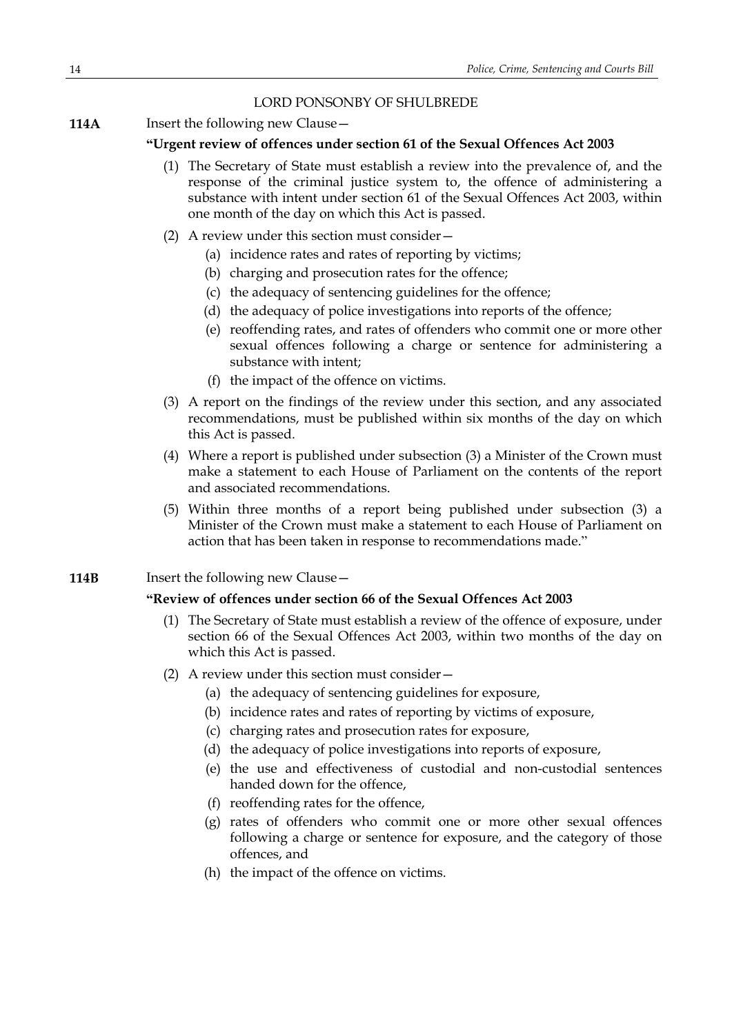## LORD PONSONBY OF SHULBREDE

**114A** Insert the following new Clause –

## **"Urgent review of offences under section 61 of the Sexual Offences Act 2003**

- (1) The Secretary of State must establish a review into the prevalence of, and the response of the criminal justice system to, the offence of administering a substance with intent under section 61 of the Sexual Offences Act 2003, within one month of the day on which this Act is passed.
- (2) A review under this section must consider—
	- (a) incidence rates and rates of reporting by victims;
	- (b) charging and prosecution rates for the offence;
	- (c) the adequacy of sentencing guidelines for the offence;
	- (d) the adequacy of police investigations into reports of the offence;
	- (e) reoffending rates, and rates of offenders who commit one or more other sexual offences following a charge or sentence for administering a substance with intent;
	- (f) the impact of the offence on victims.
- (3) A report on the findings of the review under this section, and any associated recommendations, must be published within six months of the day on which this Act is passed.
- (4) Where a report is published under subsection (3) a Minister of the Crown must make a statement to each House of Parliament on the contents of the report and associated recommendations.
- (5) Within three months of a report being published under subsection (3) a Minister of the Crown must make a statement to each House of Parliament on action that has been taken in response to recommendations made."
- **114B** Insert the following new Clause –

## **"Review of offences under section 66 of the Sexual Offences Act 2003**

- (1) The Secretary of State must establish a review of the offence of exposure, under section 66 of the Sexual Offences Act 2003, within two months of the day on which this Act is passed.
- (2) A review under this section must consider—
	- (a) the adequacy of sentencing guidelines for exposure,
	- (b) incidence rates and rates of reporting by victims of exposure,
	- (c) charging rates and prosecution rates for exposure,
	- (d) the adequacy of police investigations into reports of exposure,
	- (e) the use and effectiveness of custodial and non-custodial sentences handed down for the offence,
	- (f) reoffending rates for the offence,
	- (g) rates of offenders who commit one or more other sexual offences following a charge or sentence for exposure, and the category of those offences, and
	- (h) the impact of the offence on victims.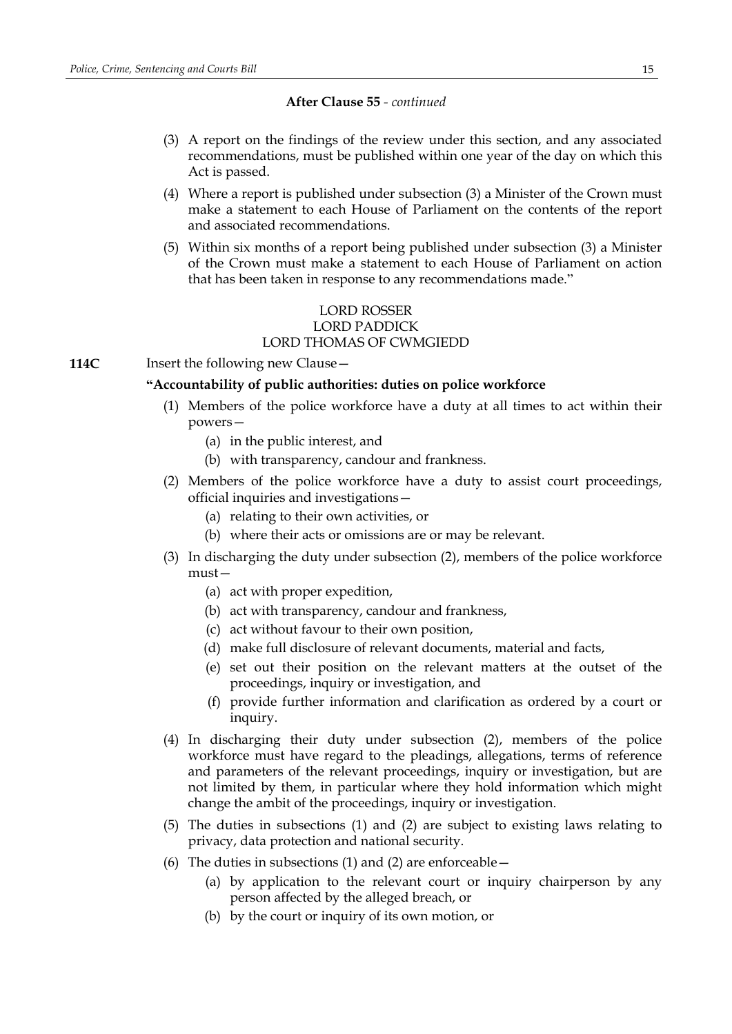- (3) A report on the findings of the review under this section, and any associated recommendations, must be published within one year of the day on which this Act is passed.
- (4) Where a report is published under subsection (3) a Minister of the Crown must make a statement to each House of Parliament on the contents of the report and associated recommendations.
- (5) Within six months of a report being published under subsection (3) a Minister of the Crown must make a statement to each House of Parliament on action that has been taken in response to any recommendations made."

## LORD ROSSER LORD PADDICK LORD THOMAS OF CWMGIEDD

**114C** Insert the following new Clause –

## **"Accountability of public authorities: duties on police workforce**

- (1) Members of the police workforce have a duty at all times to act within their powers—
	- (a) in the public interest, and
	- (b) with transparency, candour and frankness.
- (2) Members of the police workforce have a duty to assist court proceedings, official inquiries and investigations—
	- (a) relating to their own activities, or
	- (b) where their acts or omissions are or may be relevant.
- (3) In discharging the duty under subsection (2), members of the police workforce must—
	- (a) act with proper expedition,
	- (b) act with transparency, candour and frankness,
	- (c) act without favour to their own position,
	- (d) make full disclosure of relevant documents, material and facts,
	- (e) set out their position on the relevant matters at the outset of the proceedings, inquiry or investigation, and
	- (f) provide further information and clarification as ordered by a court or inquiry.
- (4) In discharging their duty under subsection (2), members of the police workforce must have regard to the pleadings, allegations, terms of reference and parameters of the relevant proceedings, inquiry or investigation, but are not limited by them, in particular where they hold information which might change the ambit of the proceedings, inquiry or investigation.
- (5) The duties in subsections (1) and (2) are subject to existing laws relating to privacy, data protection and national security.
- (6) The duties in subsections (1) and (2) are enforceable  $-$ 
	- (a) by application to the relevant court or inquiry chairperson by any person affected by the alleged breach, or
	- (b) by the court or inquiry of its own motion, or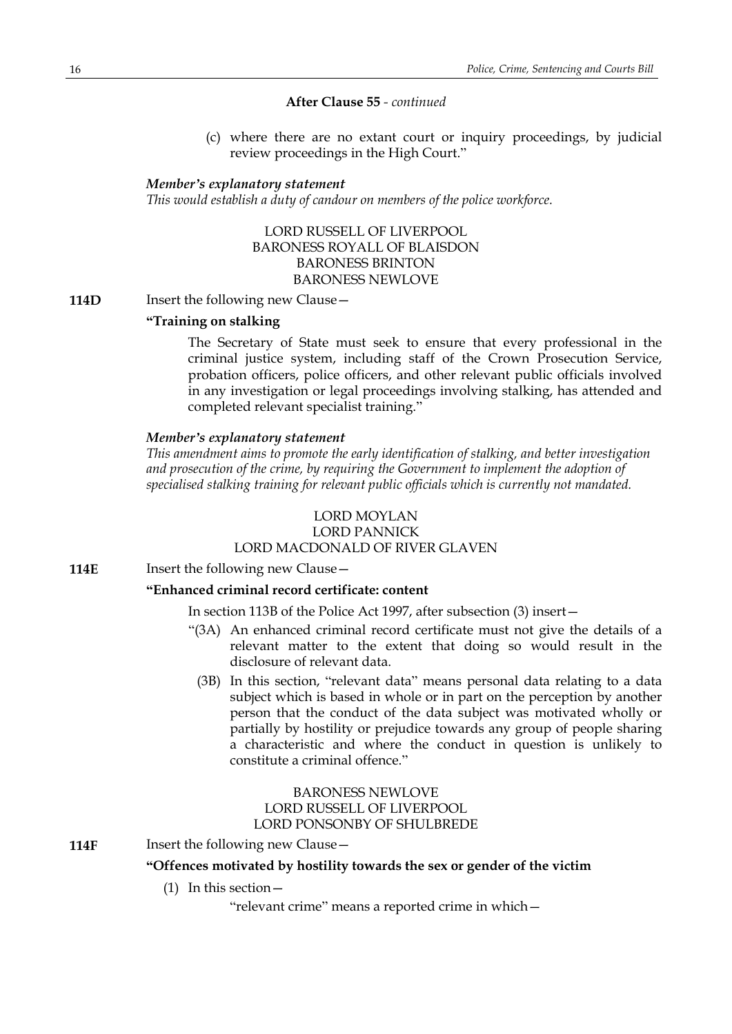(c) where there are no extant court or inquiry proceedings, by judicial review proceedings in the High Court."

### *Member's explanatory statement*

*This would establish a duty of candour on members of the police workforce.*

LORD RUSSELL OF LIVERPOOL BARONESS ROYALL OF BLAISDON BARONESS BRINTON BARONESS NEWLOVE

**114D** Insert the following new Clause -

### **"Training on stalking**

The Secretary of State must seek to ensure that every professional in the criminal justice system, including staff of the Crown Prosecution Service, probation officers, police officers, and other relevant public officials involved in any investigation or legal proceedings involving stalking, has attended and completed relevant specialist training."

### *Member's explanatory statement*

*This amendment aims to promote the early identification of stalking, and better investigation and prosecution of the crime, by requiring the Government to implement the adoption of specialised stalking training for relevant public officials which is currently not mandated.*

## LORD MOYLAN

## LORD PANNICK

## LORD MACDONALD OF RIVER GLAVEN

**114E** Insert the following new Clause –

### **"Enhanced criminal record certificate: content**

In section 113B of the Police Act 1997, after subsection (3) insert—

- "(3A) An enhanced criminal record certificate must not give the details of a relevant matter to the extent that doing so would result in the disclosure of relevant data.
	- (3B) In this section, "relevant data" means personal data relating to a data subject which is based in whole or in part on the perception by another person that the conduct of the data subject was motivated wholly or partially by hostility or prejudice towards any group of people sharing a characteristic and where the conduct in question is unlikely to constitute a criminal offence."

## BARONESS NEWLOVE LORD RUSSELL OF LIVERPOOL LORD PONSONBY OF SHULBREDE

**114F** Insert the following new Clause –

## **"Offences motivated by hostility towards the sex or gender of the victim**

(1) In this section—

"relevant crime" means a reported crime in which—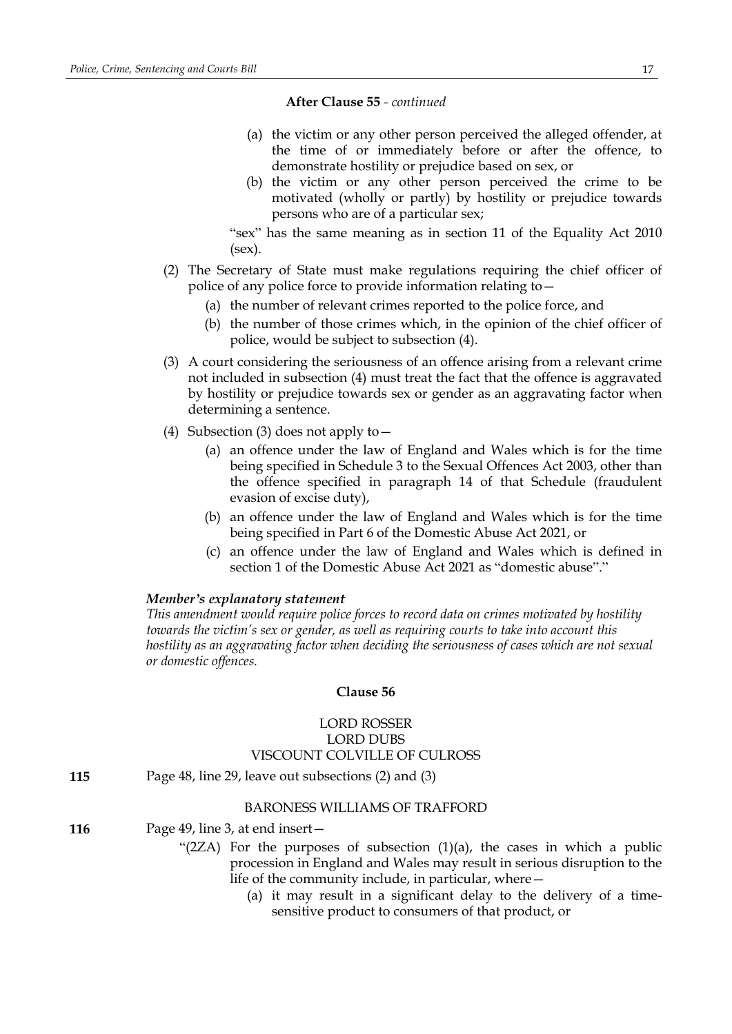- (a) the victim or any other person perceived the alleged offender, at the time of or immediately before or after the offence, to demonstrate hostility or prejudice based on sex, or
- (b) the victim or any other person perceived the crime to be motivated (wholly or partly) by hostility or prejudice towards persons who are of a particular sex;

"sex" has the same meaning as in section 11 of the Equality Act 2010 (sex).

- (2) The Secretary of State must make regulations requiring the chief officer of police of any police force to provide information relating to—
	- (a) the number of relevant crimes reported to the police force, and
	- (b) the number of those crimes which, in the opinion of the chief officer of police, would be subject to subsection (4).
- (3) A court considering the seriousness of an offence arising from a relevant crime not included in subsection (4) must treat the fact that the offence is aggravated by hostility or prejudice towards sex or gender as an aggravating factor when determining a sentence.
- (4) Subsection (3) does not apply to—
	- (a) an offence under the law of England and Wales which is for the time being specified in Schedule 3 to the Sexual Offences Act 2003, other than the offence specified in paragraph 14 of that Schedule (fraudulent evasion of excise duty),
	- (b) an offence under the law of England and Wales which is for the time being specified in Part 6 of the Domestic Abuse Act 2021, or
	- (c) an offence under the law of England and Wales which is defined in section 1 of the Domestic Abuse Act 2021 as "domestic abuse"."

## *Member's explanatory statement*

*This amendment would require police forces to record data on crimes motivated by hostility towards the victim's sex or gender, as well as requiring courts to take into account this hostility as an aggravating factor when deciding the seriousness of cases which are not sexual or domestic offences.*

### **Clause 56**

## LORD ROSSER LORD DUBS VISCOUNT COLVILLE OF CULROSS

**115** Page 48, line 29, leave out subsections (2) and (3)

### BARONESS WILLIAMS OF TRAFFORD

- **116** Page 49, line 3, at end insert—
	- " $(2ZA)$  For the purposes of subsection  $(1)(a)$ , the cases in which a public procession in England and Wales may result in serious disruption to the life of the community include, in particular, where—
		- (a) it may result in a significant delay to the delivery of a timesensitive product to consumers of that product, or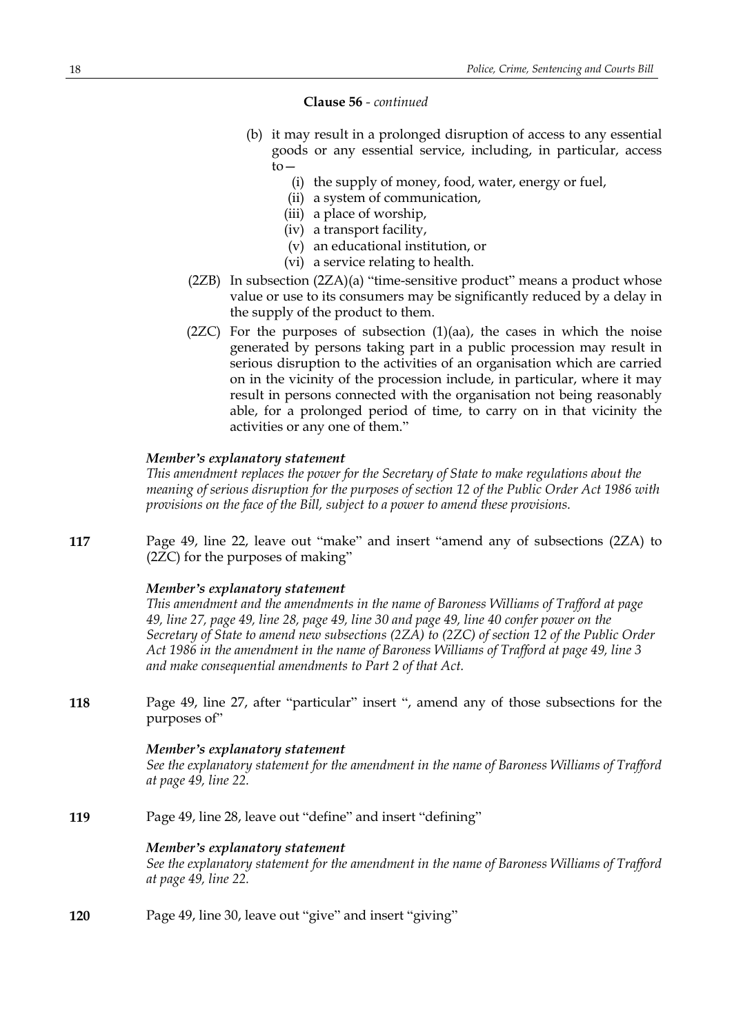### **Clause 56** *- continued*

- (b) it may result in a prolonged disruption of access to any essential goods or any essential service, including, in particular, access  $to-$ 
	- (i) the supply of money, food, water, energy or fuel,
	- (ii) a system of communication,
	- (iii) a place of worship,
	- (iv) a transport facility,
	- (v) an educational institution, or
	- (vi) a service relating to health.
- (2ZB) In subsection (2ZA)(a) "time-sensitive product" means a product whose value or use to its consumers may be significantly reduced by a delay in the supply of the product to them.
- $(2ZC)$  For the purposes of subsection  $(1)(aa)$ , the cases in which the noise generated by persons taking part in a public procession may result in serious disruption to the activities of an organisation which are carried on in the vicinity of the procession include, in particular, where it may result in persons connected with the organisation not being reasonably able, for a prolonged period of time, to carry on in that vicinity the activities or any one of them."

### *Member's explanatory statement*

*This amendment replaces the power for the Secretary of State to make regulations about the meaning of serious disruption for the purposes of section 12 of the Public Order Act 1986 with provisions on the face of the Bill, subject to a power to amend these provisions.*

**117** Page 49, line 22, leave out "make" and insert "amend any of subsections (2ZA) to (2ZC) for the purposes of making"

## *Member's explanatory statement*

*This amendment and the amendments in the name of Baroness Williams of Trafford at page* 49, line 27, page 49, line 28, page 49, line 30 and page 49, line 40 confer power on the *Secretary of State to amend new subsections (2ZA) to (2ZC) of section 12 of the Public Order Act 1986 in the amendment in the name of Baroness Williams of Trafford at page 49, line 3 and make consequential amendments to Part 2 of that Act.*

**118** Page 49, line 27, after "particular" insert ", amend any of those subsections for the purposes of"

### *Member's explanatory statement*

*See the explanatory statement for the amendment in the name of Baroness Williams of Trafford at page 49, line 22.*

**119** Page 49, line 28, leave out "define" and insert "defining"

### *Member's explanatory statement*

*See the explanatory statement for the amendment in the name of Baroness Williams of Trafford at page 49, line 22.*

**120** Page 49, line 30, leave out "give" and insert "giving"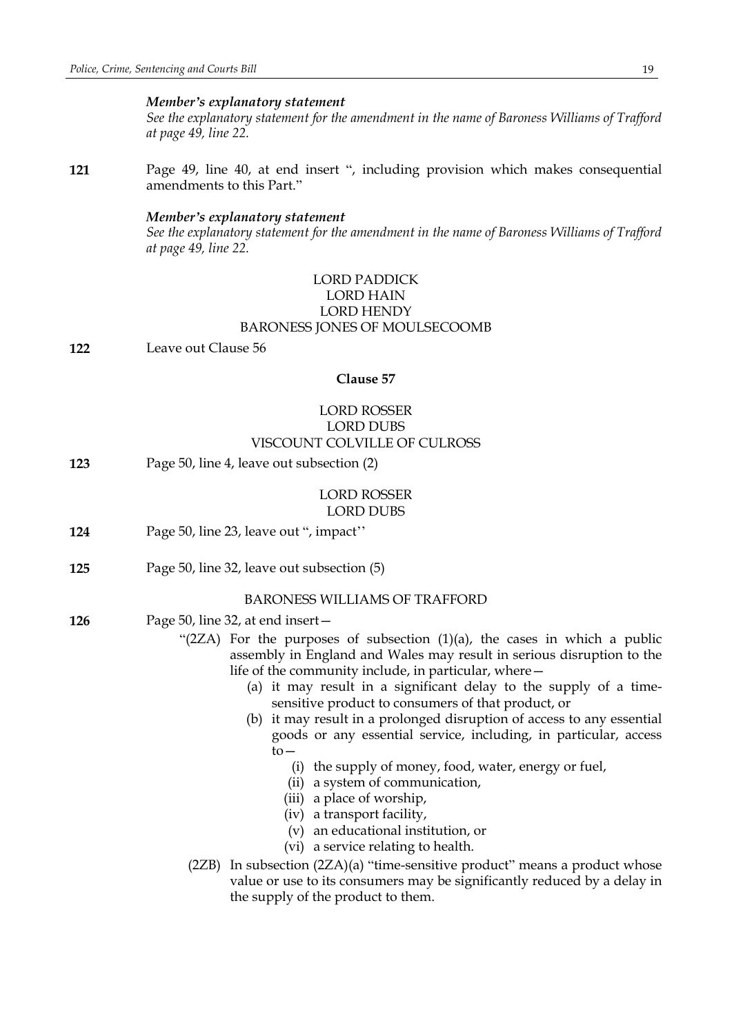### *Member's explanatory statement*

*See the explanatory statement for the amendment in the name of Baroness Williams of Trafford at page 49, line 22.*

**121** Page 49, line 40, at end insert ", including provision which makes consequential amendments to this Part."

### *Member's explanatory statement*

*See the explanatory statement for the amendment in the name of Baroness Williams of Trafford at page 49, line 22.*

## LORD PADDICK LORD HAIN LORD HENDY BARONESS JONES OF MOULSECOOMB

**122** Leave out Clause 56

### **Clause 57**

## LORD ROSSER LORD DUBS VISCOUNT COLVILLE OF CULROSS

**123** Page 50, line 4, leave out subsection (2)

### LORD ROSSER LORD DUBS

- **124** Page 50, line 23, leave out ", impact''
- **125** Page 50, line 32, leave out subsection (5)

### BARONESS WILLIAMS OF TRAFFORD

- **126** Page 50, line 32, at end insert—
	- "(2ZA) For the purposes of subsection  $(1)(a)$ , the cases in which a public assembly in England and Wales may result in serious disruption to the life of the community include, in particular, where—
		- (a) it may result in a significant delay to the supply of a timesensitive product to consumers of that product, or
		- (b) it may result in a prolonged disruption of access to any essential goods or any essential service, including, in particular, access  $to-$ 
			- (i) the supply of money, food, water, energy or fuel,
			- (ii) a system of communication,
			- (iii) a place of worship,
			- (iv) a transport facility,
			- (v) an educational institution, or
			- (vi) a service relating to health.
		- (2ZB) In subsection (2ZA)(a) "time-sensitive product" means a product whose value or use to its consumers may be significantly reduced by a delay in the supply of the product to them.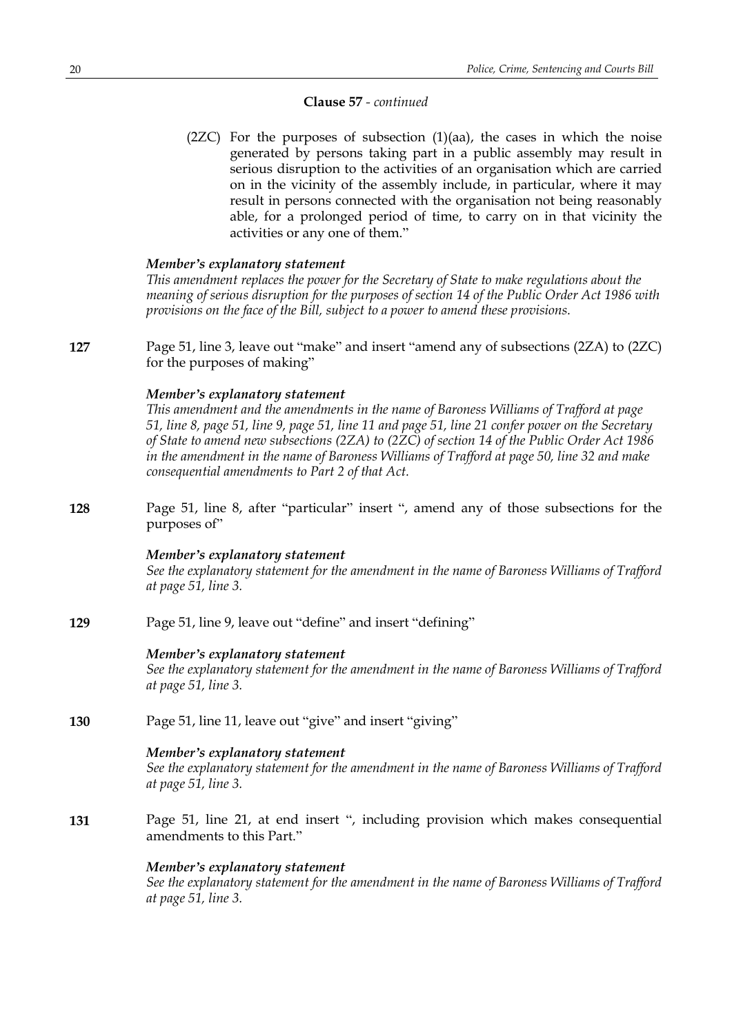### **Clause 57** *- continued*

 $(2ZC)$  For the purposes of subsection  $(1)(aa)$ , the cases in which the noise generated by persons taking part in a public assembly may result in serious disruption to the activities of an organisation which are carried on in the vicinity of the assembly include, in particular, where it may result in persons connected with the organisation not being reasonably able, for a prolonged period of time, to carry on in that vicinity the activities or any one of them."

### *Member's explanatory statement*

*This amendment replaces the power for the Secretary of State to make regulations about the meaning of serious disruption for the purposes of section 14 of the Public Order Act 1986 with provisions on the face of the Bill, subject to a power to amend these provisions.*

**127** Page 51, line 3, leave out "make" and insert "amend any of subsections (2ZA) to (2ZC) for the purposes of making"

### *Member's explanatory statement*

*This amendment and the amendments in the name of Baroness Williams of Trafford at page* 51, line 8, page 51, line 9, page 51, line 11 and page 51, line 21 confer power on the Secretary *of State to amend new subsections (2ZA) to (2ZC) of section 14 of the Public Order Act 1986 in the amendment in the name of Baroness Williams of Trafford at page 50, line 32 and make consequential amendments to Part 2 of that Act.*

**128** Page 51, line 8, after "particular" insert ", amend any of those subsections for the purposes of"

### *Member's explanatory statement*

*See the explanatory statement for the amendment in the name of Baroness Williams of Trafford at page 51, line 3.*

**129** Page 51, line 9, leave out "define" and insert "defining"

### *Member's explanatory statement*

*See the explanatory statement for the amendment in the name of Baroness Williams of Trafford at page 51, line 3.*

**130** Page 51, line 11, leave out "give" and insert "giving"

### *Member's explanatory statement*

*See the explanatory statement for the amendment in the name of Baroness Williams of Trafford at page 51, line 3.*

**131** Page 51, line 21, at end insert ", including provision which makes consequential amendments to this Part."

### *Member's explanatory statement*

*See the explanatory statement for the amendment in the name of Baroness Williams of Trafford at page 51, line 3.*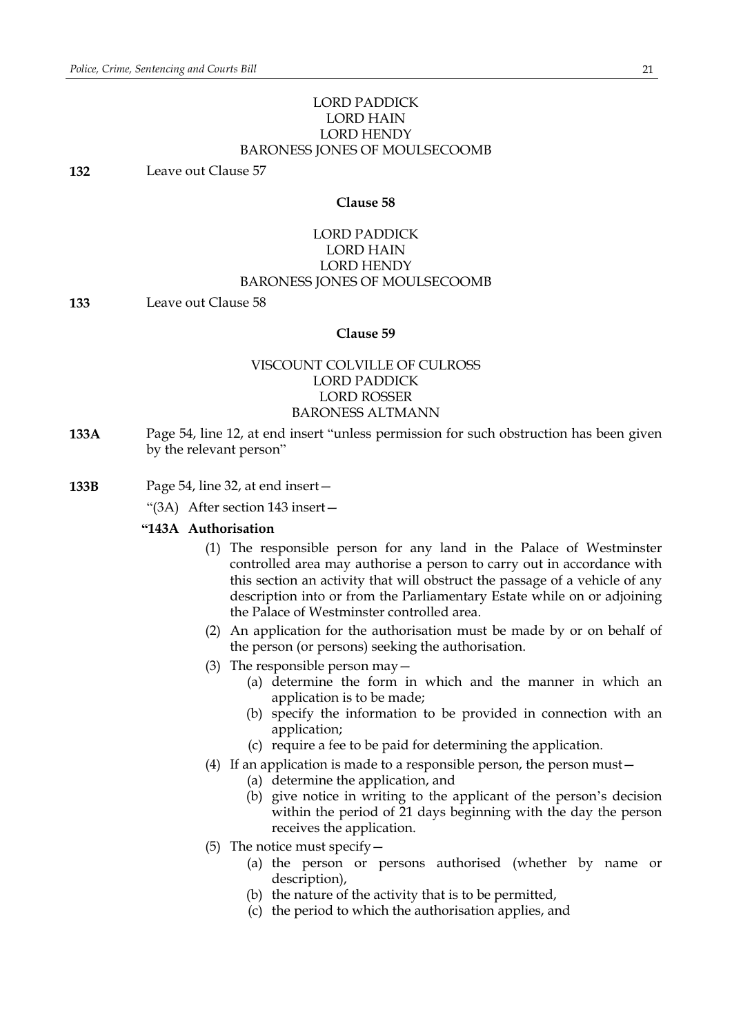## LORD PADDICK LORD HAIN LORD HENDY BARONESS JONES OF MOULSECOOMB

**132** Leave out Clause 57

## **Clause 58**

## LORD PADDICK LORD HAIN LORD HENDY BARONESS JONES OF MOULSECOOMB

**133** Leave out Clause 58

### **Clause 59**

## VISCOUNT COLVILLE OF CULROSS LORD PADDICK LORD ROSSER BARONESS ALTMANN

- **133A** Page 54, line 12, at end insert "unless permission for such obstruction has been given by the relevant person"
- **133B** Page 54, line 32, at end insert—
	- "(3A) After section 143 insert—

### **"143A Authorisation**

- (1) The responsible person for any land in the Palace of Westminster controlled area may authorise a person to carry out in accordance with this section an activity that will obstruct the passage of a vehicle of any description into or from the Parliamentary Estate while on or adjoining the Palace of Westminster controlled area.
- (2) An application for the authorisation must be made by or on behalf of the person (or persons) seeking the authorisation.
- (3) The responsible person may—
	- (a) determine the form in which and the manner in which an application is to be made;
	- (b) specify the information to be provided in connection with an application;
	- (c) require a fee to be paid for determining the application.
- (4) If an application is made to a responsible person, the person must—
	- (a) determine the application, and
	- (b) give notice in writing to the applicant of the person's decision within the period of 21 days beginning with the day the person receives the application.
- (5) The notice must specify—
	- (a) the person or persons authorised (whether by name or description),
	- (b) the nature of the activity that is to be permitted,
	- (c) the period to which the authorisation applies, and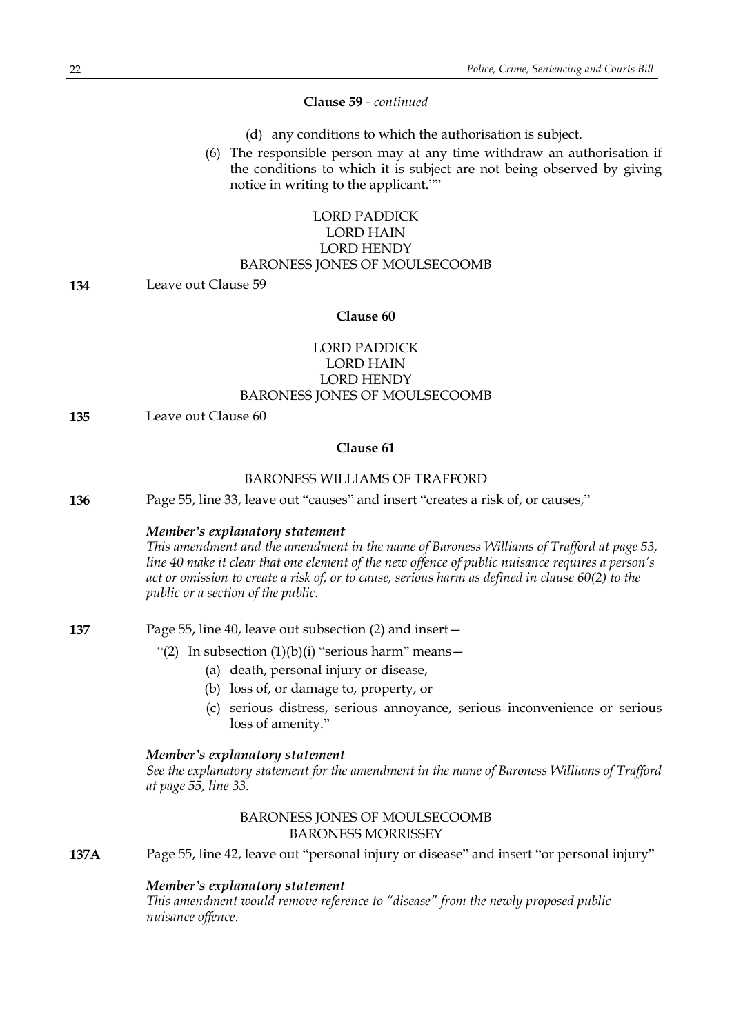### **Clause 59** *- continued*

- (d) any conditions to which the authorisation is subject.
- (6) The responsible person may at any time withdraw an authorisation if the conditions to which it is subject are not being observed by giving notice in writing to the applicant.""

## LORD PADDICK LORD HAIN LORD HENDY BARONESS JONES OF MOULSECOOMB

**134** Leave out Clause 59

### **Clause 60**

## LORD PADDICK LORD HAIN LORD HENDY BARONESS JONES OF MOULSECOOMB

**135** Leave out Clause 60

### **Clause 61**

## BARONESS WILLIAMS OF TRAFFORD

**136** Page 55, line 33, leave out "causes" and insert "creates a risk of, or causes,"

### *Member's explanatory statement*

*This amendment and the amendment in the name of Baroness Williams of Trafford at page 53, line 40 make it clear that one element of the new offence of public nuisance requires a person's* act or omission to create a risk of, or to cause, serious harm as defined in clause 60(2) to the *public or a section of the public.*

**137** Page 55, line 40, leave out subsection (2) and insert—

## "(2) In subsection  $(1)(b)(i)$  "serious harm" means -

- (a) death, personal injury or disease,
- (b) loss of, or damage to, property, or
- (c) serious distress, serious annoyance, serious inconvenience or serious loss of amenity."

## *Member's explanatory statement*

*See the explanatory statement for the amendment in the name of Baroness Williams of Trafford at page 55, line 33.*

## BARONESS JONES OF MOULSECOOMB BARONESS MORRISSEY

**137A** Page 55, line 42, leave out "personal injury or disease" and insert "or personal injury"

### *Member's explanatory statement*

*This amendment would remove reference to "disease" from the newly proposed public nuisance offence.*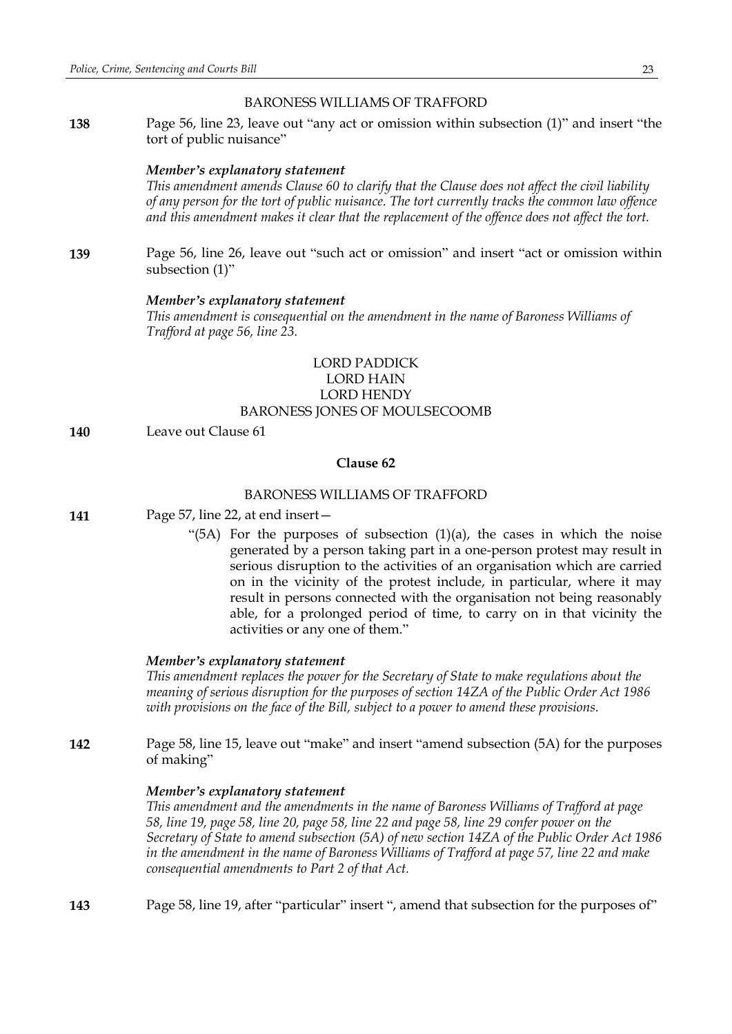### BARONESS WILLIAMS OF TRAFFORD

**138** Page 56, line 23, leave out "any act or omission within subsection (1)" and insert "the tort of public nuisance"

### *Member's explanatory statement*

*This amendment amends Clause 60 to clarify that the Clause does not affect the civil liability of any person for the tort of public nuisance. The tort currently tracks the common law offence and this amendment makes it clear that the replacement of the offence does not affect the tort.*

**139** Page 56, line 26, leave out "such act or omission" and insert "act or omission within subsection (1)"

### *Member's explanatory statement*

*This amendment is consequential on the amendment in the name of Baroness Williams of Trafford at page 56, line 23.*

## LORD PADDICK LORD HAIN LORD HENDY BARONESS JONES OF MOULSECOOMB

**140** Leave out Clause 61

## **Clause 62**

## BARONESS WILLIAMS OF TRAFFORD

**141** Page 57, line 22, at end insert—

"(5A) For the purposes of subsection  $(1)(a)$ , the cases in which the noise generated by a person taking part in a one-person protest may result in serious disruption to the activities of an organisation which are carried on in the vicinity of the protest include, in particular, where it may result in persons connected with the organisation not being reasonably able, for a prolonged period of time, to carry on in that vicinity the activities or any one of them."

#### *Member's explanatory statement*

*This amendment replaces the power for the Secretary of State to make regulations about the meaning of serious disruption for the purposes of section 14ZA of the Public Order Act 1986 with provisions on the face of the Bill, subject to a power to amend these provisions.*

**142** Page 58, line 15, leave out "make" and insert "amend subsection (5A) for the purposes of making"

#### *Member's explanatory statement*

*This amendment and the amendments in the name of Baroness Williams of Trafford at page* 58, line 19, page 58, line 20, page 58, line 22 and page 58, line 29 confer power on the *Secretary of State to amend subsection (5A) of new section 14ZA of the Public Order Act 1986 in the amendment in the name of Baroness Williams of Trafford at page 57, line 22 and make consequential amendments to Part 2 of that Act.*

**143** Page 58, line 19, after "particular" insert ", amend that subsection for the purposes of"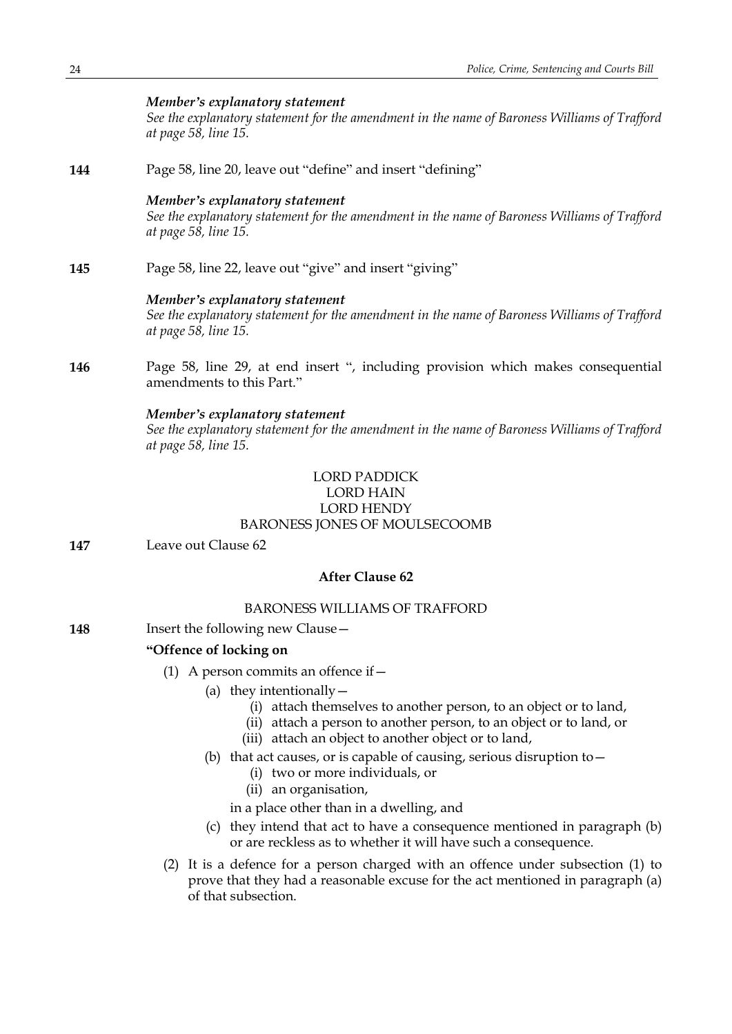## *Member's explanatory statement*

*See the explanatory statement for the amendment in the name of Baroness Williams of Trafford at page 58, line 15.*

**144** Page 58, line 20, leave out "define" and insert "defining"

### *Member's explanatory statement*

*See the explanatory statement for the amendment in the name of Baroness Williams of Trafford at page 58, line 15.*

**145** Page 58, line 22, leave out "give" and insert "giving"

### *Member's explanatory statement*

*See the explanatory statement for the amendment in the name of Baroness Williams of Trafford at page 58, line 15.*

**146** Page 58, line 29, at end insert ", including provision which makes consequential amendments to this Part."

### *Member's explanatory statement*

*See the explanatory statement for the amendment in the name of Baroness Williams of Trafford at page 58, line 15.*

## LORD PADDICK

### LORD HAIN LORD HENDY

## BARONESS JONES OF MOULSECOOMB

**147** Leave out Clause 62

## **After Clause 62**

## BARONESS WILLIAMS OF TRAFFORD

**148** Insert the following new Clause -

## **"Offence of locking on**

- (1) A person commits an offence if  $-$ 
	- (a) they intentionally  $-$ 
		- (i) attach themselves to another person, to an object or to land,
		- (ii) attach a person to another person, to an object or to land, or
		- (iii) attach an object to another object or to land,
	- (b) that act causes, or is capable of causing, serious disruption to  $-$ 
		- (i) two or more individuals, or
		- (ii) an organisation,

in a place other than in a dwelling, and

- (c) they intend that act to have a consequence mentioned in paragraph (b) or are reckless as to whether it will have such a consequence.
- (2) It is a defence for a person charged with an offence under subsection (1) to prove that they had a reasonable excuse for the act mentioned in paragraph (a) of that subsection.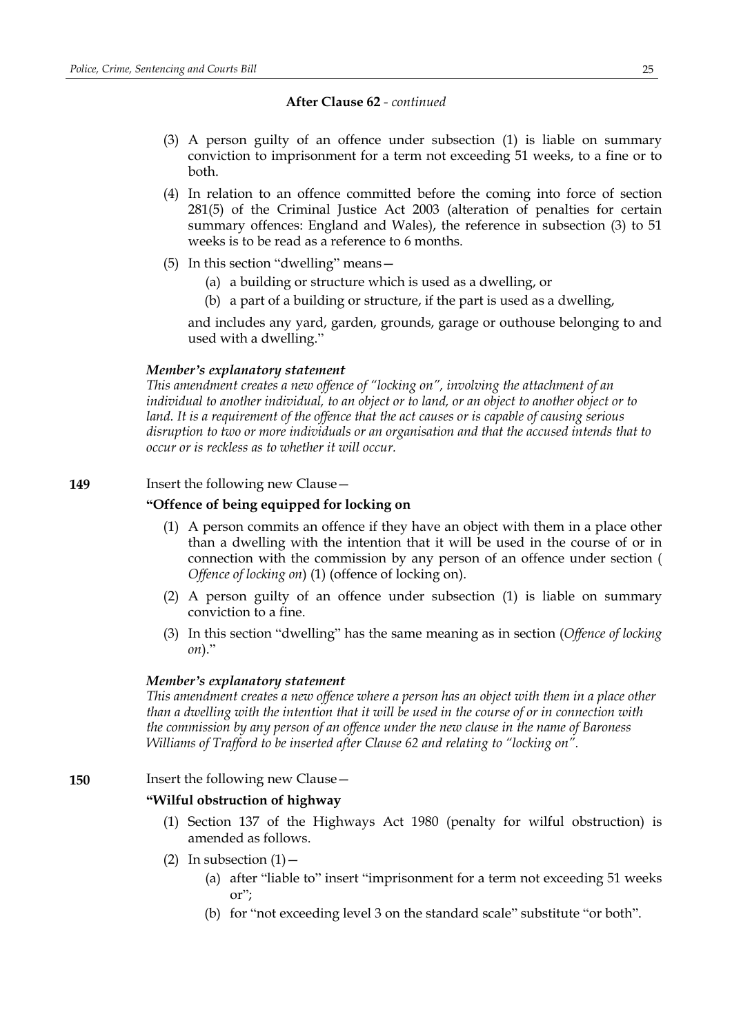- (3) A person guilty of an offence under subsection (1) is liable on summary conviction to imprisonment for a term not exceeding 51 weeks, to a fine or to both.
- (4) In relation to an offence committed before the coming into force of section 281(5) of the Criminal Justice Act 2003 (alteration of penalties for certain summary offences: England and Wales), the reference in subsection (3) to 51 weeks is to be read as a reference to 6 months.
- (5) In this section "dwelling" means—
	- (a) a building or structure which is used as a dwelling, or
	- (b) a part of a building or structure, if the part is used as a dwelling,

and includes any yard, garden, grounds, garage or outhouse belonging to and used with a dwelling."

### *Member's explanatory statement*

*This amendment creates a new offence of "locking on", involving the attachment of an individual to another individual, to an object or to land, or an object to another object or to land. It is a requirement of the offence that the act causes or is capable of causing serious disruption to two or more individuals or an organisation and that the accused intends that to occur or is reckless as to whether it will occur.*

## **149** Insert the following new Clause -

## **"Offence of being equipped for locking on**

- (1) A person commits an offence if they have an object with them in a place other than a dwelling with the intention that it will be used in the course of or in connection with the commission by any person of an offence under section ( *Offence of locking on*) (1) (offence of locking on).
- (2) A person guilty of an offence under subsection (1) is liable on summary conviction to a fine.
- (3) In this section "dwelling" has the same meaning as in section (*Offence of locking on*)."

## *Member's explanatory statement*

*This amendment creates a new offence where a person has an object with them in a place other* than a dwelling with the intention that it will be used in the course of or in connection with *the commission by any person of an offence under the new clause in the name of Baroness Williams of Trafford to be inserted after Clause 62 and relating to "locking on".*

## **150** Insert the following new Clause—

## **"Wilful obstruction of highway**

- (1) Section 137 of the Highways Act 1980 (penalty for wilful obstruction) is amended as follows.
- (2) In subsection  $(1)$ 
	- (a) after "liable to" insert "imprisonment for a term not exceeding 51 weeks or";
	- (b) for "not exceeding level 3 on the standard scale" substitute "or both".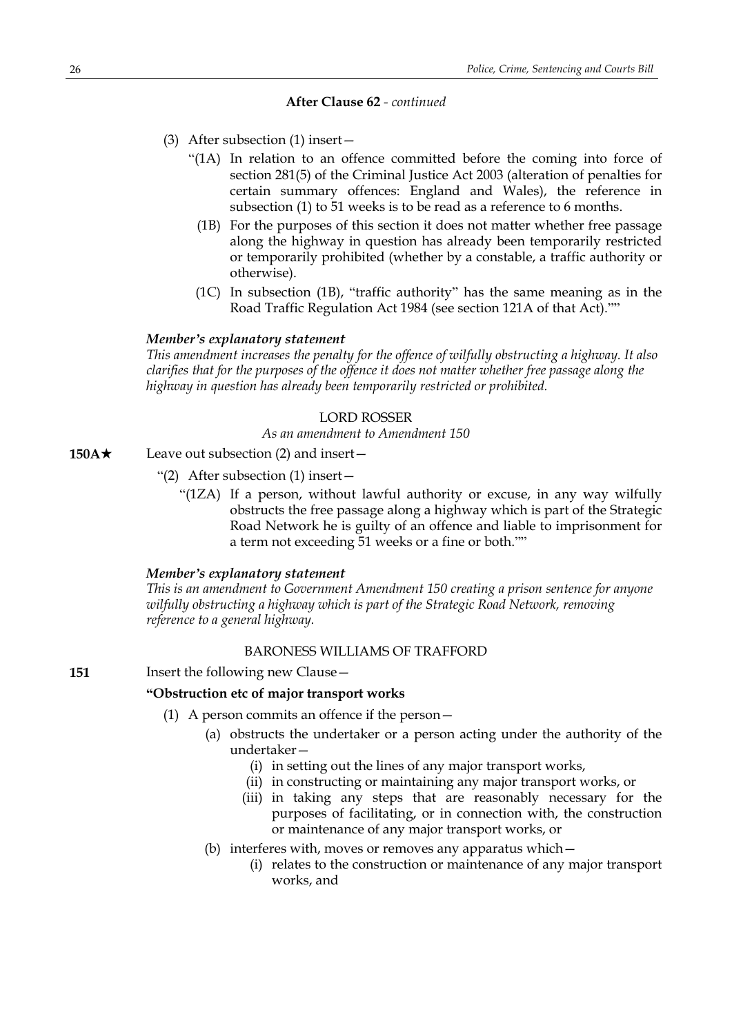- (3) After subsection (1) insert—
	- "(1A) In relation to an offence committed before the coming into force of section 281(5) of the Criminal Justice Act 2003 (alteration of penalties for certain summary offences: England and Wales), the reference in subsection (1) to 51 weeks is to be read as a reference to 6 months.
		- (1B) For the purposes of this section it does not matter whether free passage along the highway in question has already been temporarily restricted or temporarily prohibited (whether by a constable, a traffic authority or otherwise).
		- (1C) In subsection (1B), "traffic authority" has the same meaning as in the Road Traffic Regulation Act 1984 (see section 121A of that Act).""

### *Member's explanatory statement*

*This amendment increases the penalty for the offence of wilfully obstructing a highway. It also clarifies that for the purposes of the offence it does not matter whether free passage along the highway in question has already been temporarily restricted or prohibited.*

## LORD ROSSER

*As an amendment to Amendment 150*

- **150A**★ Leave out subsection (2) and insert—
	- "(2) After subsection (1) insert—
		- "(1ZA) If a person, without lawful authority or excuse, in any way wilfully obstructs the free passage along a highway which is part of the Strategic Road Network he is guilty of an offence and liable to imprisonment for a term not exceeding 51 weeks or a fine or both.""

### *Member's explanatory statement*

*This is an amendment to Government Amendment 150 creating a prison sentence for anyone wilfully obstructing a highway which is part of the Strategic Road Network, removing reference to a general highway.*

## BARONESS WILLIAMS OF TRAFFORD

**151** Insert the following new Clause -

## **"Obstruction etc of major transport works**

- (1) A person commits an offence if the person—
	- (a) obstructs the undertaker or a person acting under the authority of the undertaker—
		- (i) in setting out the lines of any major transport works,
		- (ii) in constructing or maintaining any major transport works, or
		- (iii) in taking any steps that are reasonably necessary for the purposes of facilitating, or in connection with, the construction or maintenance of any major transport works, or
	- (b) interferes with, moves or removes any apparatus which—
		- (i) relates to the construction or maintenance of any major transport works, and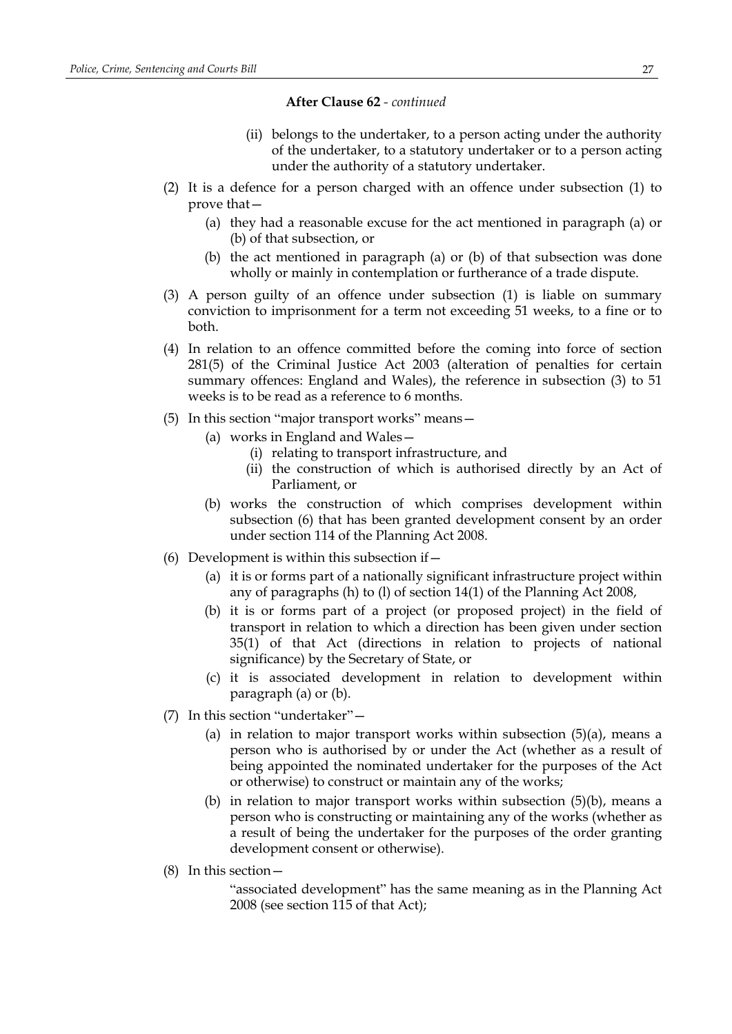- (ii) belongs to the undertaker, to a person acting under the authority of the undertaker, to a statutory undertaker or to a person acting under the authority of a statutory undertaker.
- (2) It is a defence for a person charged with an offence under subsection (1) to prove that—
	- (a) they had a reasonable excuse for the act mentioned in paragraph (a) or (b) of that subsection, or
	- (b) the act mentioned in paragraph (a) or (b) of that subsection was done wholly or mainly in contemplation or furtherance of a trade dispute.
- (3) A person guilty of an offence under subsection (1) is liable on summary conviction to imprisonment for a term not exceeding 51 weeks, to a fine or to both.
- (4) In relation to an offence committed before the coming into force of section 281(5) of the Criminal Justice Act 2003 (alteration of penalties for certain summary offences: England and Wales), the reference in subsection (3) to 51 weeks is to be read as a reference to 6 months.
- (5) In this section "major transport works" means—
	- (a) works in England and Wales—
		- (i) relating to transport infrastructure, and
		- (ii) the construction of which is authorised directly by an Act of Parliament, or
	- (b) works the construction of which comprises development within subsection (6) that has been granted development consent by an order under section 114 of the Planning Act 2008.
- (6) Development is within this subsection if  $-$ 
	- (a) it is or forms part of a nationally significant infrastructure project within any of paragraphs (h) to (l) of section 14(1) of the Planning Act 2008,
	- (b) it is or forms part of a project (or proposed project) in the field of transport in relation to which a direction has been given under section 35(1) of that Act (directions in relation to projects of national significance) by the Secretary of State, or
	- (c) it is associated development in relation to development within paragraph (a) or (b).
- (7) In this section "undertaker"—
	- (a) in relation to major transport works within subsection (5)(a), means a person who is authorised by or under the Act (whether as a result of being appointed the nominated undertaker for the purposes of the Act or otherwise) to construct or maintain any of the works;
	- (b) in relation to major transport works within subsection (5)(b), means a person who is constructing or maintaining any of the works (whether as a result of being the undertaker for the purposes of the order granting development consent or otherwise).
- (8) In this section—

"associated development" has the same meaning as in the Planning Act 2008 (see section 115 of that Act);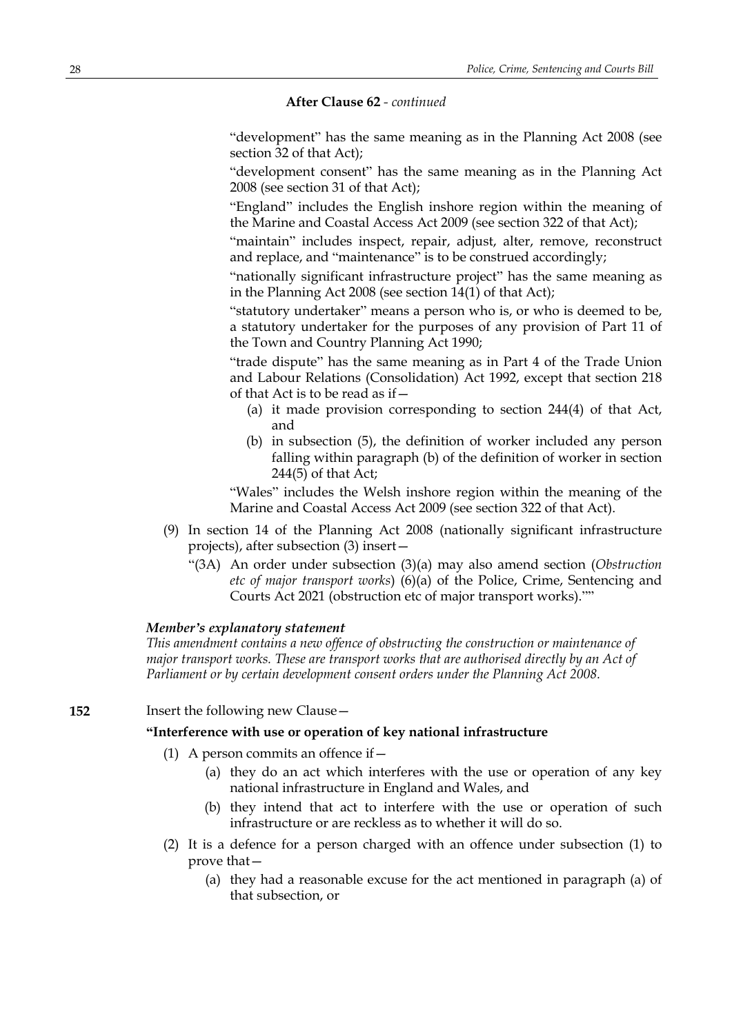"development" has the same meaning as in the Planning Act 2008 (see section 32 of that Act);

"development consent" has the same meaning as in the Planning Act 2008 (see section 31 of that Act);

"England" includes the English inshore region within the meaning of the Marine and Coastal Access Act 2009 (see section 322 of that Act);

"maintain" includes inspect, repair, adjust, alter, remove, reconstruct and replace, and "maintenance" is to be construed accordingly;

"nationally significant infrastructure project" has the same meaning as in the Planning Act 2008 (see section 14(1) of that Act);

"statutory undertaker" means a person who is, or who is deemed to be, a statutory undertaker for the purposes of any provision of Part 11 of the Town and Country Planning Act 1990;

"trade dispute" has the same meaning as in Part 4 of the Trade Union and Labour Relations (Consolidation) Act 1992, except that section 218 of that Act is to be read as if—

- (a) it made provision corresponding to section 244(4) of that Act, and
- (b) in subsection (5), the definition of worker included any person falling within paragraph (b) of the definition of worker in section 244(5) of that Act;

"Wales" includes the Welsh inshore region within the meaning of the Marine and Coastal Access Act 2009 (see section 322 of that Act).

- (9) In section 14 of the Planning Act 2008 (nationally significant infrastructure projects), after subsection (3) insert—
	- "(3A) An order under subsection (3)(a) may also amend section (*Obstruction etc of major transport works*) (6)(a) of the Police, Crime, Sentencing and Courts Act 2021 (obstruction etc of major transport works).""

### *Member's explanatory statement*

*This amendment contains a new offence of obstructing the construction or maintenance of major transport works. These are transport works that are authorised directly by an Act of Parliament or by certain development consent orders under the Planning Act 2008.*

### **152** Insert the following new Clause –

## **"Interference with use or operation of key national infrastructure**

- (1) A person commits an offence if  $-$ 
	- (a) they do an act which interferes with the use or operation of any key national infrastructure in England and Wales, and
	- (b) they intend that act to interfere with the use or operation of such infrastructure or are reckless as to whether it will do so.
- (2) It is a defence for a person charged with an offence under subsection (1) to prove that—
	- (a) they had a reasonable excuse for the act mentioned in paragraph (a) of that subsection, or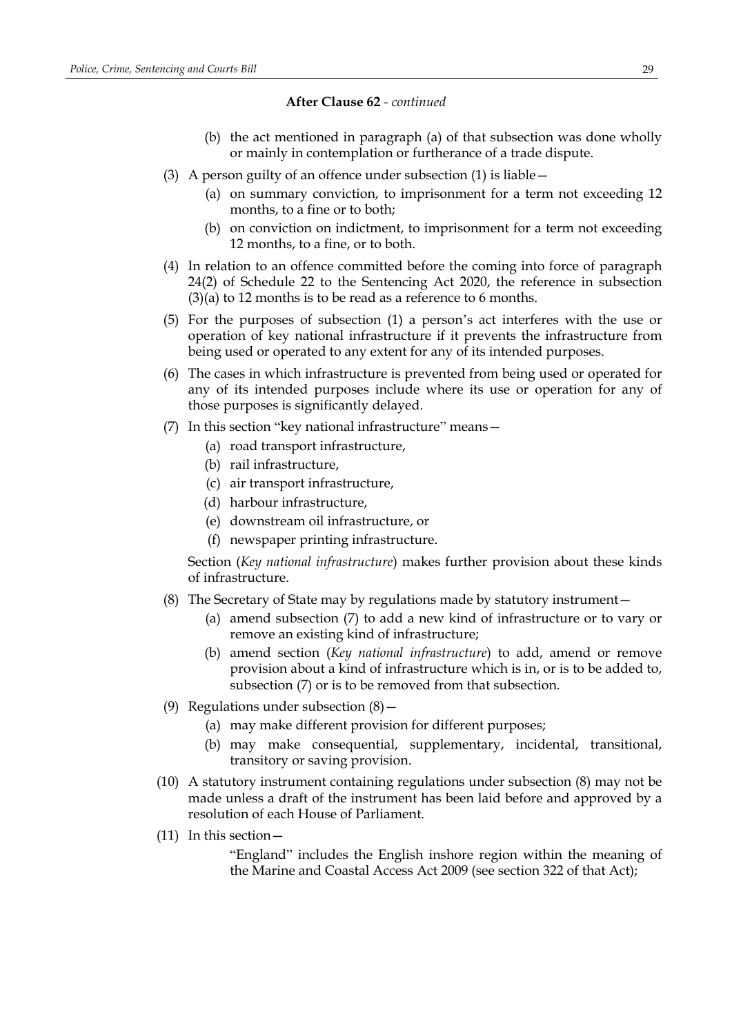- (b) the act mentioned in paragraph (a) of that subsection was done wholly or mainly in contemplation or furtherance of a trade dispute.
- (3) A person guilty of an offence under subsection (1) is liable—
	- (a) on summary conviction, to imprisonment for a term not exceeding 12 months, to a fine or to both;
	- (b) on conviction on indictment, to imprisonment for a term not exceeding 12 months, to a fine, or to both.
- (4) In relation to an offence committed before the coming into force of paragraph 24(2) of Schedule 22 to the Sentencing Act 2020, the reference in subsection (3)(a) to 12 months is to be read as a reference to 6 months.
- (5) For the purposes of subsection (1) a person's act interferes with the use or operation of key national infrastructure if it prevents the infrastructure from being used or operated to any extent for any of its intended purposes.
- (6) The cases in which infrastructure is prevented from being used or operated for any of its intended purposes include where its use or operation for any of those purposes is significantly delayed.
- (7) In this section "key national infrastructure" means—
	- (a) road transport infrastructure,
	- (b) rail infrastructure,
	- (c) air transport infrastructure,
	- (d) harbour infrastructure,
	- (e) downstream oil infrastructure, or
	- (f) newspaper printing infrastructure.

Section (*Key national infrastructure*) makes further provision about these kinds of infrastructure.

- (8) The Secretary of State may by regulations made by statutory instrument—
	- (a) amend subsection (7) to add a new kind of infrastructure or to vary or remove an existing kind of infrastructure;
	- (b) amend section (*Key national infrastructure*) to add, amend or remove provision about a kind of infrastructure which is in, or is to be added to, subsection (7) or is to be removed from that subsection.
- (9) Regulations under subsection (8)—
	- (a) may make different provision for different purposes;
	- (b) may make consequential, supplementary, incidental, transitional, transitory or saving provision.
- (10) A statutory instrument containing regulations under subsection (8) may not be made unless a draft of the instrument has been laid before and approved by a resolution of each House of Parliament.
- (11) In this section—

"England" includes the English inshore region within the meaning of the Marine and Coastal Access Act 2009 (see section 322 of that Act);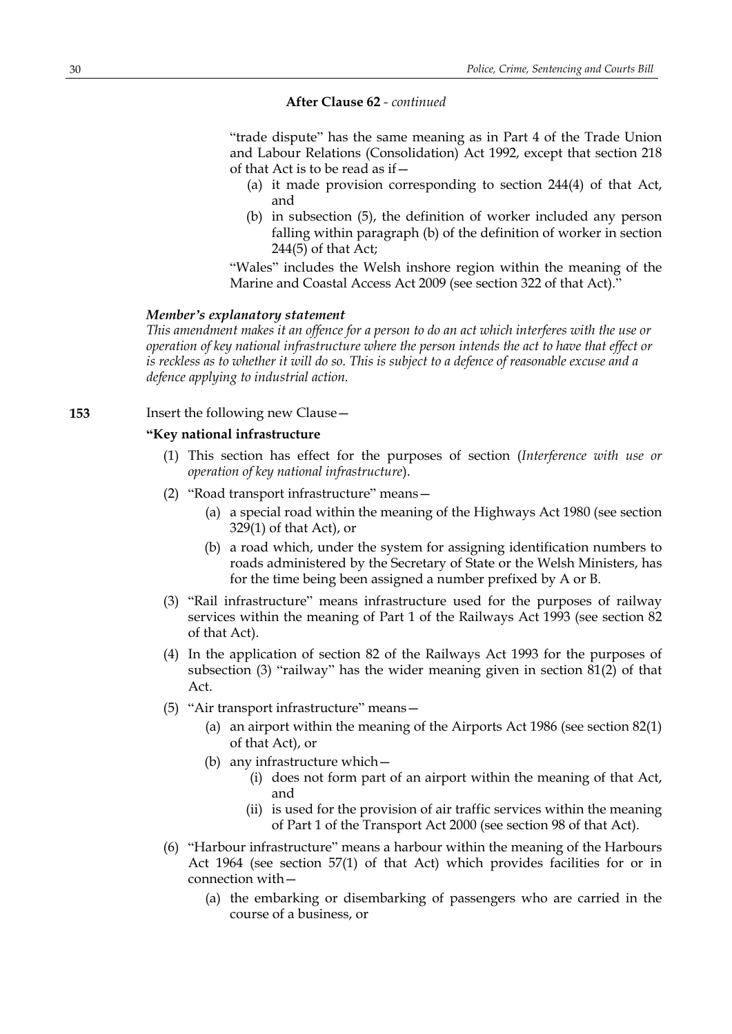"trade dispute" has the same meaning as in Part 4 of the Trade Union and Labour Relations (Consolidation) Act 1992, except that section 218 of that Act is to be read as if—

- (a) it made provision corresponding to section 244(4) of that Act, and
- (b) in subsection (5), the definition of worker included any person falling within paragraph (b) of the definition of worker in section 244(5) of that Act;

"Wales" includes the Welsh inshore region within the meaning of the Marine and Coastal Access Act 2009 (see section 322 of that Act)."

## *Member's explanatory statement*

This amendment makes it an offence for a person to do an act which interferes with the use or *operation of key national infrastructure where the person intends the act to have that effect or* is reckless as to whether it will do so. This is subject to a defence of reasonable excuse and a *defence applying to industrial action.*

**153** Insert the following new Clause—

## **"Key national infrastructure**

- (1) This section has effect for the purposes of section (*Interference with use or operation of key national infrastructure*).
- (2) "Road transport infrastructure" means—
	- (a) a special road within the meaning of the Highways Act 1980 (see section 329(1) of that Act), or
	- (b) a road which, under the system for assigning identification numbers to roads administered by the Secretary of State or the Welsh Ministers, has for the time being been assigned a number prefixed by A or B.
- (3) "Rail infrastructure" means infrastructure used for the purposes of railway services within the meaning of Part 1 of the Railways Act 1993 (see section 82 of that Act).
- (4) In the application of section 82 of the Railways Act 1993 for the purposes of subsection (3) "railway" has the wider meaning given in section 81(2) of that Act.
- (5) "Air transport infrastructure" means—
	- (a) an airport within the meaning of the Airports Act 1986 (see section 82(1) of that Act), or
	- (b) any infrastructure which—
		- (i) does not form part of an airport within the meaning of that Act, and
		- (ii) is used for the provision of air traffic services within the meaning of Part 1 of the Transport Act 2000 (see section 98 of that Act).
- (6) "Harbour infrastructure" means a harbour within the meaning of the Harbours Act 1964 (see section 57(1) of that Act) which provides facilities for or in connection with—
	- (a) the embarking or disembarking of passengers who are carried in the course of a business, or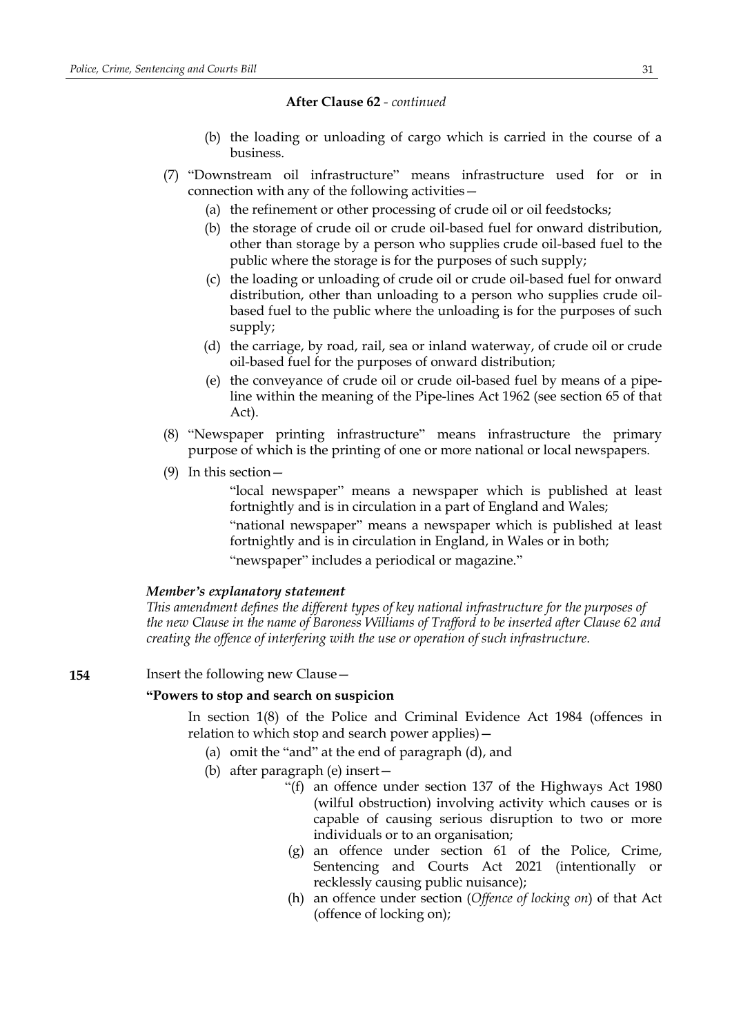- (b) the loading or unloading of cargo which is carried in the course of a business.
- (7) "Downstream oil infrastructure" means infrastructure used for or in connection with any of the following activities—
	- (a) the refinement or other processing of crude oil or oil feedstocks;
	- (b) the storage of crude oil or crude oil-based fuel for onward distribution, other than storage by a person who supplies crude oil-based fuel to the public where the storage is for the purposes of such supply;
	- (c) the loading or unloading of crude oil or crude oil-based fuel for onward distribution, other than unloading to a person who supplies crude oilbased fuel to the public where the unloading is for the purposes of such supply;
	- (d) the carriage, by road, rail, sea or inland waterway, of crude oil or crude oil-based fuel for the purposes of onward distribution;
	- (e) the conveyance of crude oil or crude oil-based fuel by means of a pipeline within the meaning of the Pipe-lines Act 1962 (see section 65 of that Act).
- (8) "Newspaper printing infrastructure" means infrastructure the primary purpose of which is the printing of one or more national or local newspapers.
- (9) In this section—

"local newspaper" means a newspaper which is published at least fortnightly and is in circulation in a part of England and Wales;

"national newspaper" means a newspaper which is published at least fortnightly and is in circulation in England, in Wales or in both; "newspaper" includes a periodical or magazine."

### *Member's explanatory statement*

*This amendment defines the different types of key national infrastructure for the purposes of the new Clause in the name of Baroness Williams of Trafford to be inserted after Clause 62 and creating the offence of interfering with the use or operation of such infrastructure.*

### **154** Insert the following new Clause—

### **"Powers to stop and search on suspicion**

In section 1(8) of the Police and Criminal Evidence Act 1984 (offences in relation to which stop and search power applies)—

- (a) omit the "and" at the end of paragraph (d), and
- (b) after paragraph (e) insert—
	- "(f) an offence under section 137 of the Highways Act 1980 (wilful obstruction) involving activity which causes or is capable of causing serious disruption to two or more individuals or to an organisation;
	- (g) an offence under section 61 of the Police, Crime, Sentencing and Courts Act 2021 (intentionally or recklessly causing public nuisance);
	- (h) an offence under section (*Offence of locking on*) of that Act (offence of locking on);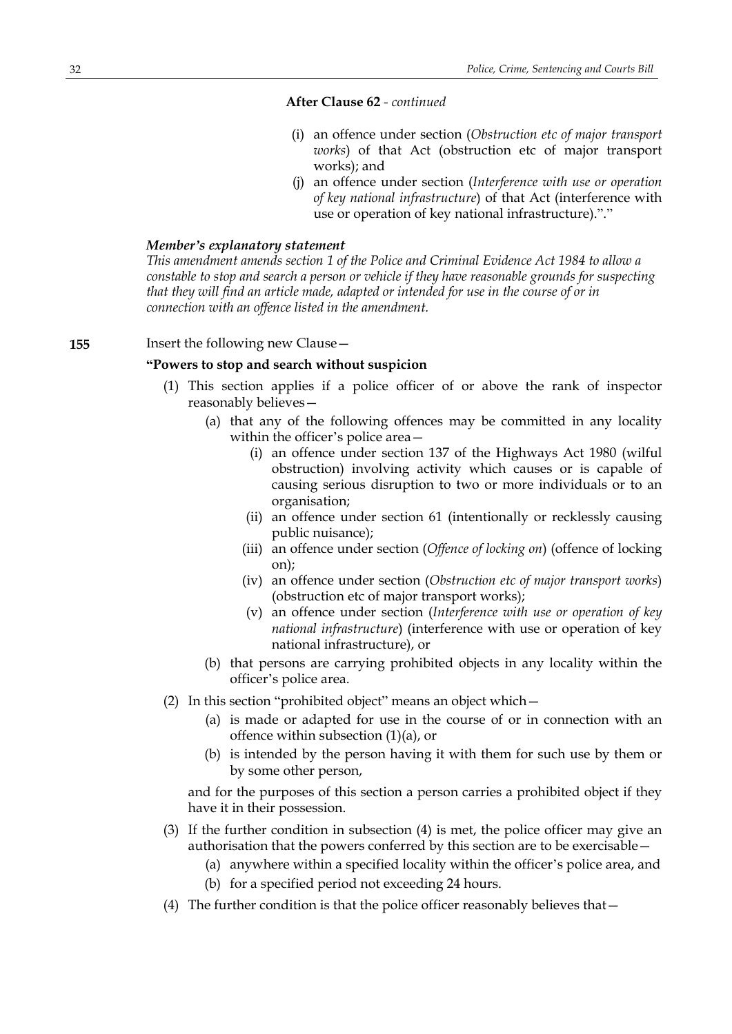- (i) an offence under section (*Obstruction etc of major transport works*) of that Act (obstruction etc of major transport works); and
- (j) an offence under section (*Interference with use or operation of key national infrastructure*) of that Act (interference with use or operation of key national infrastructure)."."

## *Member's explanatory statement*

*This amendment amends section 1 of the Police and Criminal Evidence Act 1984 to allow a constable to stop and search a person or vehicle if they have reasonable grounds for suspecting that they will find an article made, adapted or intended for use in the course of or in connection with an offence listed in the amendment.*

## **155** Insert the following new Clause—

## **"Powers to stop and search without suspicion**

- (1) This section applies if a police officer of or above the rank of inspector reasonably believes—
	- (a) that any of the following offences may be committed in any locality within the officer's police area—
		- (i) an offence under section 137 of the Highways Act 1980 (wilful obstruction) involving activity which causes or is capable of causing serious disruption to two or more individuals or to an organisation;
		- (ii) an offence under section 61 (intentionally or recklessly causing public nuisance);
		- (iii) an offence under section (*Offence of locking on*) (offence of locking on);
		- (iv) an offence under section (*Obstruction etc of major transport works*) (obstruction etc of major transport works);
		- (v) an offence under section (*Interference with use or operation of key national infrastructure*) (interference with use or operation of key national infrastructure), or
	- (b) that persons are carrying prohibited objects in any locality within the officer's police area.
- (2) In this section "prohibited object" means an object which—
	- (a) is made or adapted for use in the course of or in connection with an offence within subsection (1)(a), or
	- (b) is intended by the person having it with them for such use by them or by some other person,

and for the purposes of this section a person carries a prohibited object if they have it in their possession.

- (3) If the further condition in subsection (4) is met, the police officer may give an authorisation that the powers conferred by this section are to be exercisable—
	- (a) anywhere within a specified locality within the officer's police area, and
	- (b) for a specified period not exceeding 24 hours.
- (4) The further condition is that the police officer reasonably believes that—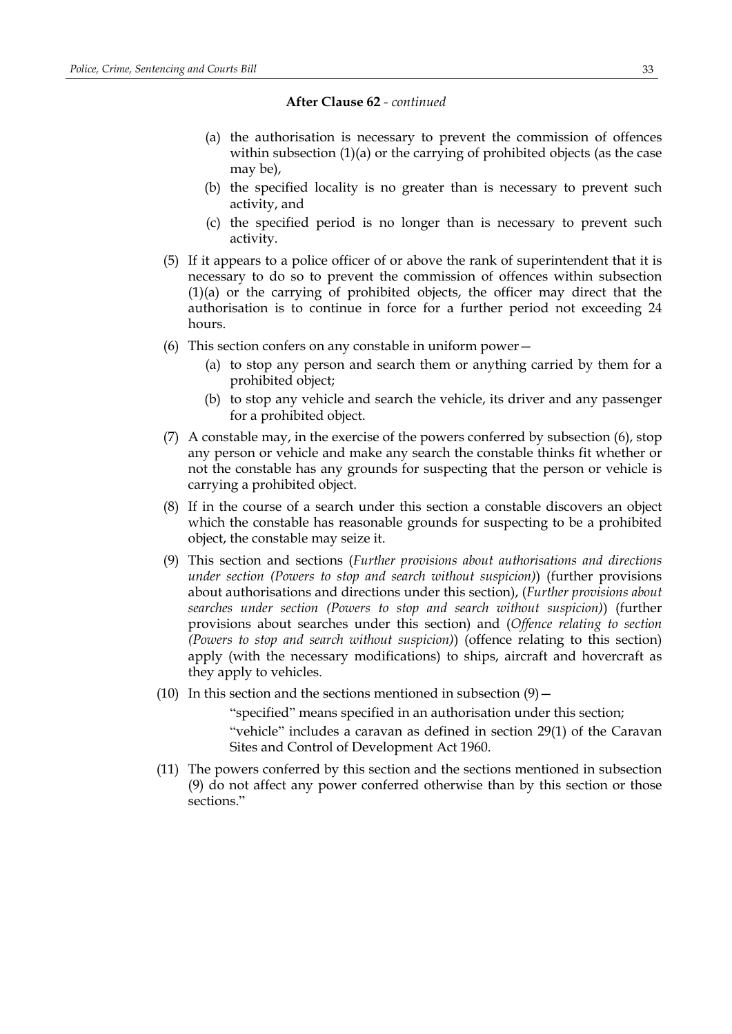- (a) the authorisation is necessary to prevent the commission of offences within subsection (1)(a) or the carrying of prohibited objects (as the case may be),
- (b) the specified locality is no greater than is necessary to prevent such activity, and
- (c) the specified period is no longer than is necessary to prevent such activity.
- (5) If it appears to a police officer of or above the rank of superintendent that it is necessary to do so to prevent the commission of offences within subsection (1)(a) or the carrying of prohibited objects, the officer may direct that the authorisation is to continue in force for a further period not exceeding 24 hours.
- (6) This section confers on any constable in uniform power—
	- (a) to stop any person and search them or anything carried by them for a prohibited object;
	- (b) to stop any vehicle and search the vehicle, its driver and any passenger for a prohibited object.
- (7) A constable may, in the exercise of the powers conferred by subsection (6), stop any person or vehicle and make any search the constable thinks fit whether or not the constable has any grounds for suspecting that the person or vehicle is carrying a prohibited object.
- (8) If in the course of a search under this section a constable discovers an object which the constable has reasonable grounds for suspecting to be a prohibited object, the constable may seize it.
- (9) This section and sections (*Further provisions about authorisations and directions under section (Powers to stop and search without suspicion)*) (further provisions about authorisations and directions under this section), (*Further provisions about searches under section (Powers to stop and search without suspicion)*) (further provisions about searches under this section) and (*Offence relating to section (Powers to stop and search without suspicion)*) (offence relating to this section) apply (with the necessary modifications) to ships, aircraft and hovercraft as they apply to vehicles.
- (10) In this section and the sections mentioned in subsection  $(9)$  –

"specified" means specified in an authorisation under this section;

"vehicle" includes a caravan as defined in section 29(1) of the Caravan Sites and Control of Development Act 1960.

(11) The powers conferred by this section and the sections mentioned in subsection (9) do not affect any power conferred otherwise than by this section or those sections."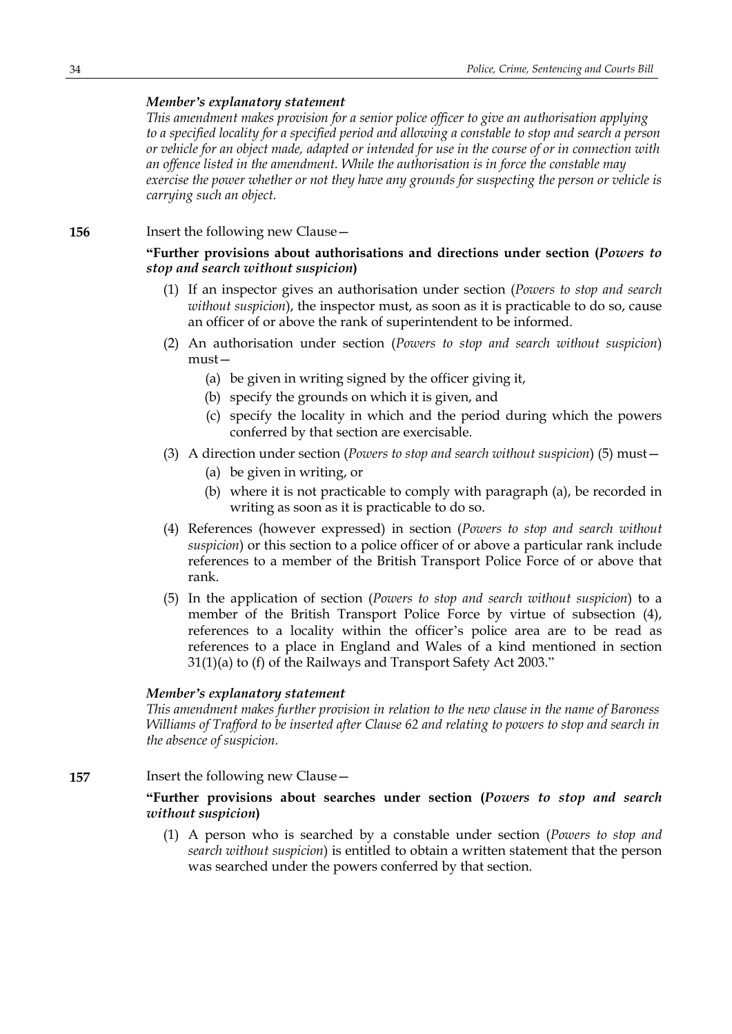## *Member's explanatory statement*

*This amendment makes provision for a senior police officer to give an authorisation applying* to a specified locality for a specified period and allowing a constable to stop and search a person or vehicle for an object made, adapted or intended for use in the course of or in connection with *an offence listed in the amendment. While the authorisation is in force the constable may exercise the power whether or not they have any grounds for suspecting the person or vehicle is carrying such an object.*

## **156** Insert the following new Clause -

## **"Further provisions about authorisations and directions under section (***Powers to stop and search without suspicion***)**

- (1) If an inspector gives an authorisation under section (*Powers to stop and search without suspicion*), the inspector must, as soon as it is practicable to do so, cause an officer of or above the rank of superintendent to be informed.
- (2) An authorisation under section (*Powers to stop and search without suspicion*) must—
	- (a) be given in writing signed by the officer giving it,
	- (b) specify the grounds on which it is given, and
	- (c) specify the locality in which and the period during which the powers conferred by that section are exercisable.
- (3) A direction under section (*Powers to stop and search without suspicion*) (5) must—
	- (a) be given in writing, or
	- (b) where it is not practicable to comply with paragraph (a), be recorded in writing as soon as it is practicable to do so.
- (4) References (however expressed) in section (*Powers to stop and search without suspicion*) or this section to a police officer of or above a particular rank include references to a member of the British Transport Police Force of or above that rank.
- (5) In the application of section (*Powers to stop and search without suspicion*) to a member of the British Transport Police Force by virtue of subsection (4), references to a locality within the officer's police area are to be read as references to a place in England and Wales of a kind mentioned in section 31(1)(a) to (f) of the Railways and Transport Safety Act 2003."

### *Member's explanatory statement*

*This amendment makes further provision in relation to the new clause in the name of Baroness Williams of Trafford to be inserted after Clause 62 and relating to powers to stop and search in the absence of suspicion.*

### **157** Insert the following new Clause—

## **"Further provisions about searches under section (***Powers to stop and search without suspicion***)**

(1) A person who is searched by a constable under section (*Powers to stop and search without suspicion*) is entitled to obtain a written statement that the person was searched under the powers conferred by that section.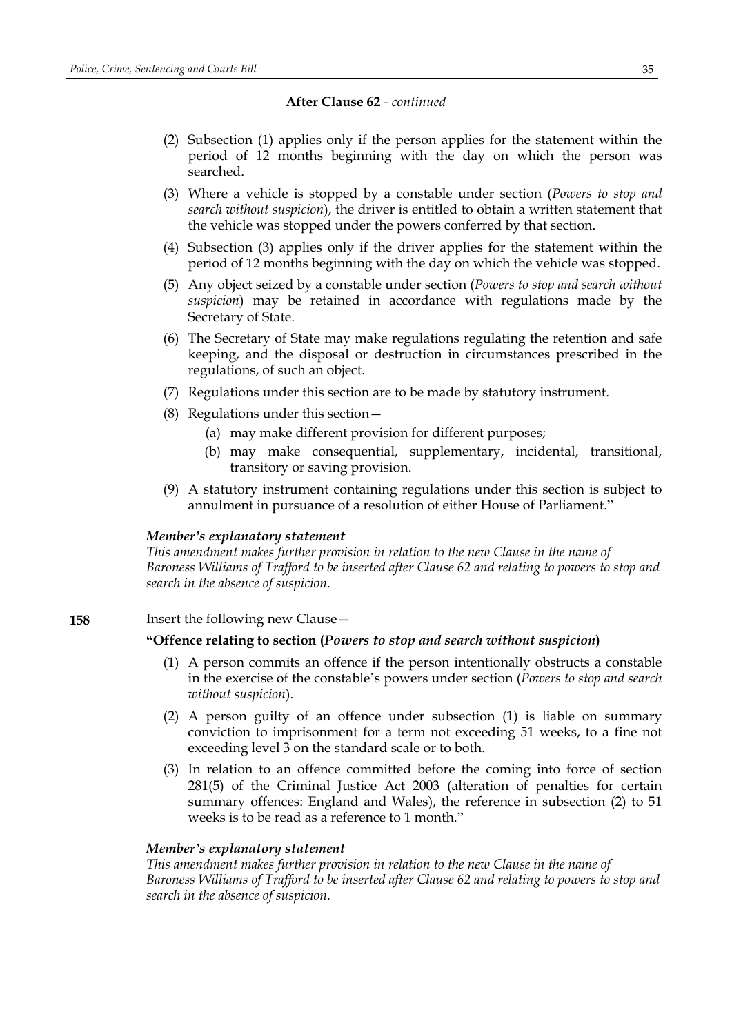- (2) Subsection (1) applies only if the person applies for the statement within the period of 12 months beginning with the day on which the person was searched.
- (3) Where a vehicle is stopped by a constable under section (*Powers to stop and search without suspicion*), the driver is entitled to obtain a written statement that the vehicle was stopped under the powers conferred by that section.
- (4) Subsection (3) applies only if the driver applies for the statement within the period of 12 months beginning with the day on which the vehicle was stopped.
- (5) Any object seized by a constable under section (*Powers to stop and search without suspicion*) may be retained in accordance with regulations made by the Secretary of State.
- (6) The Secretary of State may make regulations regulating the retention and safe keeping, and the disposal or destruction in circumstances prescribed in the regulations, of such an object.
- (7) Regulations under this section are to be made by statutory instrument.
- (8) Regulations under this section—
	- (a) may make different provision for different purposes;
	- (b) may make consequential, supplementary, incidental, transitional, transitory or saving provision.
- (9) A statutory instrument containing regulations under this section is subject to annulment in pursuance of a resolution of either House of Parliament."

### *Member's explanatory statement*

*This amendment makes further provision in relation to the new Clause in the name of Baroness Williams of Trafford to be inserted after Clause 62 and relating to powers to stop and search in the absence of suspicion.*

## **158** Insert the following new Clause -

### **"Offence relating to section (***Powers to stop and search without suspicion***)**

- (1) A person commits an offence if the person intentionally obstructs a constable in the exercise of the constable's powers under section (*Powers to stop and search without suspicion*).
- (2) A person guilty of an offence under subsection (1) is liable on summary conviction to imprisonment for a term not exceeding 51 weeks, to a fine not exceeding level 3 on the standard scale or to both.
- (3) In relation to an offence committed before the coming into force of section 281(5) of the Criminal Justice Act 2003 (alteration of penalties for certain summary offences: England and Wales), the reference in subsection (2) to 51 weeks is to be read as a reference to 1 month."

### *Member's explanatory statement*

*This amendment makes further provision in relation to the new Clause in the name of Baroness Williams of Trafford to be inserted after Clause 62 and relating to powers to stop and search in the absence of suspicion.*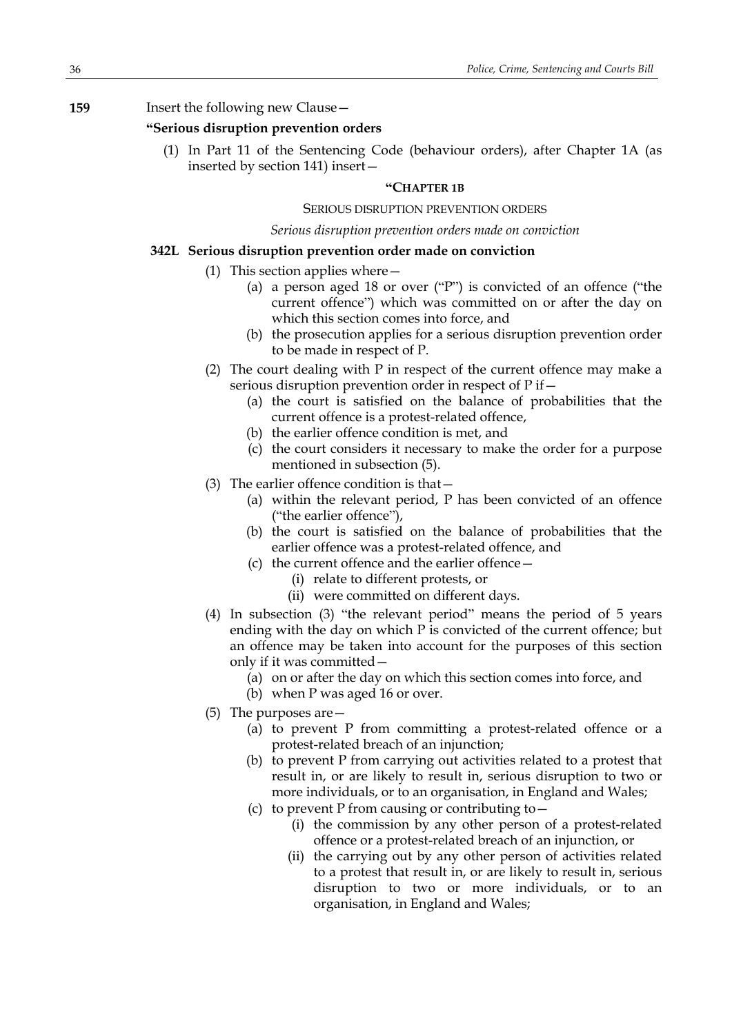## **159** Insert the following new Clause—

## **"Serious disruption prevention orders**

(1) In Part 11 of the Sentencing Code (behaviour orders), after Chapter 1A (as inserted by section 141) insert—

### **"CHAPTER 1B**

## SERIOUS DISRUPTION PREVENTION ORDERS

#### *Serious disruption prevention orders made on conviction*

### **342L Serious disruption prevention order made on conviction**

- (1) This section applies where—
	- (a) a person aged 18 or over ("P") is convicted of an offence ("the current offence") which was committed on or after the day on which this section comes into force, and
	- (b) the prosecution applies for a serious disruption prevention order to be made in respect of P.
- (2) The court dealing with P in respect of the current offence may make a serious disruption prevention order in respect of P if—
	- (a) the court is satisfied on the balance of probabilities that the current offence is a protest-related offence,
	- (b) the earlier offence condition is met, and
	- (c) the court considers it necessary to make the order for a purpose mentioned in subsection (5).
- (3) The earlier offence condition is that—
	- (a) within the relevant period, P has been convicted of an offence ("the earlier offence"),
	- (b) the court is satisfied on the balance of probabilities that the earlier offence was a protest-related offence, and
	- (c) the current offence and the earlier offence—
		- (i) relate to different protests, or
		- (ii) were committed on different days.
- (4) In subsection (3) "the relevant period" means the period of 5 years ending with the day on which P is convicted of the current offence; but an offence may be taken into account for the purposes of this section only if it was committed—
	- (a) on or after the day on which this section comes into force, and
	- (b) when P was aged 16 or over.
- (5) The purposes are—
	- (a) to prevent P from committing a protest-related offence or a protest-related breach of an injunction;
	- (b) to prevent P from carrying out activities related to a protest that result in, or are likely to result in, serious disruption to two or more individuals, or to an organisation, in England and Wales;
	- (c) to prevent P from causing or contributing to  $-$ 
		- (i) the commission by any other person of a protest-related offence or a protest-related breach of an injunction, or
		- (ii) the carrying out by any other person of activities related to a protest that result in, or are likely to result in, serious disruption to two or more individuals, or to an organisation, in England and Wales;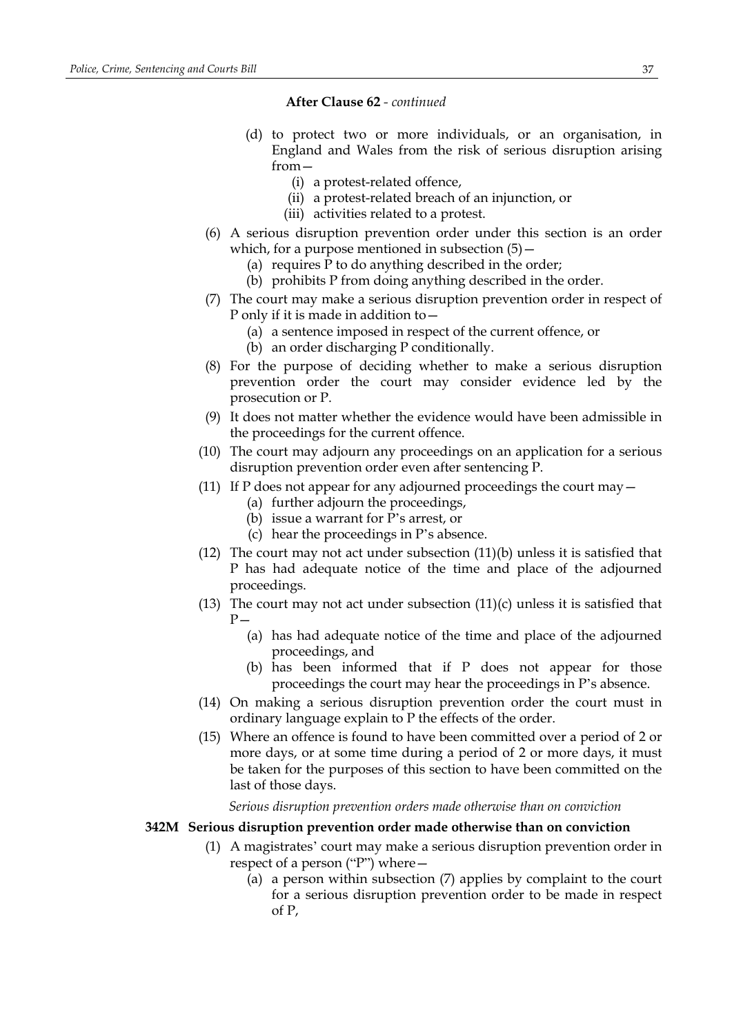- (d) to protect two or more individuals, or an organisation, in England and Wales from the risk of serious disruption arising from—
	- (i) a protest-related offence,
	- (ii) a protest-related breach of an injunction, or
	- (iii) activities related to a protest.
- (6) A serious disruption prevention order under this section is an order which, for a purpose mentioned in subsection  $(5)$  -
	- (a) requires P to do anything described in the order;
	- (b) prohibits P from doing anything described in the order.
- (7) The court may make a serious disruption prevention order in respect of P only if it is made in addition to—
	- (a) a sentence imposed in respect of the current offence, or
	- (b) an order discharging P conditionally.
- (8) For the purpose of deciding whether to make a serious disruption prevention order the court may consider evidence led by the prosecution or P.
- (9) It does not matter whether the evidence would have been admissible in the proceedings for the current offence.
- (10) The court may adjourn any proceedings on an application for a serious disruption prevention order even after sentencing P.
- (11) If P does not appear for any adjourned proceedings the court may  $-$ 
	- (a) further adjourn the proceedings,
	- (b) issue a warrant for P's arrest, or
	- (c) hear the proceedings in P's absence.
- (12) The court may not act under subsection  $(11)(b)$  unless it is satisfied that P has had adequate notice of the time and place of the adjourned proceedings.
- (13) The court may not act under subsection  $(11)(c)$  unless it is satisfied that  $P -$ 
	- (a) has had adequate notice of the time and place of the adjourned proceedings, and
	- (b) has been informed that if P does not appear for those proceedings the court may hear the proceedings in P's absence.
- (14) On making a serious disruption prevention order the court must in ordinary language explain to P the effects of the order.
- (15) Where an offence is found to have been committed over a period of 2 or more days, or at some time during a period of 2 or more days, it must be taken for the purposes of this section to have been committed on the last of those days.

*Serious disruption prevention orders made otherwise than on conviction*

### **342M Serious disruption prevention order made otherwise than on conviction**

- (1) A magistrates' court may make a serious disruption prevention order in respect of a person ("P") where—
	- (a) a person within subsection (7) applies by complaint to the court for a serious disruption prevention order to be made in respect of P,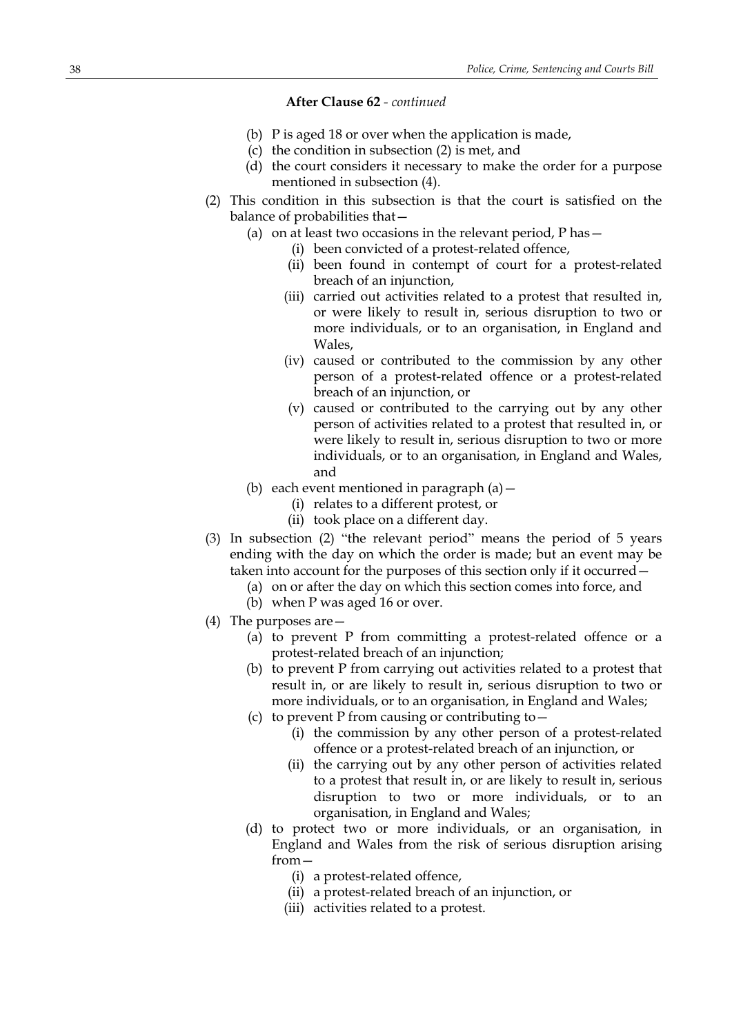- (b) P is aged 18 or over when the application is made,
- (c) the condition in subsection (2) is met, and
- (d) the court considers it necessary to make the order for a purpose mentioned in subsection (4).
- (2) This condition in this subsection is that the court is satisfied on the balance of probabilities that—
	- (a) on at least two occasions in the relevant period, P has—
		- (i) been convicted of a protest-related offence,
			- (ii) been found in contempt of court for a protest-related breach of an injunction,
		- (iii) carried out activities related to a protest that resulted in, or were likely to result in, serious disruption to two or more individuals, or to an organisation, in England and Wales,
		- (iv) caused or contributed to the commission by any other person of a protest-related offence or a protest-related breach of an injunction, or
		- (v) caused or contributed to the carrying out by any other person of activities related to a protest that resulted in, or were likely to result in, serious disruption to two or more individuals, or to an organisation, in England and Wales, and
	- (b) each event mentioned in paragraph  $(a)$  -
		- (i) relates to a different protest, or
		- (ii) took place on a different day.
- (3) In subsection (2) "the relevant period" means the period of 5 years ending with the day on which the order is made; but an event may be taken into account for the purposes of this section only if it occurred—
	- (a) on or after the day on which this section comes into force, and
	- (b) when P was aged 16 or over.
- (4) The purposes are—
	- (a) to prevent P from committing a protest-related offence or a protest-related breach of an injunction;
	- (b) to prevent P from carrying out activities related to a protest that result in, or are likely to result in, serious disruption to two or more individuals, or to an organisation, in England and Wales;
	- (c) to prevent P from causing or contributing to—
		- (i) the commission by any other person of a protest-related offence or a protest-related breach of an injunction, or
		- (ii) the carrying out by any other person of activities related to a protest that result in, or are likely to result in, serious disruption to two or more individuals, or to an organisation, in England and Wales;
	- (d) to protect two or more individuals, or an organisation, in England and Wales from the risk of serious disruption arising from—
		- (i) a protest-related offence,
		- (ii) a protest-related breach of an injunction, or
		- (iii) activities related to a protest.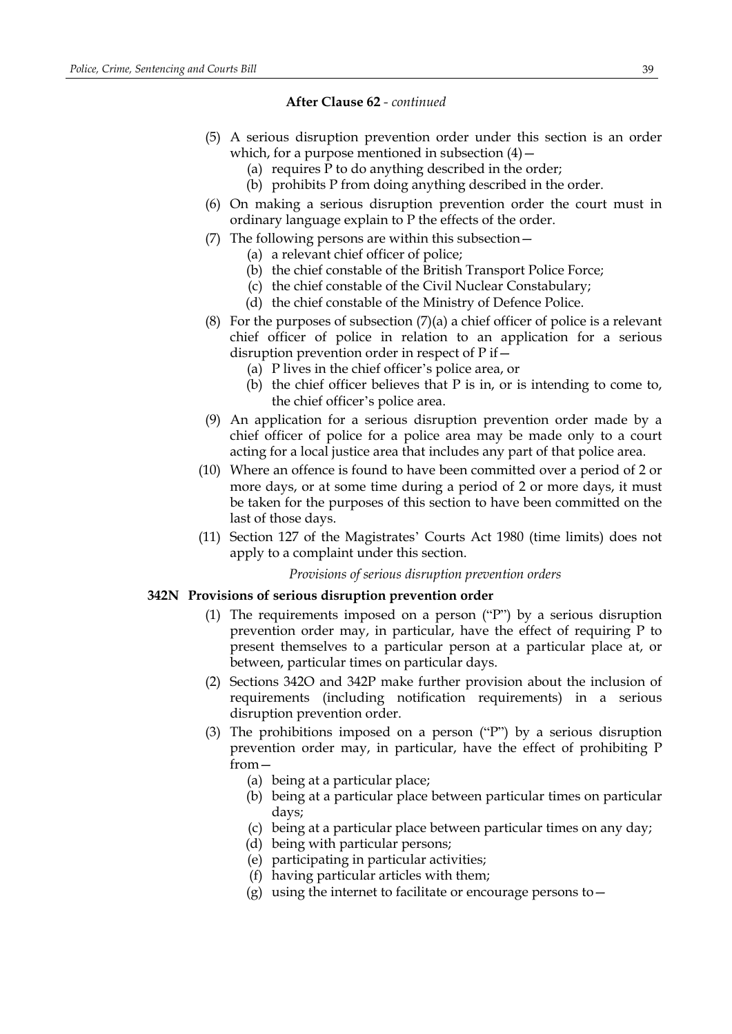- (5) A serious disruption prevention order under this section is an order which, for a purpose mentioned in subsection  $(4)$  –
	- (a) requires P to do anything described in the order;
	- (b) prohibits P from doing anything described in the order.
- (6) On making a serious disruption prevention order the court must in ordinary language explain to P the effects of the order.
- (7) The following persons are within this subsection—
	- (a) a relevant chief officer of police;
	- (b) the chief constable of the British Transport Police Force;
	- (c) the chief constable of the Civil Nuclear Constabulary;
	- (d) the chief constable of the Ministry of Defence Police.
- (8) For the purposes of subsection (7)(a) a chief officer of police is a relevant chief officer of police in relation to an application for a serious disruption prevention order in respect of P if—
	- (a) P lives in the chief officer's police area, or
	- (b) the chief officer believes that P is in, or is intending to come to, the chief officer's police area.
- (9) An application for a serious disruption prevention order made by a chief officer of police for a police area may be made only to a court acting for a local justice area that includes any part of that police area.
- (10) Where an offence is found to have been committed over a period of 2 or more days, or at some time during a period of 2 or more days, it must be taken for the purposes of this section to have been committed on the last of those days.
- (11) Section 127 of the Magistrates' Courts Act 1980 (time limits) does not apply to a complaint under this section.

*Provisions of serious disruption prevention orders*

## **342N Provisions of serious disruption prevention order**

- (1) The requirements imposed on a person ("P") by a serious disruption prevention order may, in particular, have the effect of requiring P to present themselves to a particular person at a particular place at, or between, particular times on particular days.
- (2) Sections 342O and 342P make further provision about the inclusion of requirements (including notification requirements) in a serious disruption prevention order.
- (3) The prohibitions imposed on a person ("P") by a serious disruption prevention order may, in particular, have the effect of prohibiting P from—
	- (a) being at a particular place;
	- (b) being at a particular place between particular times on particular days;
	- (c) being at a particular place between particular times on any day;
	- (d) being with particular persons;
	- (e) participating in particular activities;
	- (f) having particular articles with them;
	- (g) using the internet to facilitate or encourage persons to  $-$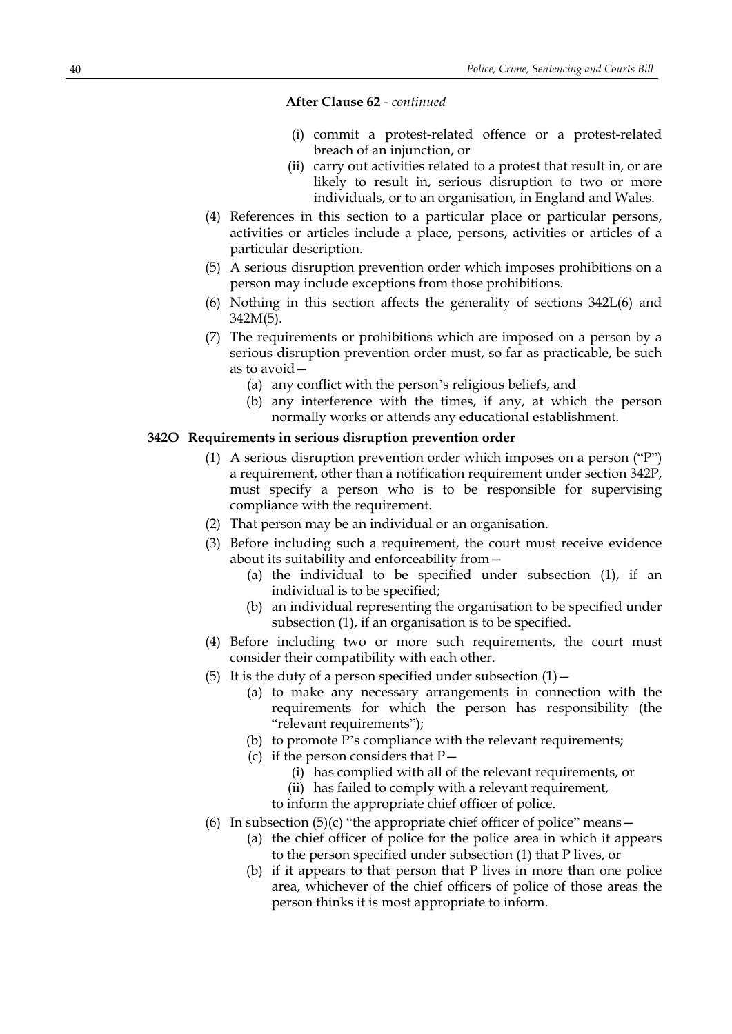- (i) commit a protest-related offence or a protest-related breach of an injunction, or
- (ii) carry out activities related to a protest that result in, or are likely to result in, serious disruption to two or more individuals, or to an organisation, in England and Wales.
- (4) References in this section to a particular place or particular persons, activities or articles include a place, persons, activities or articles of a particular description.
- (5) A serious disruption prevention order which imposes prohibitions on a person may include exceptions from those prohibitions.
- (6) Nothing in this section affects the generality of sections 342L(6) and 342M(5).
- (7) The requirements or prohibitions which are imposed on a person by a serious disruption prevention order must, so far as practicable, be such as to avoid—
	- (a) any conflict with the person's religious beliefs, and
	- (b) any interference with the times, if any, at which the person normally works or attends any educational establishment.

## **342O Requirements in serious disruption prevention order**

- (1) A serious disruption prevention order which imposes on a person ("P") a requirement, other than a notification requirement under section 342P, must specify a person who is to be responsible for supervising compliance with the requirement.
- (2) That person may be an individual or an organisation.
- (3) Before including such a requirement, the court must receive evidence about its suitability and enforceability from—
	- (a) the individual to be specified under subsection (1), if an individual is to be specified;
	- (b) an individual representing the organisation to be specified under subsection (1), if an organisation is to be specified.
- (4) Before including two or more such requirements, the court must consider their compatibility with each other.
- (5) It is the duty of a person specified under subsection  $(1)$  -
	- (a) to make any necessary arrangements in connection with the requirements for which the person has responsibility (the "relevant requirements");
	- (b) to promote P's compliance with the relevant requirements;
	- (c) if the person considers that  $P-$ 
		- (i) has complied with all of the relevant requirements, or
		- (ii) has failed to comply with a relevant requirement,
		- to inform the appropriate chief officer of police.
- (6) In subsection  $(5)(c)$  "the appropriate chief officer of police" means
	- (a) the chief officer of police for the police area in which it appears to the person specified under subsection (1) that P lives, or
	- (b) if it appears to that person that P lives in more than one police area, whichever of the chief officers of police of those areas the person thinks it is most appropriate to inform.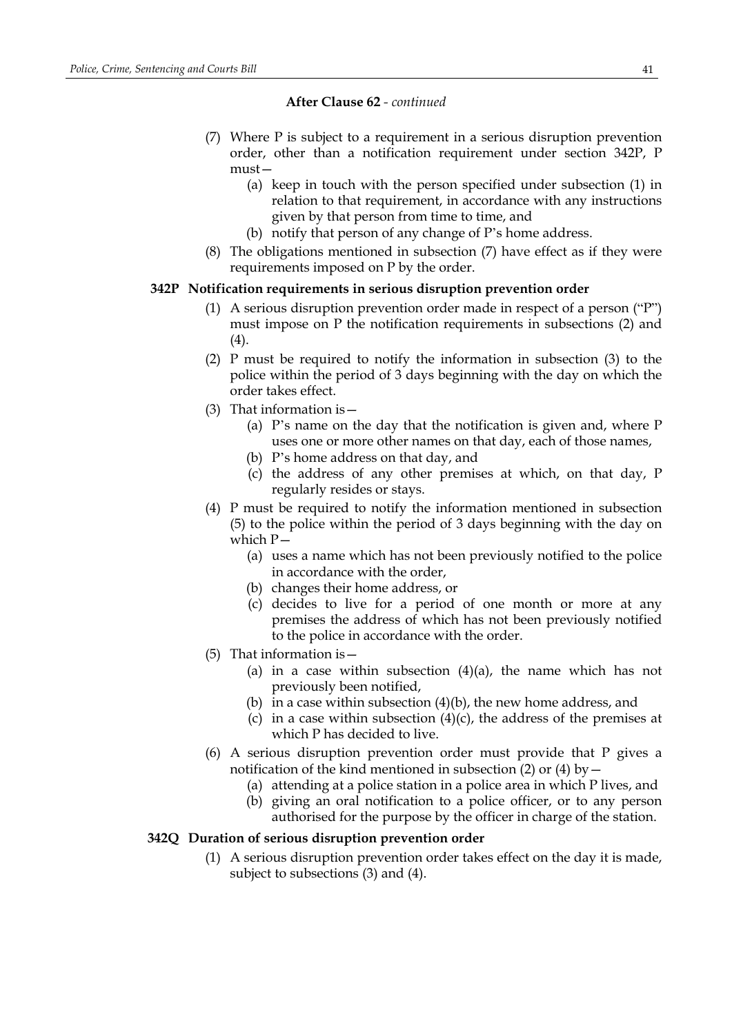- (7) Where P is subject to a requirement in a serious disruption prevention order, other than a notification requirement under section 342P, P must—
	- (a) keep in touch with the person specified under subsection (1) in relation to that requirement, in accordance with any instructions given by that person from time to time, and
	- (b) notify that person of any change of P's home address.
- (8) The obligations mentioned in subsection (7) have effect as if they were requirements imposed on P by the order.

## **342P Notification requirements in serious disruption prevention order**

- (1) A serious disruption prevention order made in respect of a person ("P") must impose on P the notification requirements in subsections (2) and  $(4).$
- (2) P must be required to notify the information in subsection (3) to the police within the period of 3 days beginning with the day on which the order takes effect.
- (3) That information is—
	- (a) P's name on the day that the notification is given and, where P uses one or more other names on that day, each of those names,
	- (b) P's home address on that day, and
	- (c) the address of any other premises at which, on that day, P regularly resides or stays.
- (4) P must be required to notify the information mentioned in subsection (5) to the police within the period of 3 days beginning with the day on which  $P-$ 
	- (a) uses a name which has not been previously notified to the police in accordance with the order,
	- (b) changes their home address, or
	- (c) decides to live for a period of one month or more at any premises the address of which has not been previously notified to the police in accordance with the order.
- (5) That information is—
	- (a) in a case within subsection  $(4)(a)$ , the name which has not previously been notified,
	- (b) in a case within subsection  $(4)(b)$ , the new home address, and
	- (c) in a case within subsection  $(4)(c)$ , the address of the premises at which P has decided to live.
- (6) A serious disruption prevention order must provide that P gives a notification of the kind mentioned in subsection (2) or (4) by  $-$ 
	- (a) attending at a police station in a police area in which P lives, and
	- (b) giving an oral notification to a police officer, or to any person authorised for the purpose by the officer in charge of the station.

### **342Q Duration of serious disruption prevention order**

(1) A serious disruption prevention order takes effect on the day it is made, subject to subsections (3) and (4).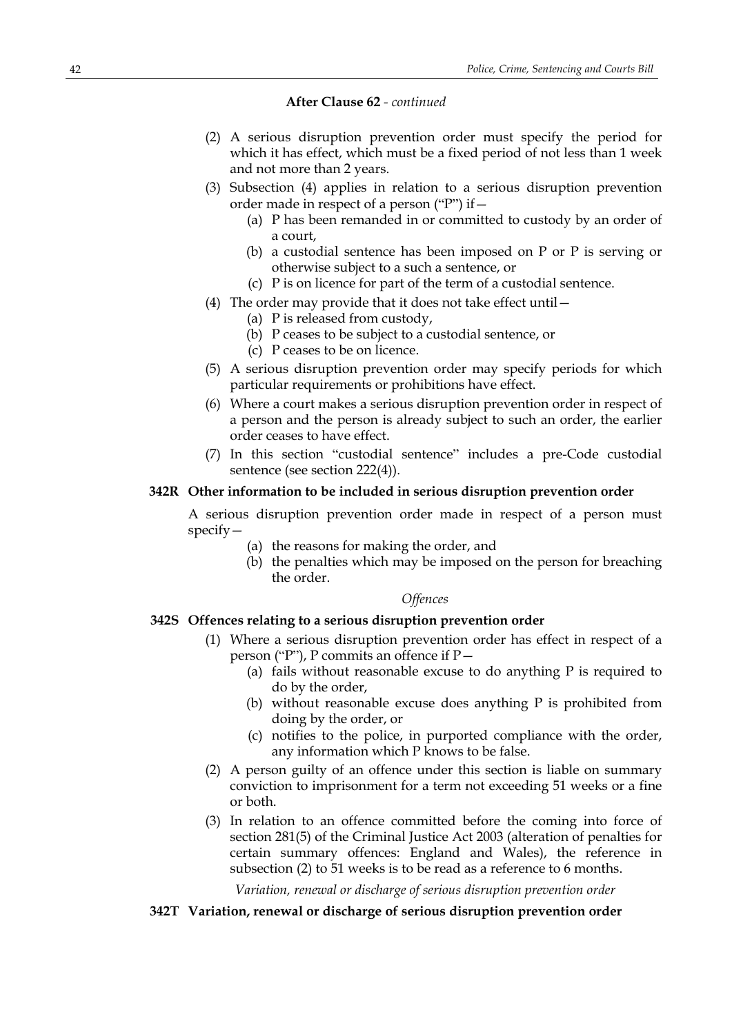- (2) A serious disruption prevention order must specify the period for which it has effect, which must be a fixed period of not less than 1 week and not more than 2 years.
- (3) Subsection (4) applies in relation to a serious disruption prevention order made in respect of a person ("P") if—
	- (a) P has been remanded in or committed to custody by an order of a court,
	- (b) a custodial sentence has been imposed on P or P is serving or otherwise subject to a such a sentence, or
	- (c) P is on licence for part of the term of a custodial sentence.
- (4) The order may provide that it does not take effect until—
	- (a) P is released from custody,
	- (b) P ceases to be subject to a custodial sentence, or
	- (c) P ceases to be on licence.
- (5) A serious disruption prevention order may specify periods for which particular requirements or prohibitions have effect.
- (6) Where a court makes a serious disruption prevention order in respect of a person and the person is already subject to such an order, the earlier order ceases to have effect.
- (7) In this section "custodial sentence" includes a pre-Code custodial sentence (see section 222(4)).

## **342R Other information to be included in serious disruption prevention order**

A serious disruption prevention order made in respect of a person must specify—

- (a) the reasons for making the order, and
- (b) the penalties which may be imposed on the person for breaching the order.

### *Offences*

## **342S Offences relating to a serious disruption prevention order**

- (1) Where a serious disruption prevention order has effect in respect of a person ("P"), P commits an offence if P—
	- (a) fails without reasonable excuse to do anything P is required to do by the order,
	- (b) without reasonable excuse does anything P is prohibited from doing by the order, or
	- (c) notifies to the police, in purported compliance with the order, any information which P knows to be false.
- (2) A person guilty of an offence under this section is liable on summary conviction to imprisonment for a term not exceeding 51 weeks or a fine or both.
- (3) In relation to an offence committed before the coming into force of section 281(5) of the Criminal Justice Act 2003 (alteration of penalties for certain summary offences: England and Wales), the reference in subsection (2) to 51 weeks is to be read as a reference to 6 months.

*Variation, renewal or discharge of serious disruption prevention order*

## **342T Variation, renewal or discharge of serious disruption prevention order**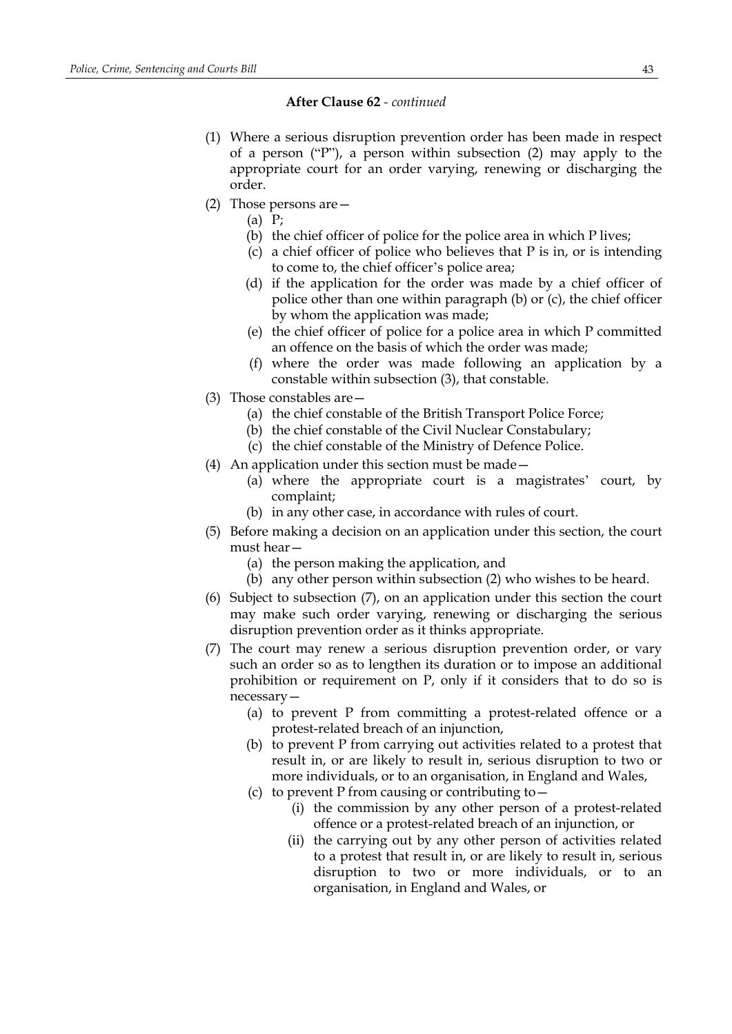- (1) Where a serious disruption prevention order has been made in respect of a person ("P"), a person within subsection (2) may apply to the appropriate court for an order varying, renewing or discharging the order.
- (2) Those persons are—
	- (a) P;
	- (b) the chief officer of police for the police area in which P lives;
	- (c) a chief officer of police who believes that P is in, or is intending to come to, the chief officer's police area;
	- (d) if the application for the order was made by a chief officer of police other than one within paragraph (b) or (c), the chief officer by whom the application was made;
	- (e) the chief officer of police for a police area in which P committed an offence on the basis of which the order was made;
	- (f) where the order was made following an application by a constable within subsection (3), that constable.
- (3) Those constables are—
	- (a) the chief constable of the British Transport Police Force;
	- (b) the chief constable of the Civil Nuclear Constabulary;
	- (c) the chief constable of the Ministry of Defence Police.
- (4) An application under this section must be made—
	- (a) where the appropriate court is a magistrates' court, by complaint;
	- (b) in any other case, in accordance with rules of court.
- (5) Before making a decision on an application under this section, the court must hear—
	- (a) the person making the application, and
	- (b) any other person within subsection (2) who wishes to be heard.
- (6) Subject to subsection (7), on an application under this section the court may make such order varying, renewing or discharging the serious disruption prevention order as it thinks appropriate.
- (7) The court may renew a serious disruption prevention order, or vary such an order so as to lengthen its duration or to impose an additional prohibition or requirement on P, only if it considers that to do so is necessary—
	- (a) to prevent P from committing a protest-related offence or a protest-related breach of an injunction,
	- (b) to prevent P from carrying out activities related to a protest that result in, or are likely to result in, serious disruption to two or more individuals, or to an organisation, in England and Wales,
	- (c) to prevent P from causing or contributing to  $-$ 
		- (i) the commission by any other person of a protest-related offence or a protest-related breach of an injunction, or
		- (ii) the carrying out by any other person of activities related to a protest that result in, or are likely to result in, serious disruption to two or more individuals, or to an organisation, in England and Wales, or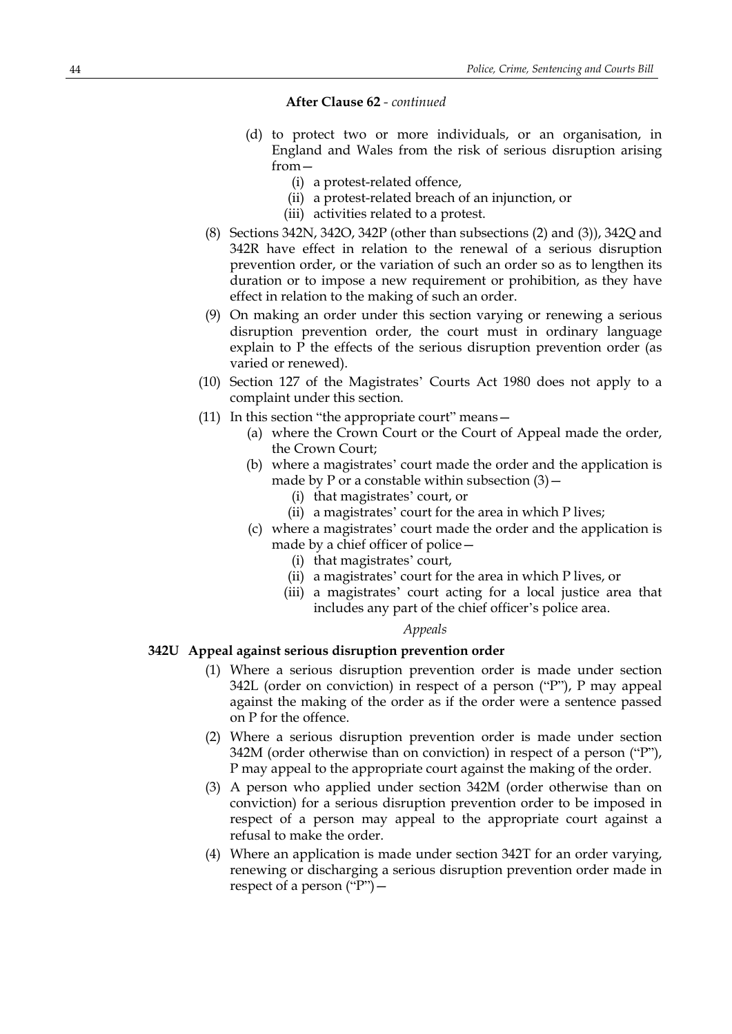- (d) to protect two or more individuals, or an organisation, in England and Wales from the risk of serious disruption arising from—
	- (i) a protest-related offence,
	- (ii) a protest-related breach of an injunction, or
	- (iii) activities related to a protest.
- (8) Sections 342N, 342O, 342P (other than subsections (2) and (3)), 342Q and 342R have effect in relation to the renewal of a serious disruption prevention order, or the variation of such an order so as to lengthen its duration or to impose a new requirement or prohibition, as they have effect in relation to the making of such an order.
- (9) On making an order under this section varying or renewing a serious disruption prevention order, the court must in ordinary language explain to P the effects of the serious disruption prevention order (as varied or renewed).
- (10) Section 127 of the Magistrates' Courts Act 1980 does not apply to a complaint under this section.
- (11) In this section "the appropriate court" means—
	- (a) where the Crown Court or the Court of Appeal made the order, the Crown Court;
	- (b) where a magistrates' court made the order and the application is made by P or a constable within subsection  $(3)$  –
		- (i) that magistrates' court, or
		- (ii) a magistrates' court for the area in which P lives;
	- (c) where a magistrates' court made the order and the application is made by a chief officer of police—
		- (i) that magistrates' court,
		- (ii) a magistrates' court for the area in which P lives, or
		- (iii) a magistrates' court acting for a local justice area that includes any part of the chief officer's police area.

#### *Appeals*

## **342U Appeal against serious disruption prevention order**

- (1) Where a serious disruption prevention order is made under section 342L (order on conviction) in respect of a person ("P"), P may appeal against the making of the order as if the order were a sentence passed on P for the offence.
- (2) Where a serious disruption prevention order is made under section 342M (order otherwise than on conviction) in respect of a person ("P"), P may appeal to the appropriate court against the making of the order.
- (3) A person who applied under section 342M (order otherwise than on conviction) for a serious disruption prevention order to be imposed in respect of a person may appeal to the appropriate court against a refusal to make the order.
- (4) Where an application is made under section 342T for an order varying, renewing or discharging a serious disruption prevention order made in respect of a person  $("P")$  –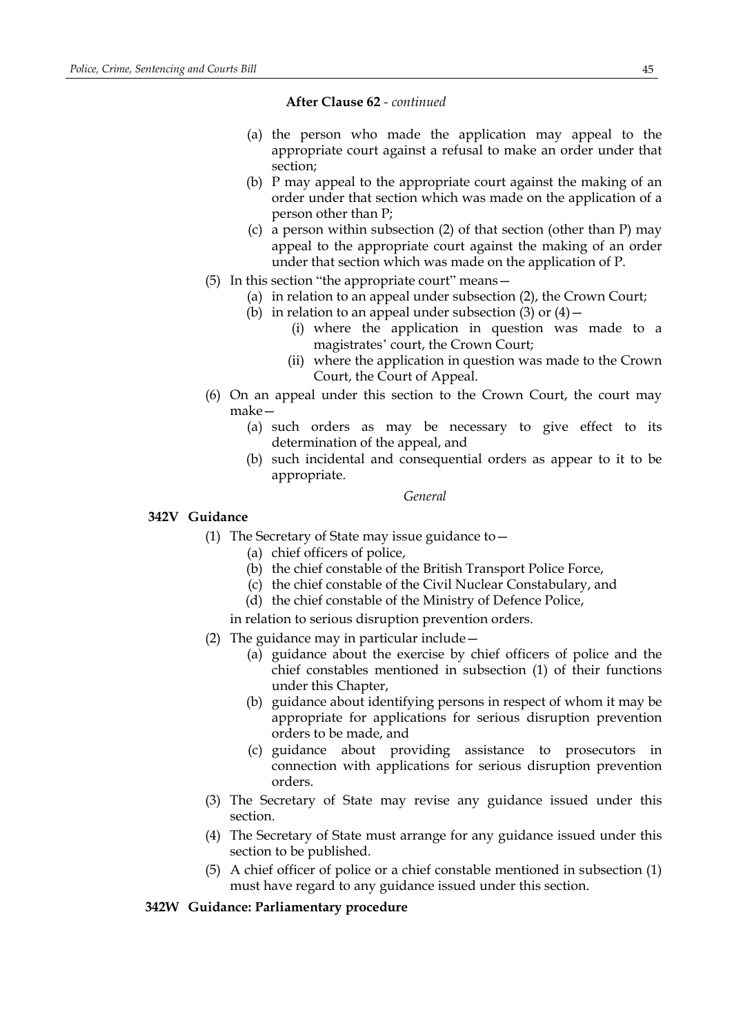- (a) the person who made the application may appeal to the appropriate court against a refusal to make an order under that section;
- (b) P may appeal to the appropriate court against the making of an order under that section which was made on the application of a person other than P;
- (c) a person within subsection (2) of that section (other than P) may appeal to the appropriate court against the making of an order under that section which was made on the application of P.
- (5) In this section "the appropriate court" means—
	- (a) in relation to an appeal under subsection (2), the Crown Court;
	- (b) in relation to an appeal under subsection  $(3)$  or  $(4)$  -
		- (i) where the application in question was made to a magistrates' court, the Crown Court;
		- (ii) where the application in question was made to the Crown Court, the Court of Appeal.
- (6) On an appeal under this section to the Crown Court, the court may make—
	- (a) such orders as may be necessary to give effect to its determination of the appeal, and
	- (b) such incidental and consequential orders as appear to it to be appropriate.

### *General*

## **342V Guidance**

- (1) The Secretary of State may issue guidance to  $-$ 
	- (a) chief officers of police,
	- (b) the chief constable of the British Transport Police Force,
	- (c) the chief constable of the Civil Nuclear Constabulary, and
	- (d) the chief constable of the Ministry of Defence Police,

in relation to serious disruption prevention orders.

- (2) The guidance may in particular include—
	- (a) guidance about the exercise by chief officers of police and the chief constables mentioned in subsection (1) of their functions under this Chapter,
	- (b) guidance about identifying persons in respect of whom it may be appropriate for applications for serious disruption prevention orders to be made, and
	- (c) guidance about providing assistance to prosecutors in connection with applications for serious disruption prevention orders.
- (3) The Secretary of State may revise any guidance issued under this section.
- (4) The Secretary of State must arrange for any guidance issued under this section to be published.
- (5) A chief officer of police or a chief constable mentioned in subsection (1) must have regard to any guidance issued under this section.

## **342W Guidance: Parliamentary procedure**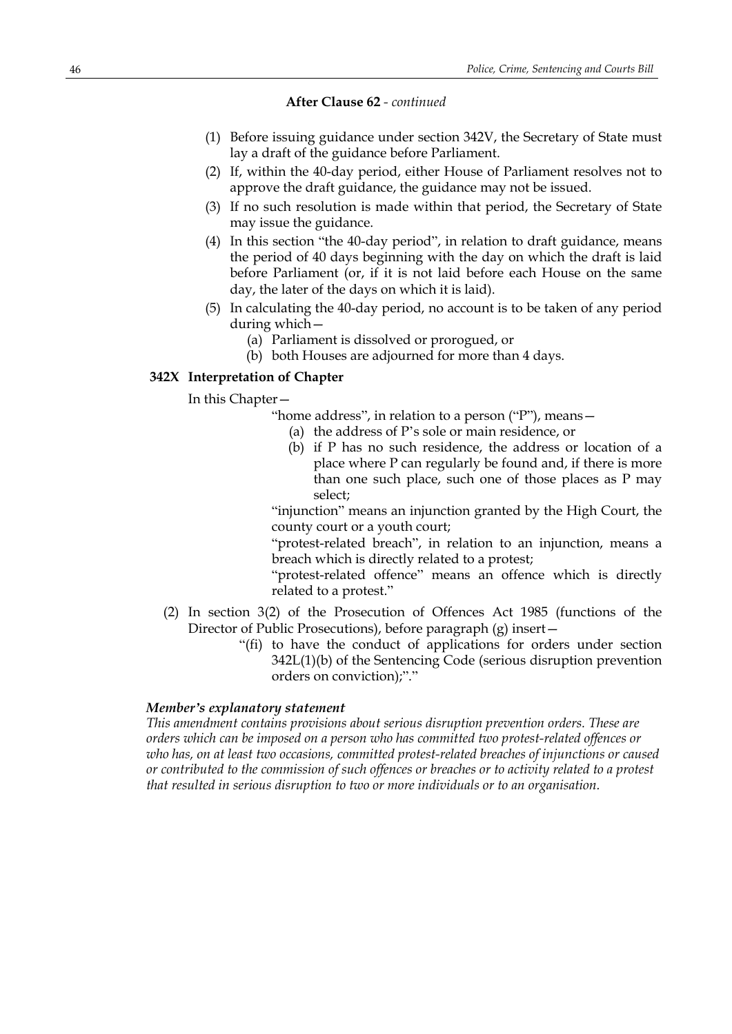- (1) Before issuing guidance under section 342V, the Secretary of State must lay a draft of the guidance before Parliament.
- (2) If, within the 40-day period, either House of Parliament resolves not to approve the draft guidance, the guidance may not be issued.
- (3) If no such resolution is made within that period, the Secretary of State may issue the guidance.
- (4) In this section "the 40-day period", in relation to draft guidance, means the period of 40 days beginning with the day on which the draft is laid before Parliament (or, if it is not laid before each House on the same day, the later of the days on which it is laid).
- (5) In calculating the 40-day period, no account is to be taken of any period during which—
	- (a) Parliament is dissolved or prorogued, or
	- (b) both Houses are adjourned for more than 4 days.

### **342X Interpretation of Chapter**

In this Chapter—

"home address", in relation to a person ("P"), means—

- (a) the address of P's sole or main residence, or
- (b) if P has no such residence, the address or location of a place where P can regularly be found and, if there is more than one such place, such one of those places as P may select;

"injunction" means an injunction granted by the High Court, the county court or a youth court;

"protest-related breach", in relation to an injunction, means a breach which is directly related to a protest;

"protest-related offence" means an offence which is directly related to a protest."

- (2) In section 3(2) of the Prosecution of Offences Act 1985 (functions of the Director of Public Prosecutions), before paragraph (g) insert—
	- "(fi) to have the conduct of applications for orders under section 342L(1)(b) of the Sentencing Code (serious disruption prevention orders on conviction);"."

## *Member's explanatory statement*

*This amendment contains provisions about serious disruption prevention orders. These are orders which can be imposed on a person who has committed two protest-related offences or who has, on at least two occasions, committed protest-related breaches of injunctions or caused or contributed to the commission of such offences or breaches or to activity related to a protest that resulted in serious disruption to two or more individuals or to an organisation.*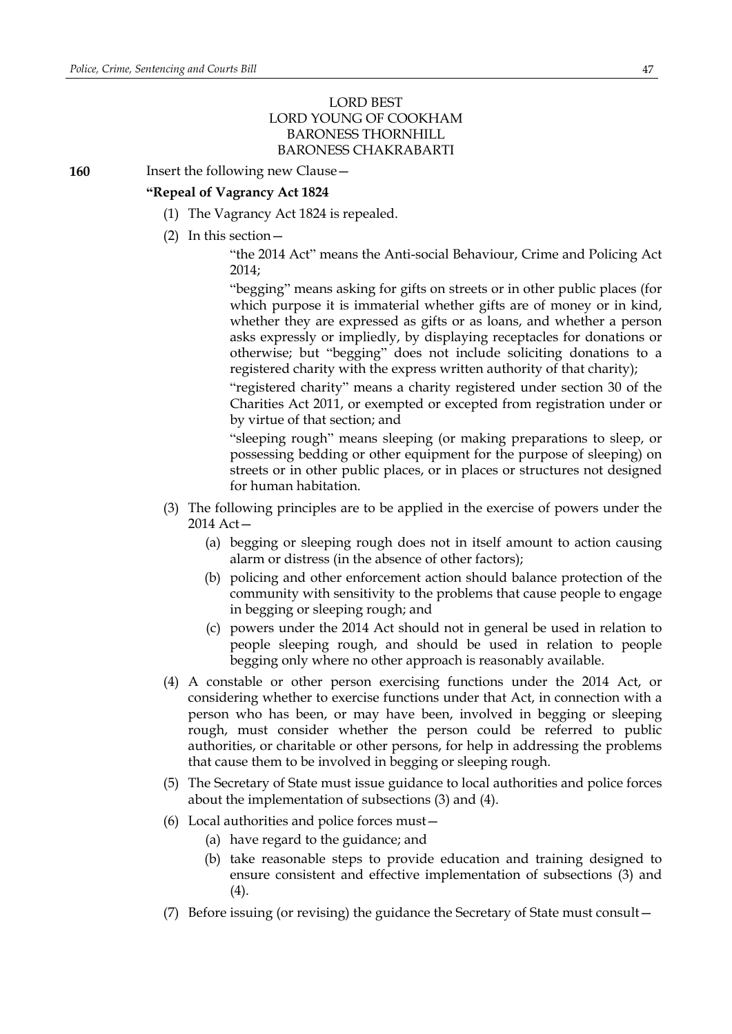## LORD BEST LORD YOUNG OF COOKHAM BARONESS THORNHILL BARONESS CHAKRABARTI

**160** Insert the following new Clause -

## **"Repeal of Vagrancy Act 1824**

- (1) The Vagrancy Act 1824 is repealed.
- (2) In this section—
	- "the 2014 Act" means the Anti-social Behaviour, Crime and Policing Act 2014;

"begging" means asking for gifts on streets or in other public places (for which purpose it is immaterial whether gifts are of money or in kind, whether they are expressed as gifts or as loans, and whether a person asks expressly or impliedly, by displaying receptacles for donations or otherwise; but "begging" does not include soliciting donations to a registered charity with the express written authority of that charity);

"registered charity" means a charity registered under section 30 of the Charities Act 2011, or exempted or excepted from registration under or by virtue of that section; and

"sleeping rough" means sleeping (or making preparations to sleep, or possessing bedding or other equipment for the purpose of sleeping) on streets or in other public places, or in places or structures not designed for human habitation.

- (3) The following principles are to be applied in the exercise of powers under the 2014 Act—
	- (a) begging or sleeping rough does not in itself amount to action causing alarm or distress (in the absence of other factors);
	- (b) policing and other enforcement action should balance protection of the community with sensitivity to the problems that cause people to engage in begging or sleeping rough; and
	- (c) powers under the 2014 Act should not in general be used in relation to people sleeping rough, and should be used in relation to people begging only where no other approach is reasonably available.
- (4) A constable or other person exercising functions under the 2014 Act, or considering whether to exercise functions under that Act, in connection with a person who has been, or may have been, involved in begging or sleeping rough, must consider whether the person could be referred to public authorities, or charitable or other persons, for help in addressing the problems that cause them to be involved in begging or sleeping rough.
- (5) The Secretary of State must issue guidance to local authorities and police forces about the implementation of subsections (3) and (4).
- (6) Local authorities and police forces must—
	- (a) have regard to the guidance; and
	- (b) take reasonable steps to provide education and training designed to ensure consistent and effective implementation of subsections (3) and (4).
- (7) Before issuing (or revising) the guidance the Secretary of State must consult—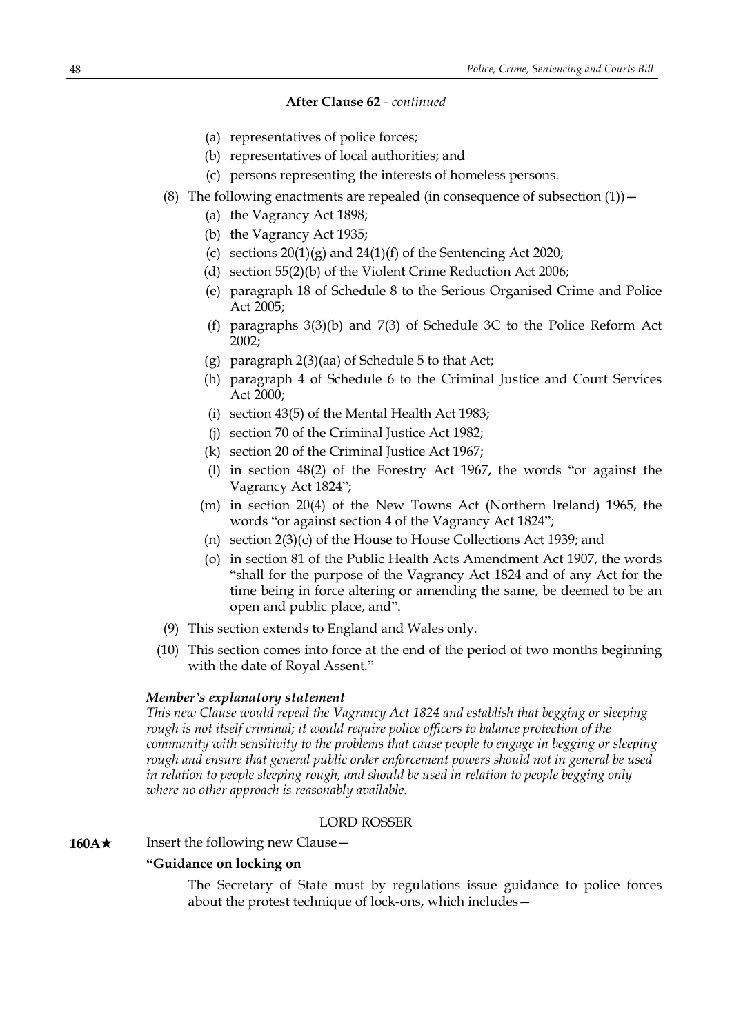- (a) representatives of police forces;
- (b) representatives of local authorities; and
- (c) persons representing the interests of homeless persons.
- (8) The following enactments are repealed (in consequence of subsection  $(1)$ )
	- (a) the Vagrancy Act 1898;
	- (b) the Vagrancy Act 1935;
	- (c) sections  $20(1)(g)$  and  $24(1)(f)$  of the Sentencing Act 2020;
	- (d) section 55(2)(b) of the Violent Crime Reduction Act 2006;
	- (e) paragraph 18 of Schedule 8 to the Serious Organised Crime and Police Act 2005;
	- (f) paragraphs 3(3)(b) and 7(3) of Schedule 3C to the Police Reform Act 2002;
	- (g) paragraph 2(3)(aa) of Schedule 5 to that Act;
	- (h) paragraph 4 of Schedule 6 to the Criminal Justice and Court Services Act 2000;
	- (i) section 43(5) of the Mental Health Act 1983;
	- (j) section 70 of the Criminal Justice Act 1982;
	- (k) section 20 of the Criminal Justice Act 1967;
	- (l) in section 48(2) of the Forestry Act 1967, the words "or against the Vagrancy Act 1824";
	- (m) in section 20(4) of the New Towns Act (Northern Ireland) 1965, the words "or against section 4 of the Vagrancy Act 1824";
	- (n) section 2(3)(c) of the House to House Collections Act 1939; and
	- (o) in section 81 of the Public Health Acts Amendment Act 1907, the words "shall for the purpose of the Vagrancy Act 1824 and of any Act for the time being in force altering or amending the same, be deemed to be an open and public place, and".
- (9) This section extends to England and Wales only.
- (10) This section comes into force at the end of the period of two months beginning with the date of Royal Assent."

## *Member's explanatory statement*

*This new Clause would repeal the Vagrancy Act 1824 and establish that begging or sleeping rough is not itself criminal; it would require police officers to balance protection of the community with sensitivity to the problems that cause people to engage in begging or sleeping rough and ensure that general public order enforcement powers should not in general be used in relation to people sleeping rough, and should be used in relation to people begging only where no other approach is reasonably available.*

#### LORD ROSSER

**160A**★ Insert the following new Clause —

## **"Guidance on locking on**

The Secretary of State must by regulations issue guidance to police forces about the protest technique of lock-ons, which includes—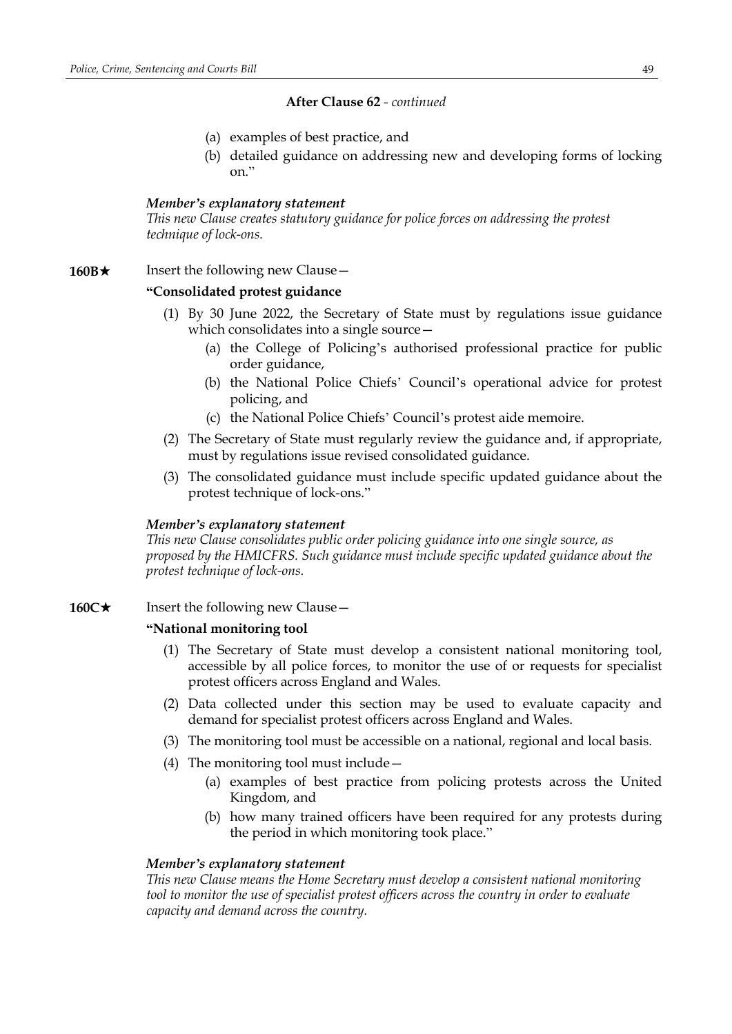- (a) examples of best practice, and
- (b) detailed guidance on addressing new and developing forms of locking on."

### *Member's explanatory statement*

*This new Clause creates statutory guidance for police forces on addressing the protest technique of lock-ons.*

### **160B**★ Insert the following new Clause —

### **"Consolidated protest guidance**

- (1) By 30 June 2022, the Secretary of State must by regulations issue guidance which consolidates into a single source—
	- (a) the College of Policing's authorised professional practice for public order guidance,
	- (b) the National Police Chiefs' Council's operational advice for protest policing, and
	- (c) the National Police Chiefs' Council's protest aide memoire.
- (2) The Secretary of State must regularly review the guidance and, if appropriate, must by regulations issue revised consolidated guidance.
- (3) The consolidated guidance must include specific updated guidance about the protest technique of lock-ons."

### *Member's explanatory statement*

*This new Clause consolidates public order policing guidance into one single source, as proposed by the HMICFRS. Such guidance must include specific updated guidance about the protest technique of lock-ons.*

## **160C★** Insert the following new Clause —

## **"National monitoring tool**

- (1) The Secretary of State must develop a consistent national monitoring tool, accessible by all police forces, to monitor the use of or requests for specialist protest officers across England and Wales.
- (2) Data collected under this section may be used to evaluate capacity and demand for specialist protest officers across England and Wales.
- (3) The monitoring tool must be accessible on a national, regional and local basis.
- (4) The monitoring tool must include—
	- (a) examples of best practice from policing protests across the United Kingdom, and
	- (b) how many trained officers have been required for any protests during the period in which monitoring took place."

### *Member's explanatory statement*

*This new Clause means the Home Secretary must develop a consistent national monitoring tool to monitor the use of specialist protest officers across the country in order to evaluate capacity and demand across the country.*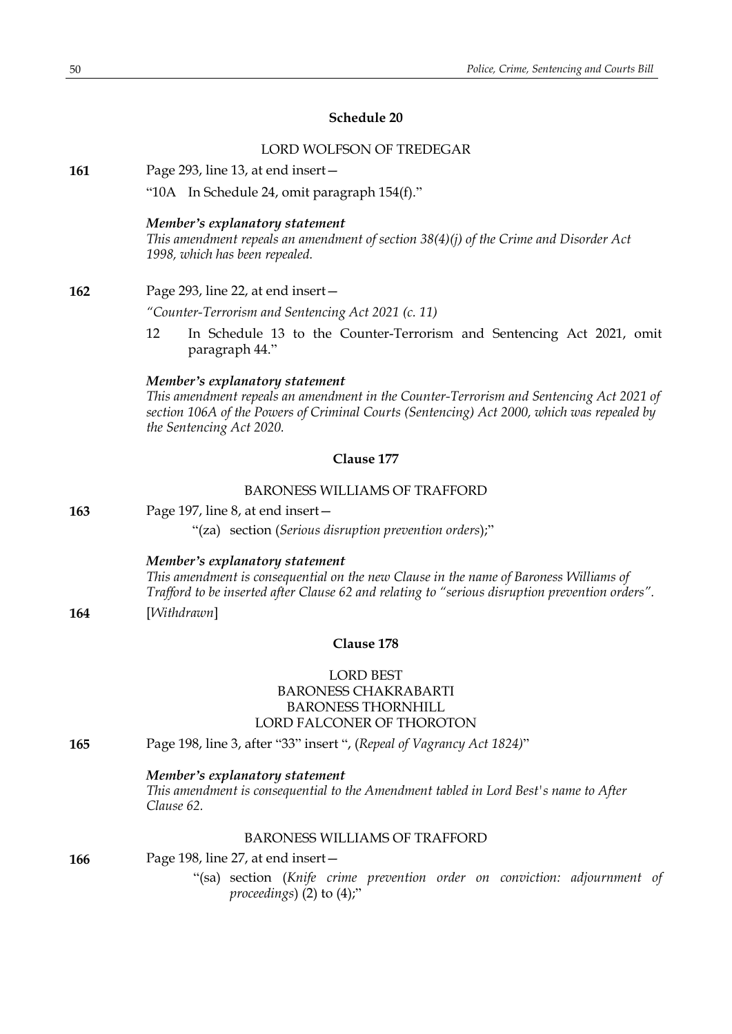## **Schedule 20**

|     | LORD WOLFSON OF TREDEGAR                                                                                                                                                                                                                            |
|-----|-----------------------------------------------------------------------------------------------------------------------------------------------------------------------------------------------------------------------------------------------------|
| 161 | Page 293, line 13, at end insert-                                                                                                                                                                                                                   |
|     | "10A In Schedule 24, omit paragraph 154(f)."                                                                                                                                                                                                        |
|     | Member's explanatory statement<br>This amendment repeals an amendment of section 38(4)(j) of the Crime and Disorder Act<br>1998, which has been repealed.                                                                                           |
| 162 | Page 293, line 22, at end insert-                                                                                                                                                                                                                   |
|     | "Counter-Terrorism and Sentencing Act 2021 (c. 11)                                                                                                                                                                                                  |
|     | 12<br>In Schedule 13 to the Counter-Terrorism and Sentencing Act 2021, omit<br>paragraph 44."                                                                                                                                                       |
|     | Member's explanatory statement<br>This amendment repeals an amendment in the Counter-Terrorism and Sentencing Act 2021 of<br>section 106A of the Powers of Criminal Courts (Sentencing) Act 2000, which was repealed by<br>the Sentencing Act 2020. |
|     | Clause 177                                                                                                                                                                                                                                          |
|     | <b>BARONESS WILLIAMS OF TRAFFORD</b>                                                                                                                                                                                                                |
| 163 | Page 197, line 8, at end insert -                                                                                                                                                                                                                   |
|     | "(za) section (Serious disruption prevention orders);"                                                                                                                                                                                              |
|     | Member's explanatory statement<br>This amendment is consequential on the new Clause in the name of Baroness Williams of<br>Trafford to be inserted after Clause 62 and relating to "serious disruption prevention orders".                          |
| 164 | [Withdrawn]                                                                                                                                                                                                                                         |
|     | Clause 178                                                                                                                                                                                                                                          |
|     | <b>LORD BEST</b><br><b>BARONESS CHAKRABARTI</b><br><b>BARONESS THORNHILL</b><br>LORD FALCONER OF THOROTON                                                                                                                                           |
| 165 | Page 198, line 3, after "33" insert ", (Repeal of Vagrancy Act 1824)"                                                                                                                                                                               |
|     | Member's explanatory statement<br>This amendment is consequential to the Amendment tabled in Lord Best's name to After<br>Clause 62.                                                                                                                |
|     | <b>BARONESS WILLIAMS OF TRAFFORD</b>                                                                                                                                                                                                                |
| 166 | Page 198, line 27, at end insert -                                                                                                                                                                                                                  |
|     | "(sa) section (Knife crime prevention order on conviction: adjournment of<br>proceedings) $(2)$ to $(4)$ ;"                                                                                                                                         |
|     |                                                                                                                                                                                                                                                     |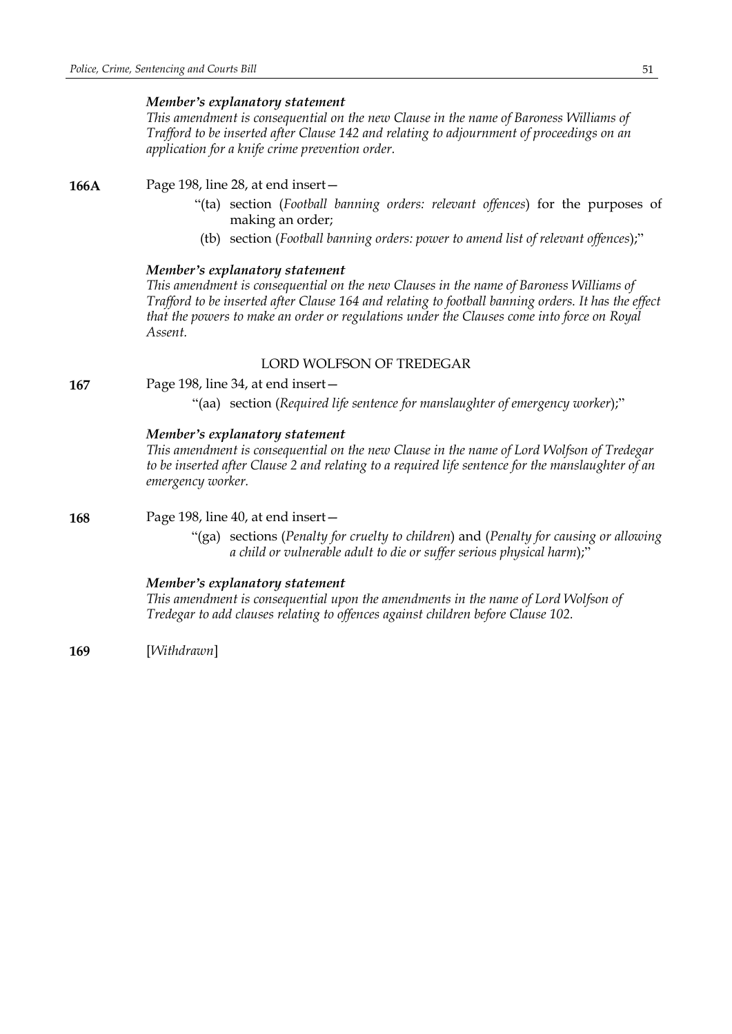## *Member's explanatory statement*

*This amendment is consequential on the new Clause in the name of Baroness Williams of Trafford to be inserted after Clause 142 and relating to adjournment of proceedings on an application for a knife crime prevention order.*

**166A** Page 198, line 28, at end insert—

- "(ta) section (*Football banning orders: relevant offences*) for the purposes of making an order;
- (tb) section (*Football banning orders: power to amend list of relevant offences*);"

### *Member's explanatory statement*

*This amendment is consequential on the new Clauses in the name of Baroness Williams of Trafford to be inserted after Clause 164 and relating to football banning orders. It has the effect that the powers to make an order or regulations under the Clauses come into force on Royal Assent.*

## LORD WOLFSON OF TREDEGAR

**167** Page 198, line 34, at end insert—

"(aa) section (*Required life sentence for manslaughter of emergency worker*);"

### *Member's explanatory statement*

*This amendment is consequential on the new Clause in the name of Lord Wolfson of Tredegar to be inserted after Clause 2 and relating to a required life sentence for the manslaughter of an emergency worker.*

**168** Page 198, line 40, at end insert—

"(ga) sections (*Penalty for cruelty to children*) and (*Penalty for causing or allowing a child or vulnerable adult to die or suffer serious physical harm*);"

## *Member's explanatory statement*

*This amendment is consequential upon the amendments in the name of Lord Wolfson of Tredegar to add clauses relating to offences against children before Clause 102.*

**169** [*Withdrawn*]